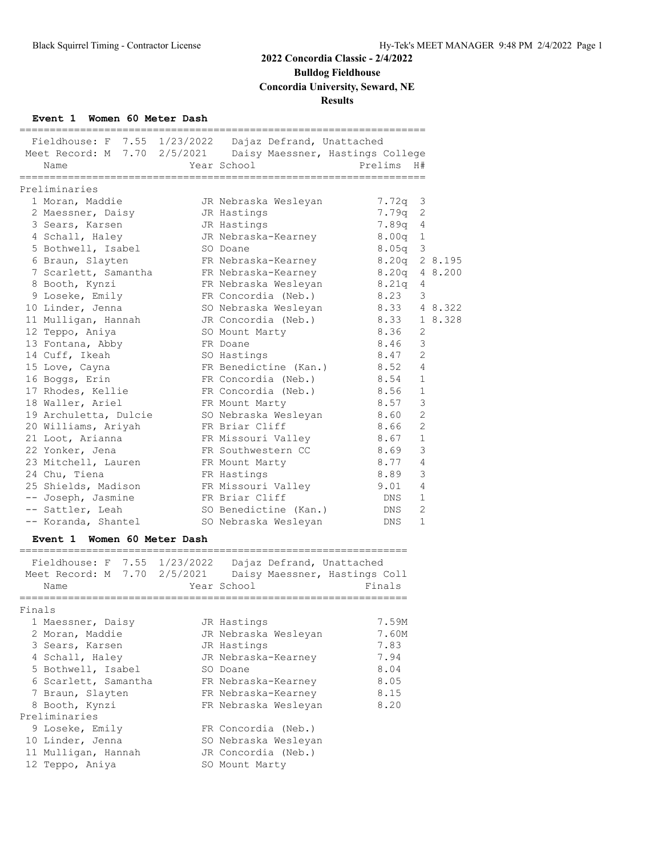**Bulldog Fieldhouse**

**Concordia University, Seward, NE**

#### **Results**

#### **Event 1 Women 60 Meter Dash**

| Fieldhouse: F 7.55 1/23/2022 Dajaz Defrand, Unattached |                       |                                   |         |
|--------------------------------------------------------|-----------------------|-----------------------------------|---------|
| Meet Record: M 7.70 2/5/2021                           |                       | Daisy Maessner, Hastings College  |         |
| Name                                                   | Year School           | Prelims<br>H#                     |         |
|                                                        |                       |                                   |         |
| Preliminaries                                          |                       |                                   |         |
| 1 Moran, Maddie                                        | JR Nebraska Wesleyan  | $7.72q$ 3                         |         |
| 2 Maessner, Daisy                                      | JR Hastings           | 2<br>7.79q                        |         |
| 3 Sears, Karsen                                        | JR Hastings           | 7.89q<br>$\overline{4}$           |         |
| 4 Schall, Haley                                        | JR Nebraska-Kearney   | 8.00 <sub>q</sub><br>$\mathbf{1}$ |         |
| 5 Bothwell, Isabel                                     | SO Doane              | 8.05 <sub>q</sub><br>3            |         |
| 6 Braun, Slayten                                       | FR Nebraska-Kearney   | 8.20q                             | 2 8.195 |
| 7 Scarlett, Samantha                                   | FR Nebraska-Kearney   | 8.20q                             | 4 8.200 |
| 8 Booth, Kynzi                                         | FR Nebraska Wesleyan  | 8.21q<br>4                        |         |
| 9 Loseke, Emily                                        | FR Concordia (Neb.)   | 8.23<br>3                         |         |
| 10 Linder, Jenna                                       | SO Nebraska Wesleyan  | 8.33                              | 4 8.322 |
| 11 Mulligan, Hannah                                    | JR Concordia (Neb.)   | 8.33                              | 1 8.328 |
| 12 Teppo, Aniya                                        | SO Mount Marty        | 8.36<br>2                         |         |
| 13 Fontana, Abby                                       | FR Doane              | 3<br>8.46                         |         |
| 14 Cuff, Ikeah                                         | SO Hastings           | $\overline{2}$<br>8.47            |         |
| 15 Love, Cayna                                         | FR Benedictine (Kan.) | 8.52<br>$\overline{4}$            |         |
| 16 Boggs, Erin                                         | FR Concordia (Neb.)   | 8.54<br>$\mathbf{1}$              |         |
| 17 Rhodes, Kellie                                      | FR Concordia (Neb.)   | $\mathbf{1}$<br>8.56              |         |
| 18 Waller, Ariel                                       | FR Mount Marty        | 3<br>8.57                         |         |
| 19 Archuletta, Dulcie                                  | SO Nebraska Wesleyan  | $\overline{2}$<br>8.60            |         |
| 20 Williams, Ariyah                                    | FR Briar Cliff        | $\overline{2}$<br>8.66            |         |
| 21 Loot, Arianna                                       | FR Missouri Valley    | 8.67<br>$\mathbf{1}$              |         |
| 22 Yonker, Jena                                        | FR Southwestern CC    | $\mathsf 3$<br>8.69               |         |
| 23 Mitchell, Lauren                                    | FR Mount Marty        | $\overline{4}$<br>8.77            |         |
| 24 Chu, Tiena                                          | FR Hastings           | 3<br>8.89                         |         |
| 25 Shields, Madison                                    | FR Missouri Valley    | 4<br>9.01                         |         |
| -- Joseph, Jasmine                                     | FR Briar Cliff        | $\mathbf{1}$<br>DNS               |         |
| -- Sattler, Leah                                       | SO Benedictine (Kan.) | $\overline{2}$<br>DNS             |         |
| -- Koranda, Shantel                                    | SO Nebraska Wesleyan  | $\mathbf{1}$<br><b>DNS</b>        |         |
|                                                        |                       |                                   |         |

#### **Event 1 Women 60 Meter Dash**

|        | Fieldhouse: F 7.55 1/23/2022<br>Meet Record: M 7.70 2/5/2021<br>Name | Dajaz Defrand, Unattached<br>Daisy Maessner, Hastings Coll<br>Year School | Finals |
|--------|----------------------------------------------------------------------|---------------------------------------------------------------------------|--------|
| Finals |                                                                      |                                                                           |        |
|        | 1 Maessner, Daisy                                                    | JR Hastings                                                               | 7.59M  |
|        | 2 Moran, Maddie                                                      | JR Nebraska Wesleyan                                                      | 7.60M  |
|        | 3 Sears, Karsen                                                      | JR Hastings                                                               | 7.83   |
|        | 4 Schall, Haley                                                      | JR Nebraska-Kearney                                                       | 7.94   |
|        | 5 Bothwell, Isabel                                                   | SO Doane                                                                  | 8.04   |
|        | 6 Scarlett, Samantha                                                 | FR Nebraska-Kearney                                                       | 8.05   |
|        | 7 Braun, Slayten                                                     | FR Nebraska-Kearney                                                       | 8.15   |
|        | 8 Booth, Kynzi                                                       | FR Nebraska Wesleyan                                                      | 8.20   |
|        | Preliminaries                                                        |                                                                           |        |
|        | 9 Loseke, Emily                                                      | FR Concordia (Neb.)                                                       |        |
|        | 10 Linder, Jenna                                                     | SO Nebraska Wesleyan                                                      |        |
|        | 11 Mulligan, Hannah                                                  | JR Concordia (Neb.)                                                       |        |
|        | 12 Teppo, Aniya                                                      | SO Mount Marty                                                            |        |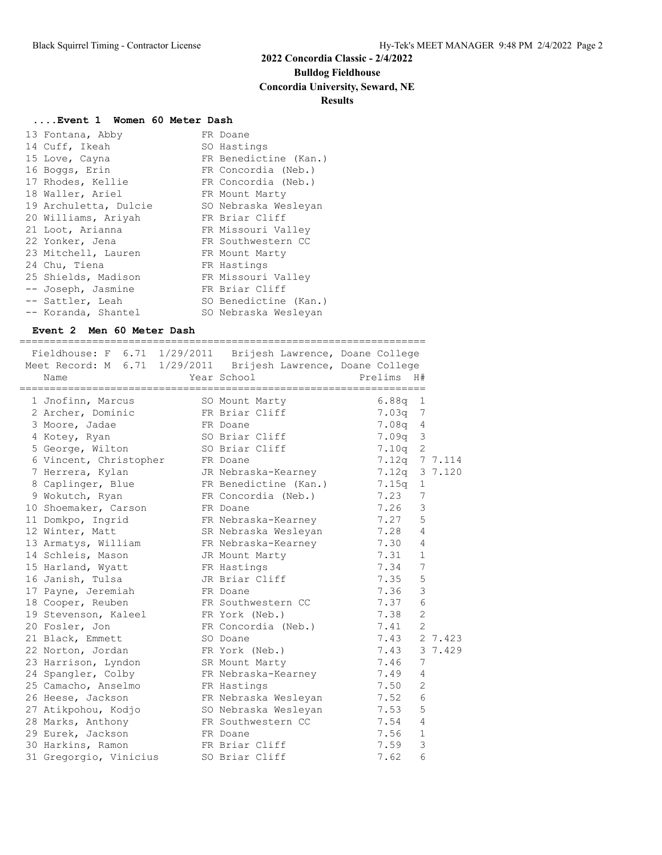**Bulldog Fieldhouse**

#### **Concordia University, Seward, NE**

#### **Results**

#### **....Event 1 Women 60 Meter Dash**

| 13 Fontana, Abby      | FR Doane              |
|-----------------------|-----------------------|
| 14 Cuff, Ikeah        | SO Hastings           |
| 15 Love, Cayna        | FR Benedictine (Kan.) |
| 16 Boggs, Erin        | FR Concordia (Neb.)   |
| 17 Rhodes, Kellie     | FR Concordia (Neb.)   |
| 18 Waller, Ariel      | FR Mount Marty        |
| 19 Archuletta, Dulcie | SO Nebraska Wesleyan  |
| 20 Williams, Ariyah   | FR Briar Cliff        |
| 21 Loot, Arianna      | FR Missouri Valley    |
| 22 Yonker, Jena       | FR Southwestern CC    |
| 23 Mitchell, Lauren   | FR Mount Marty        |
| 24 Chu, Tiena         | FR Hastings           |
| 25 Shields, Madison   | FR Missouri Valley    |
| -- Joseph, Jasmine    | FR Briar Cliff        |
| -- Sattler, Leah      | SO Benedictine (Kan.) |
| -- Koranda, Shantel   | SO Nebraska Wesleyan  |

#### **Event 2 Men 60 Meter Dash**

===================================================================

| Fieldhouse: F 6.71 1/29/2011 Brijesh Lawrence, Doane College<br>Meet Record: M 6.71 1/29/2011<br>Name | Brijesh Lawrence, Doane College<br>Year School | Prelims<br>H#           |         |
|-------------------------------------------------------------------------------------------------------|------------------------------------------------|-------------------------|---------|
|                                                                                                       |                                                |                         |         |
| 1 Jnofinn, Marcus                                                                                     | SO Mount Marty                                 | 6.88q<br>1              |         |
| 2 Archer, Dominic                                                                                     | FR Briar Cliff                                 | 7.03q<br>7              |         |
| 3 Moore, Jadae                                                                                        | FR Doane                                       | 7.08q<br>4              |         |
| 4 Kotey, Ryan                                                                                         | SO Briar Cliff                                 | 3<br>7.09q              |         |
| 5 George, Wilton                                                                                      | SO Briar Cliff                                 | $\overline{c}$<br>7.10q |         |
| 6 Vincent, Christopher                                                                                | FR Doane                                       | 7.12q 7 7.114           |         |
| 7 Herrera, Kylan                                                                                      | JR Nebraska-Kearney                            | $7.12q$ 3 7.120         |         |
| 8 Caplinger, Blue                                                                                     | FR Benedictine (Kan.)                          | 7.15q<br>$\mathbf{1}$   |         |
| 9 Wokutch, Ryan                                                                                       | FR Concordia (Neb.)                            | 7.23<br>7               |         |
| 10 Shoemaker, Carson                                                                                  | FR Doane                                       | 3<br>7.26               |         |
| 11 Domkpo, Ingrid                                                                                     | FR Nebraska-Kearney                            | 5<br>7.27               |         |
| 12 Winter, Matt                                                                                       | SR Nebraska Wesleyan                           | 7.28<br>4               |         |
| 13 Armatys, William                                                                                   | FR Nebraska-Kearney                            | 7.30<br>4               |         |
| 14 Schleis, Mason                                                                                     | JR Mount Marty                                 | 7.31<br>$\mathbf{1}$    |         |
| 15 Harland, Wyatt                                                                                     | FR Hastings                                    | $\overline{7}$<br>7.34  |         |
| 16 Janish, Tulsa                                                                                      | JR Briar Cliff                                 | 5<br>7.35               |         |
| 17 Payne, Jeremiah                                                                                    | FR Doane                                       | 3<br>7.36               |         |
| 18 Cooper, Reuben                                                                                     | FR Southwestern CC                             | 6<br>7.37               |         |
| 19 Stevenson, Kaleel                                                                                  | FR York (Neb.)                                 | $\mathbf{2}$<br>7.38    |         |
| 20 Fosler, Jon                                                                                        | FR Concordia (Neb.)                            | $\overline{2}$<br>7.41  |         |
| 21 Black, Emmett                                                                                      | SO Doane                                       | 7.43                    | 2 7.423 |
| 22 Norton, Jordan                                                                                     | FR York (Neb.)                                 | 7.43                    | 3 7.429 |
| 23 Harrison, Lyndon                                                                                   | SR Mount Marty                                 | 7<br>7.46               |         |
| 24 Spangler, Colby                                                                                    | FR Nebraska-Kearney                            | 7.49<br>4               |         |
| 25 Camacho, Anselmo                                                                                   | FR Hastings                                    | $\mathbf{2}$<br>7.50    |         |
| 26 Heese, Jackson                                                                                     | FR Nebraska Wesleyan                           | 6<br>7.52               |         |
| 27 Atikpohou, Kodjo                                                                                   | SO Nebraska Wesleyan                           | 5<br>7.53               |         |
| 28 Marks, Anthony                                                                                     | FR Southwestern CC                             | $\overline{4}$<br>7.54  |         |
| 29 Eurek, Jackson                                                                                     | FR Doane                                       | 7.56<br>$\mathbf{1}$    |         |
| 30 Harkins, Ramon                                                                                     | FR Briar Cliff                                 | 3<br>7.59               |         |
| 31 Gregorgio, Vinicius                                                                                | SO Briar Cliff                                 | 6<br>7.62               |         |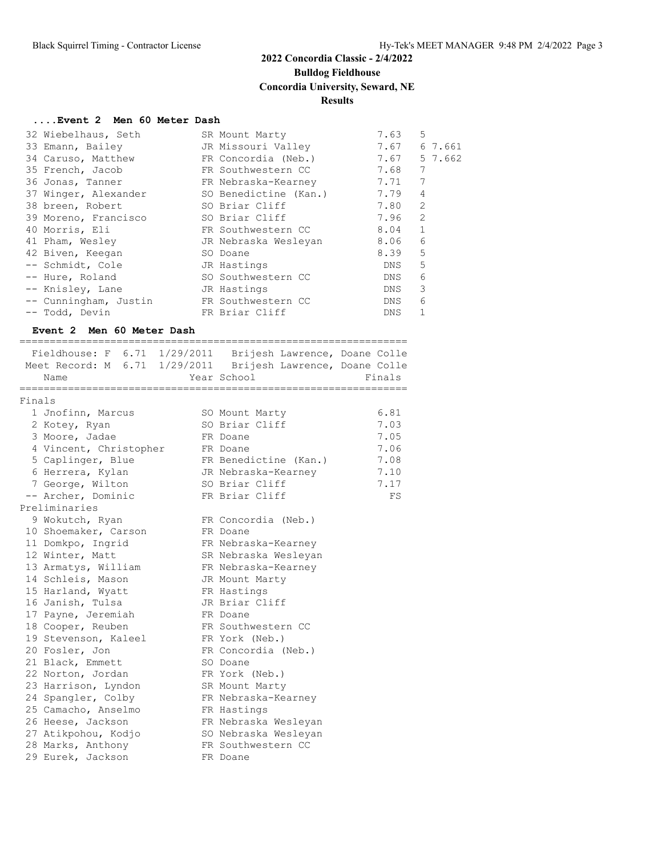## **Bulldog Fieldhouse**

#### **Concordia University, Seward, NE**

#### **Results**

#### **....Event 2 Men 60 Meter Dash**

| 32 Wiebelhaus, Seth   | SR Mount Marty        | 7.63       | 5              |
|-----------------------|-----------------------|------------|----------------|
| 33 Emann, Bailey      | JR Missouri Valley    | 7.67       | 6 7.661        |
| 34 Caruso, Matthew    | FR Concordia (Neb.)   | 7.67       | 5 7.662        |
| 35 French, Jacob      | FR Southwestern CC    | 7.68       | 7              |
| 36 Jonas, Tanner      | FR Nebraska-Kearney   | 7.71       | 7              |
| 37 Winger, Alexander  | SO Benedictine (Kan.) | 7.79       | 4              |
| 38 breen, Robert      | SO Briar Cliff        | 7.80       | $\overline{2}$ |
| 39 Moreno, Francisco  | SO Briar Cliff        | 7.96       | $\overline{2}$ |
| 40 Morris, Eli        | FR Southwestern CC    | 8.04       | $\mathbf{1}$   |
| 41 Pham, Wesley       | JR Nebraska Wesleyan  | 8.06       | 6              |
| 42 Biven, Keegan      | SO Doane              | 8.39       | 5              |
| -- Schmidt, Cole      | JR Hastings           | DNS        | 5              |
| -- Hure, Roland       | SO Southwestern CC    | DNS        | 6              |
| -- Knisley, Lane      | JR Hastings           | DNS.       | 3              |
| -- Cunningham, Justin | FR Southwestern CC    | DNS.       | 6              |
| -- Todd, Devin        | FR Briar Cliff        | <b>DNS</b> | 1              |

#### **Event 2 Men 60 Meter Dash**

================================================================

|        |                        | Fieldhouse: F 6.71 1/29/2011 Brijesh Lawrence, Doane Colle  |        |
|--------|------------------------|-------------------------------------------------------------|--------|
|        |                        | Meet Record: M 6.71 1/29/2011 Brijesh Lawrence, Doane Colle |        |
|        | Name                   | Year School                                                 | Finals |
| Finals |                        |                                                             |        |
|        | 1 Jnofinn, Marcus      | SO Mount Marty                                              | 6.81   |
|        | 2 Kotey, Ryan          | SO Briar Cliff                                              | 7.03   |
|        | 3 Moore, Jadae         | FR Doane                                                    | 7.05   |
|        | 4 Vincent, Christopher | FR Doane                                                    | 7.06   |
|        | 5 Caplinger, Blue      | FR Benedictine (Kan.)                                       | 7.08   |
|        | 6 Herrera, Kylan       | JR Nebraska-Kearney                                         | 7.10   |
|        | 7 George, Wilton       | SO Briar Cliff                                              | 7.17   |
|        | -- Archer, Dominic     | FR Briar Cliff                                              | FS     |
|        | Preliminaries          |                                                             |        |
|        | 9 Wokutch, Ryan        | FR Concordia (Neb.)                                         |        |
|        | 10 Shoemaker, Carson   | FR Doane                                                    |        |
|        | 11 Domkpo, Ingrid      | FR Nebraska-Kearney                                         |        |
|        | 12 Winter, Matt        | SR Nebraska Wesleyan                                        |        |
|        | 13 Armatys, William    | FR Nebraska-Kearney                                         |        |
|        | 14 Schleis, Mason      | JR Mount Marty                                              |        |
|        | 15 Harland, Wyatt      | FR Hastings                                                 |        |
|        | 16 Janish, Tulsa       | JR Briar Cliff                                              |        |
|        | 17 Payne, Jeremiah     | FR Doane                                                    |        |
|        | 18 Cooper, Reuben      | FR Southwestern CC                                          |        |
|        | 19 Stevenson, Kaleel   | FR York (Neb.)                                              |        |
|        | 20 Fosler, Jon         | FR Concordia (Neb.)                                         |        |
|        | 21 Black, Emmett       | SO Doane                                                    |        |
|        | 22 Norton, Jordan      | FR York (Neb.)                                              |        |
|        | 23 Harrison, Lyndon    | SR Mount Marty                                              |        |
|        | 24 Spangler, Colby     | FR Nebraska-Kearney                                         |        |
|        | 25 Camacho, Anselmo    | FR Hastings                                                 |        |
|        | 26 Heese, Jackson      | FR Nebraska Wesleyan                                        |        |
|        | 27 Atikpohou, Kodjo    | SO Nebraska Wesleyan                                        |        |
|        | 28 Marks, Anthony      | FR Southwestern CC                                          |        |
|        | 29 Eurek, Jackson      | FR Doane                                                    |        |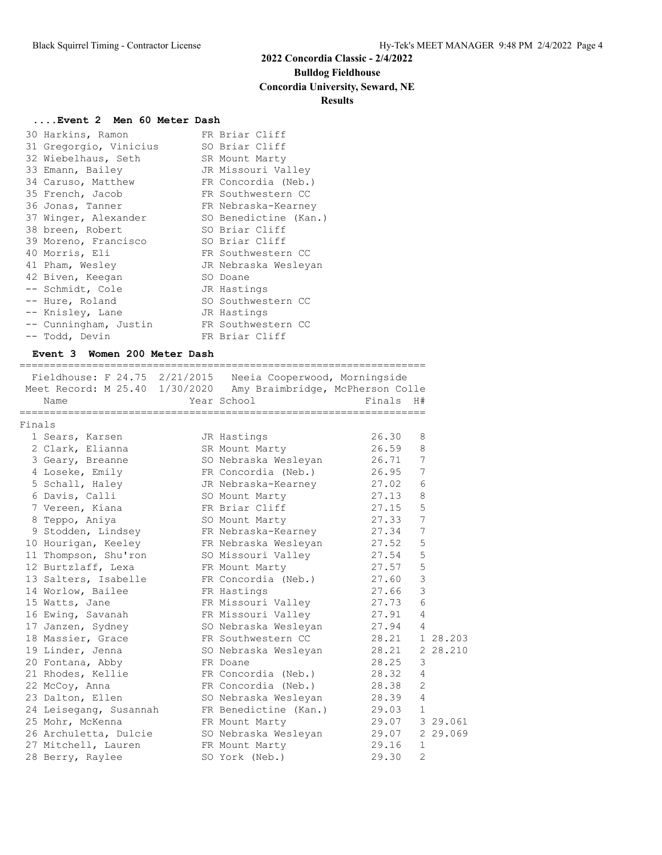**Bulldog Fieldhouse**

#### **Concordia University, Seward, NE**

#### **Results**

#### **....Event 2 Men 60 Meter Dash**

| 30 Harkins, Ramon      | FR Briar Cliff        |
|------------------------|-----------------------|
| 31 Gregorgio, Vinicius | SO Briar Cliff        |
| 32 Wiebelhaus, Seth    | SR Mount Marty        |
| 33 Emann, Bailey       | JR Missouri Valley    |
| 34 Caruso, Matthew     | FR Concordia (Neb.)   |
| 35 French, Jacob       | FR Southwestern CC    |
| 36 Jonas, Tanner       | FR Nebraska-Kearney   |
| 37 Winger, Alexander   | SO Benedictine (Kan.) |
| 38 breen, Robert       | SO Briar Cliff        |
| 39 Moreno, Francisco   | SO Briar Cliff        |
| 40 Morris, Eli         | FR Southwestern CC    |
| 41 Pham, Wesley        | JR Nebraska Wesleyan  |
| 42 Biven, Keegan       | SO Doane              |
| -- Schmidt, Cole       | JR Hastings           |
| -- Hure, Roland        | SO Southwestern CC    |
| -- Knisley, Lane       | JR Hastings           |
| -- Cunningham, Justin  | FR Southwestern CC    |
| -- Todd, Devin         | FR Briar Cliff        |

#### **Event 3 Women 200 Meter Dash**

| Fieldhouse: F 24.75 2/21/2015 Neeia Cooperwood, Morningside     |                              |                |                |
|-----------------------------------------------------------------|------------------------------|----------------|----------------|
| Meet Record: M 25.40 1/30/2020 Amy Braimbridge, McPherson Colle |                              |                |                |
| Name                                                            | Year School                  | Finals H#      |                |
| Finals                                                          |                              |                |                |
| 1 Sears, Karsen                                                 | JR Hastings                  | 26.30          | 8              |
| 2 Clark, Elianna                                                | SR Mount Marty               | 26.59          | 8              |
| 3 Geary, Breanne                                                | SO Nebraska Wesleyan 26.71   |                | 7              |
| 4 Loseke, Emily                                                 | FR Concordia (Neb.)          | 26.95          | 7              |
| 5 Schall, Haley                                                 | JR Nebraska-Kearney          | 27.02          | 6              |
| 6 Davis, Calli                                                  | SO Mount Marty               | 27.13          | 8              |
| 7 Vereen, Kiana                                                 | FR Briar Cliff               | 27.15          | 5              |
| 8 Teppo, Aniya                                                  | SO Mount Marty               | 27.33          | 7              |
| 9 Stodden, Lindsey                                              | FR Nebraska-Kearney          | 27.34          | 7              |
| 10 Hourigan, Keeley                                             | FR Nebraska Wesleyan         | 27.52          | 5              |
| 11 Thompson, Shu'ron                                            | SO Missouri Valley 27.54     |                | 5              |
| 12 Burtzlaff, Lexa                                              | FR Mount Marty               | 27.57          | 5              |
| 13 Salters, Isabelle                                            | FR Concordia (Neb.) 27.60    |                | 3              |
| 14 Worlow, Bailee                                               | FR Hastings                  | 27.66          | 3              |
| 15 Watts, Jane                                                  | FR Missouri Valley           | 27.73          | 6              |
| 16 Ewing, Savanah                                               | FR Missouri Valley 27.91     |                | $\overline{4}$ |
| 17 Janzen, Sydney                                               | SO Nebraska Wesleyan 27.94 4 |                |                |
| 18 Massier, Grace                                               | FR Southwestern CC           | 28.21 1 28.203 |                |
| 19 Linder, Jenna                                                | SO Nebraska Wesleyan         | 28.21 2 28.210 |                |
| 20 Fontana, Abby                                                | FR Doane                     | 28.25          | 3              |
| 21 Rhodes, Kellie                                               | FR Concordia (Neb.) 28.32    |                | $\overline{4}$ |
| 22 McCoy, Anna                                                  | FR Concordia (Neb.) 28.38    |                | $\overline{2}$ |
| 23 Dalton, Ellen                                                | SO Nebraska Wesleyan 28.39   |                | 4              |
| 24 Leisegang, Susannah                                          | FR Benedictine (Kan.)        | 29.03          | $\mathbf{1}$   |
| 25 Mohr, McKenna                                                | FR Mount Marty               | 29.07 3 29.061 |                |
| 26 Archuletta, Dulcie                                           | SO Nebraska Wesleyan 29.07   |                | 2 29.069       |
| 27 Mitchell, Lauren                                             | FR Mount Marty               | 29.16          | 1              |
| 28 Berry, Raylee                                                | SO York (Neb.)               | 29.30          | $\overline{2}$ |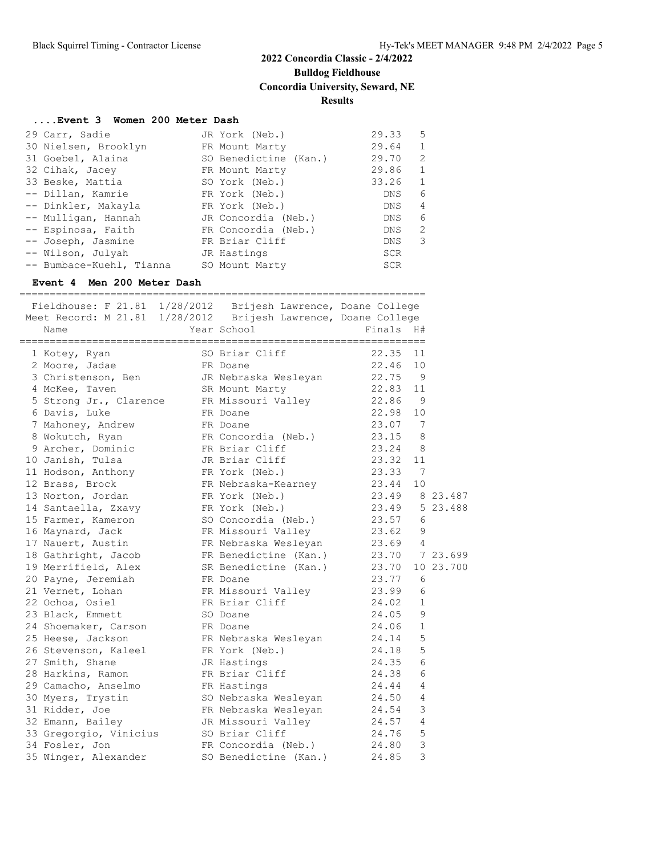## **2022 Concordia Classic - 2/4/2022 Bulldog Fieldhouse Concordia University, Seward, NE**

#### **Results**

#### **....Event 3 Women 200 Meter Dash**

| 29 Carr, Sadie           | JR York (Neb.)        | 29.33      | 5            |
|--------------------------|-----------------------|------------|--------------|
| 30 Nielsen, Brooklyn     | FR Mount Marty        | 29.64      | $\mathbf{1}$ |
| 31 Goebel, Alaina        | SO Benedictine (Kan.) | 29.70      | 2            |
| 32 Cihak, Jacey          | FR Mount Marty        | 29.86      | $\mathbf{1}$ |
| 33 Beske, Mattia         | SO York (Neb.)        | 33.26      | $\mathbf{1}$ |
| -- Dillan, Kamrie        | FR York (Neb.)        | DNS.       | 6            |
| -- Dinkler, Makayla      | FR York (Neb.)        | DNS.       | 4            |
| -- Mulligan, Hannah      | JR Concordia (Neb.)   | <b>DNS</b> | 6            |
| -- Espinosa, Faith       | FR Concordia (Neb.)   | DNS.       | 2            |
| -- Joseph, Jasmine       | FR Briar Cliff        | <b>DNS</b> | 3            |
| -- Wilson, Julyah        | JR Hastings           | <b>SCR</b> |              |
| -- Bumbace-Kuehl, Tianna | SO Mount Marty        | SCR        |              |

#### **Event 4 Men 200 Meter Dash**

| Fieldhouse: F 21.81 1/28/2012 Brijesh Lawrence, Doane College<br>Meet Record: M 21.81 1/28/2012  Brijesh Lawrence, Doane College<br>Name | Year School                 | ========================<br>Finals | H#          |
|------------------------------------------------------------------------------------------------------------------------------------------|-----------------------------|------------------------------------|-------------|
| 1 Kotey, Ryan                                                                                                                            | SO Briar Cliff              | 22.35                              | 11          |
| 2 Moore, Jadae                                                                                                                           | FR Doane                    | 22.46<br>10                        |             |
| 3 Christenson, Ben                                                                                                                       | JR Nebraska Wesleyan        | 22.75 9                            |             |
| 4 McKee, Taven                                                                                                                           | SR Mount Marty              | 22.83<br>11                        |             |
| 5 Strong Jr., Clarence                                                                                                                   | FR Missouri Valley 22.86 9  |                                    |             |
| 6 Davis, Luke                                                                                                                            | FR Doane                    | 22.98                              | 10          |
| 7 Mahoney, Andrew                                                                                                                        | FR Doane                    | 23.07 7                            |             |
| 8 Wokutch, Ryan                                                                                                                          | FR Concordia (Neb.)         | 23.15                              | 8           |
| 9 Archer, Dominic                                                                                                                        | FR Briar Cliff              | 23.24 8                            |             |
| 10 Janish, Tulsa                                                                                                                         | JR Briar Cliff              | 23.32<br>11                        |             |
| 11 Hodson, Anthony                                                                                                                       | FR York (Neb.)              | 23.33<br>$\overline{7}$            |             |
| 12 Brass, Brock                                                                                                                          | FR Nebraska-Kearney 23.44   | 10                                 |             |
| 13 Norton, Jordan                                                                                                                        | FR York (Neb.)              | 23.49 8 23.487                     |             |
| 14 Santaella, Zxavy                                                                                                                      | FR York (Neb.)              | 23.49 5 23.488                     |             |
| 15 Farmer, Kameron                                                                                                                       | SO Concordia (Neb.) 23.57 6 |                                    |             |
| 16 Maynard, Jack                                                                                                                         | FR Missouri Valley 23.62 9  |                                    |             |
| 17 Nauert, Austin                                                                                                                        | FR Nebraska Wesleyan        | 23.69 4                            |             |
| 18 Gathright, Jacob                                                                                                                      | FR Benedictine (Kan.)       | 23.70 7 23.699                     |             |
| 19 Merrifield, Alex                                                                                                                      | SR Benedictine (Kan.)       | 23.70                              | 10 23.700   |
| 20 Payne, Jeremiah                                                                                                                       | FR Doane                    | 23.77                              | 6           |
| 21 Vernet, Lohan                                                                                                                         | FR Missouri Valley          | 23.99                              | 6           |
| 22 Ochoa, Osiel                                                                                                                          | FR Briar Cliff              | 24.02                              | $\mathbf 1$ |
| 23 Black, Emmett                                                                                                                         | SO Doane                    | 24.05                              | 9           |
| 24 Shoemaker, Carson                                                                                                                     | FR Doane                    | 24.06                              | 1           |
| 25 Heese, Jackson                                                                                                                        | FR Nebraska Wesleyan        | 24.14                              | 5           |
| 26 Stevenson, Kaleel                                                                                                                     | FR York (Neb.)              | 24.18                              | 5           |
| 27 Smith, Shane                                                                                                                          | JR Hastings                 | 24.35                              | 6           |
| 28 Harkins, Ramon                                                                                                                        | FR Briar Cliff              | 24.38                              | 6           |
| 29 Camacho, Anselmo                                                                                                                      | FR Hastings                 | 24.44                              | 4           |
| 30 Myers, Trystin                                                                                                                        | SO Nebraska Wesleyan 24.50  |                                    | 4           |
| 31 Ridder, Joe                                                                                                                           | FR Nebraska Wesleyan 24.54  |                                    | 3           |
| 32 Emann, Bailey                                                                                                                         | JR Missouri Valley          | 24.57 4                            |             |
| 33 Gregorgio, Vinicius                                                                                                                   | SO Briar Cliff              | 24.76                              | 5           |
| 34 Fosler, Jon                                                                                                                           | FR Concordia (Neb.)         | 24.80                              | 3           |
| 35 Winger, Alexander                                                                                                                     | SO Benedictine (Kan.)       | 24.85                              | 3           |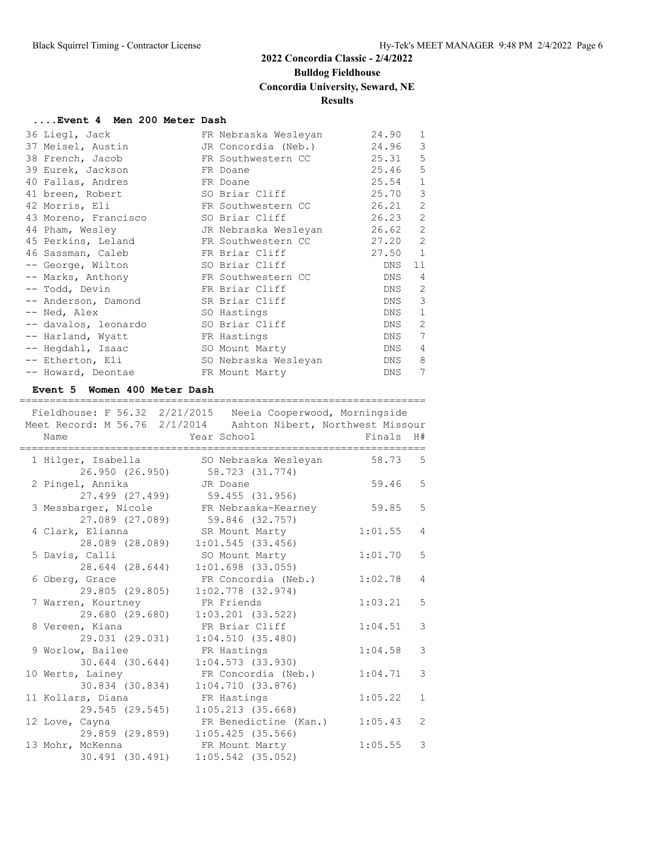## **2022 Concordia Classic - 2/4/2022 Bulldog Fieldhouse Concordia University, Seward, NE Results**

#### **....Event 4 Men 200 Meter Dash**

| 36 Liegl, Jack       | FR Nebraska Wesleyan | 24.90 | 1              |
|----------------------|----------------------|-------|----------------|
| 37 Meisel, Austin    | JR Concordia (Neb.)  | 24.96 | 3              |
| 38 French, Jacob     | FR Southwestern CC   | 25.31 | 5              |
| 39 Eurek, Jackson    | FR Doane             | 25.46 | 5              |
| 40 Fallas, Andres    | FR Doane             | 25.54 | $\mathbf{1}$   |
| 41 breen, Robert     | SO Briar Cliff       | 25.70 | 3              |
| 42 Morris, Eli       | FR Southwestern CC   | 26.21 | 2              |
| 43 Moreno, Francisco | SO Briar Cliff       | 26.23 | $\overline{2}$ |
| 44 Pham, Wesley      | JR Nebraska Wesleyan | 26.62 | 2              |
| 45 Perkins, Leland   | FR Southwestern CC   | 27.20 | $\overline{2}$ |
| 46 Sassman, Caleb    | FR Briar Cliff       | 27.50 | $\mathbf{1}$   |
| -- George, Wilton    | SO Briar Cliff       | DNS   | 11             |
| -- Marks, Anthony    | FR Southwestern CC   | DNS   | 4              |
| -- Todd, Devin       | FR Briar Cliff       | DNS   | 2              |
| -- Anderson, Damond  | SR Briar Cliff       | DNS   | 3              |
| -- Ned, Alex         | SO Hastings          | DNS   | $\mathbf{1}$   |
| -- davalos, leonardo | SO Briar Cliff       | DNS   | $\mathfrak{D}$ |
| -- Harland, Wyatt    | FR Hastings          | DNS   | 7              |
| -- Heqdahl, Isaac    | SO Mount Marty       | DNS   | 4              |
| -- Etherton, Eli     | SO Nebraska Wesleyan | DNS   | 8              |
| -- Howard, Deontae   | FR Mount Marty       | DNS   | 7              |

#### **Event 5 Women 400 Meter Dash**

| =======                                 | Fieldhouse: F 56.32 2/21/2015 Neeia Cooperwood, Morningside<br>Meet Record: M 56.76 2/1/2014 Ashton Nibert, Northwest Missour |         |                |
|-----------------------------------------|-------------------------------------------------------------------------------------------------------------------------------|---------|----------------|
| Name                                    | Year School                                                                                                                   | Finals  | H#             |
| 1 Hilger, Isabella<br>26.950 (26.950)   | SO Nebraska Wesleyan<br>58.723 (31.774)                                                                                       | 58.73   | 5              |
| 2 Pingel, Annika<br>27.499 (27.499)     | JR Doane<br>59.455 (31.956)                                                                                                   | 59.46   | 5              |
| 3 Messbarger, Nicole<br>27.089 (27.089) | FR Nebraska-Kearney<br>59.846 (32.757)                                                                                        | 59.85   | 5              |
| 4 Clark, Elianna<br>28.089 (28.089)     | SR Mount Marty<br>$1:01.545$ (33.456)                                                                                         | 1:01.55 | $\overline{4}$ |
| 5 Davis, Calli<br>28.644 (28.644)       | SO Mount Marty<br>$1:01.698$ $(33.055)$                                                                                       | 1:01.70 | 5              |
| 6 Oberg, Grace<br>29.805 (29.805)       | FR Concordia (Neb.)<br>$1:02.778$ (32.974)                                                                                    | 1:02.78 | 4              |
| 7 Warren, Kourtney<br>29.680 (29.680)   | FR Friends<br>$1:03.201$ $(33.522)$                                                                                           | 1:03.21 | 5              |
| 8 Vereen, Kiana<br>29.031 (29.031)      | FR Briar Cliff<br>1:04.510(35.480)                                                                                            | 1:04.51 | 3              |
| 9 Worlow, Bailee<br>30.644 (30.644)     | FR Hastings<br>1:04.573(33.930)                                                                                               | 1:04.58 | 3              |
| 10 Werts, Lainey<br>30.834 (30.834)     | FR Concordia (Neb.)<br>1:04.710(33.876)                                                                                       | 1:04.71 | 3              |
| 11 Kollars, Diana<br>29.545 (29.545)    | FR Hastings<br>$1:05.213$ $(35.668)$                                                                                          | 1:05.22 | $\mathbf{1}$   |
| 12 Love, Cayna<br>29.859 (29.859)       | FR Benedictine (Kan.)<br>$1:05.425$ (35.566)                                                                                  | 1:05.43 | $\overline{2}$ |
| 13 Mohr, McKenna<br>30.491 (30.491)     | FR Mount Marty<br>$1:05.542$ (35.052)                                                                                         | 1:05.55 | 3              |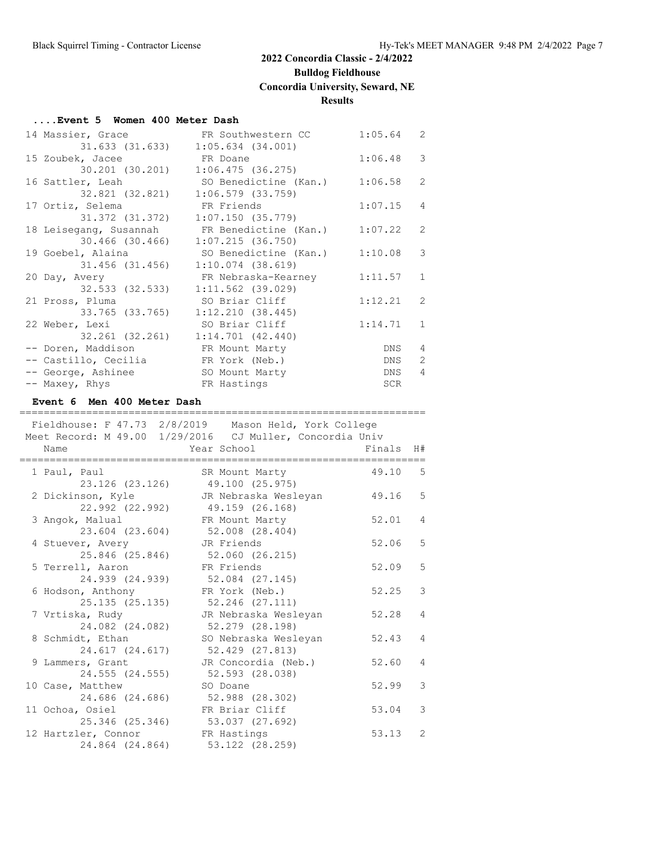## **Bulldog Fieldhouse**

## **Concordia University, Seward, NE**

#### **Results**

#### **....Event 5 Women 400 Meter Dash**

| 14 Massier, Grace                   | FR Southwestern CC                           | 1:05.64 | 2              |
|-------------------------------------|----------------------------------------------|---------|----------------|
| 31.633 (31.633)                     | $1:05.634$ $(34.001)$                        |         |                |
| 15 Zoubek, Jacee                    | FR Doane                                     | 1:06.48 | 3              |
| 30.201 (30.201)                     | 1:06.475(36.275)                             |         |                |
| 16 Sattler, Leah                    | SO Benedictine (Kan.)                        | 1:06.58 | 2              |
| 32.821 (32.821)                     | $1:06.579$ (33.759)                          |         |                |
| 17 Ortiz, Selema                    | FR Friends                                   | 1:07.15 | 4              |
| 31.372 (31.372)                     | 1:07.150(35.779)                             |         |                |
|                                     | 18 Leisegang, Susannah FR Benedictine (Kan.) | 1:07.22 | 2              |
| 30.466 (30.466)                     | 1:07.215(36.750)                             |         |                |
| 19 Goebel, Alaina                   | SO Benedictine (Kan.)                        | 1:10.08 | 3              |
| 31.456 (31.456)                     | $1:10.074$ (38.619)                          |         |                |
| 20 Day, Avery                       | FR Nebraska-Kearney                          | 1:11.57 | $\mathbf{1}$   |
| 32.533 (32.533)                     | $1:11.562$ (39.029)                          |         |                |
| 21 Pross, Pluma                     | SO Briar Cliff                               | 1:12.21 | 2              |
| 33.765 (33.765)                     | 1:12.210(38.445)                             |         |                |
| 22 Weber, Lexi                      | SO Briar Cliff                               | 1:14.71 | $\mathbf{1}$   |
|                                     | 32.261 (32.261) 1:14.701 (42.440)            |         |                |
| -- Doren, Maddison FR Mount Marty   |                                              | DNS     | 4              |
| -- Castillo, Cecilia FR York (Neb.) |                                              | DNS     | 2              |
| -- George, Ashinee                  | SO Mount Marty                               | DNS     | $\overline{4}$ |
| -- Maxey, Rhys                      | FR Hastings                                  | SCR     |                |

#### **Event 6 Men 400 Meter Dash**

| ============<br>Fieldhouse: F 47.73 2/8/2019 Mason Held, York College<br>Meet Record: M 49.00 1/29/2016 CJ Muller, Concordia Univ |                                         |        |                |
|-----------------------------------------------------------------------------------------------------------------------------------|-----------------------------------------|--------|----------------|
| Name                                                                                                                              | Year School                             | Finals | H#             |
| 1 Paul, Paul<br>23.126 (23.126)                                                                                                   | SR Mount Marty<br>49.100 (25.975)       | 49.10  | -5             |
| 2 Dickinson, Kyle<br>22.992 (22.992)                                                                                              | JR Nebraska Wesleyan<br>49.159 (26.168) | 49.16  | 5              |
| 3 Angok, Malual<br>23.604 (23.604)                                                                                                | FR Mount Marty<br>52,008 (28,404)       | 52.01  | 4              |
| 4 Stuever, Avery<br>25.846 (25.846)                                                                                               | JR Friends<br>52.060 (26.215)           | 52.06  | 5              |
| 5 Terrell, Aaron<br>24.939 (24.939)                                                                                               | FR Friends<br>52.084 (27.145)           | 52.09  | 5              |
| 6 Hodson, Anthony<br>25.135(25.135)                                                                                               | FR York (Neb.)<br>52.246 (27.111)       | 52.25  | 3              |
| 7 Vrtiska, Rudy<br>24.082 (24.082)                                                                                                | JR Nebraska Wesleyan<br>52.279 (28.198) | 52.28  | $\overline{4}$ |
| 8 Schmidt, Ethan<br>24.617 (24.617)                                                                                               | SO Nebraska Wesleyan<br>52.429 (27.813) | 52.43  | 4              |
| 9 Lammers, Grant<br>24.555 (24.555)                                                                                               | JR Concordia (Neb.)<br>52.593 (28.038)  | 52.60  | 4              |
| 10 Case, Matthew<br>24.686 (24.686) 52.988 (28.302)                                                                               | SO Doane                                | 52.99  | 3              |
| 11 Ochoa, Osiel<br>25.346 (25.346)                                                                                                | FR Briar Cliff<br>53.037 (27.692)       | 53.04  | 3              |
| 12 Hartzler, Connor<br>24.864 (24.864)                                                                                            | FR Hastings<br>53.122 (28.259)          | 53.13  | 2              |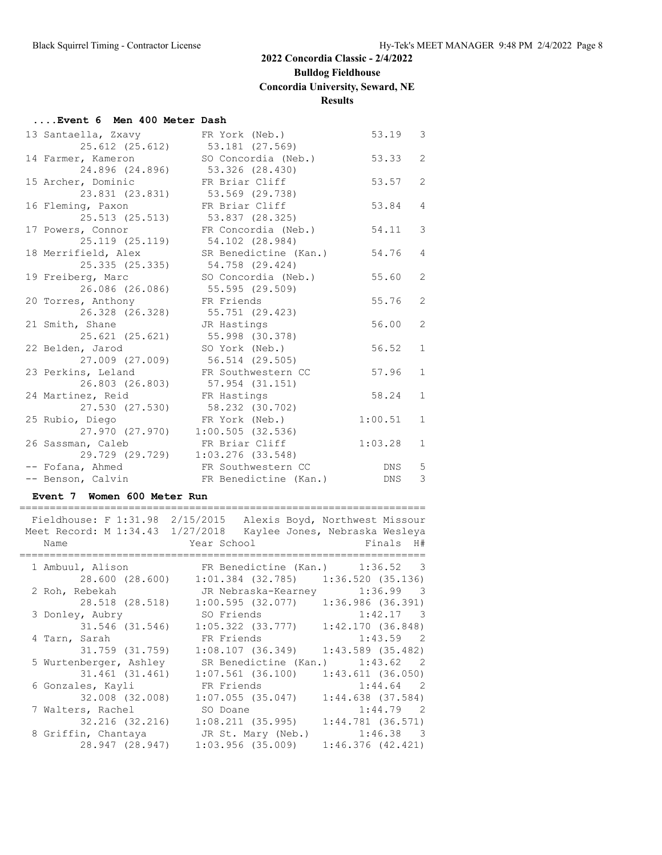## **Bulldog Fieldhouse**

**Concordia University, Seward, NE**

#### **Results**

#### **....Event 6 Men 400 Meter Dash**

| 13 Santaella, Zxavy | FR York (Neb.)        | 53.19      | 3              |
|---------------------|-----------------------|------------|----------------|
| 25.612 (25.612)     | 53.181 (27.569)       |            |                |
| 14 Farmer, Kameron  | SO Concordia (Neb.)   | 53.33      | $\overline{2}$ |
| 24.896 (24.896)     | 53.326 (28.430)       |            |                |
| 15 Archer, Dominic  | FR Briar Cliff        | 53.57      | $\overline{2}$ |
| 23.831 (23.831)     | 53.569 (29.738)       |            |                |
| 16 Fleming, Paxon   | FR Briar Cliff        | 53.84      | 4              |
| 25.513 (25.513)     | 53.837 (28.325)       |            |                |
| 17 Powers, Connor   | FR Concordia (Neb.)   | 54.11      | 3              |
| 25.119 (25.119)     | 54.102 (28.984)       |            |                |
| 18 Merrifield, Alex | SR Benedictine (Kan.) | 54.76      | 4              |
| 25.335 (25.335)     | 54.758 (29.424)       |            |                |
| 19 Freiberg, Marc   | SO Concordia (Neb.)   | 55.60      | $\overline{2}$ |
| 26.086 (26.086)     | 55.595 (29.509)       |            |                |
| 20 Torres, Anthony  | FR Friends            | 55.76      | 2              |
| 26.328 (26.328)     | 55.751 (29.423)       |            |                |
| 21 Smith, Shane     | JR Hastings           | 56.00      | $\overline{2}$ |
| 25.621 (25.621)     | 55.998 (30.378)       |            |                |
| 22 Belden, Jarod    | SO York (Neb.)        | 56.52      | $\mathbf{1}$   |
| 27.009 (27.009)     | 56.514 (29.505)       |            |                |
| 23 Perkins, Leland  | FR Southwestern CC    | 57.96      | $\mathbf{1}$   |
| 26.803 (26.803)     | 57.954 (31.151)       |            |                |
| 24 Martinez, Reid   | FR Hastings           | 58.24      | $\mathbf{1}$   |
| 27.530 (27.530)     | 58.232 (30.702)       |            |                |
| 25 Rubio, Diego     | FR York (Neb.)        | 1:00.51    | $\mathbf{1}$   |
| 27.970 (27.970)     | 1:00.505(32.536)      |            |                |
| 26 Sassman, Caleb   | FR Briar Cliff        | 1:03.28    | $\mathbf{1}$   |
| 29.729 (29.729)     | $1:03.276$ (33.548)   |            |                |
| -- Fofana, Ahmed    | FR Southwestern CC    | DNS        | 5              |
| -- Benson, Calvin   | FR Benedictine (Kan.) | <b>DNS</b> | 3              |

#### **Event 7 Women 600 Meter Run**

|                                  | Fieldhouse: F 1:31.98 2/15/2015 Alexis Boyd, Northwest Missour                                                |                                |
|----------------------------------|---------------------------------------------------------------------------------------------------------------|--------------------------------|
| Meet Record: M 1:34.43 1/27/2018 |                                                                                                               | Kaylee Jones, Nebraska Wesleya |
| Name                             | Year School and School                                                                                        | Finals H#                      |
|                                  |                                                                                                               |                                |
| 1 Ambuul, Alison                 | FR Benedictine (Kan.) 1:36.52 3                                                                               |                                |
| 28.600 (28.600)                  | $1:01.384$ (32.785) $1:36.520$ (35.136)                                                                       |                                |
| 2 Roh, Rebekah                   | JR Nebraska-Kearney                                                                                           | $1:36.99$ 3                    |
| 28.518 (28.518)                  | $1:00.595$ (32.077) 1:36.986 (36.391)                                                                         |                                |
| 3 Donley, Aubry                  | SO Friends                                                                                                    | $1:42.17$ 3                    |
| 31.546 (31.546)                  | $1:05.322$ (33.777) $1:42.170$ (36.848)                                                                       |                                |
| 4 Tarn, Sarah                    | FR Friends and the state of the state of the state of the state of the state of the state of the state of the | $1:43.59$ 2                    |
| 31.759 (31.759)                  | $1:08.107$ (36.349) $1:43.589$ (35.482)                                                                       |                                |
| 5 Wurtenberger, Ashley           | SR Benedictine (Kan.) 1:43.62 2                                                                               |                                |
| 31.461 (31.461)                  | $1:07.561$ (36.100)                                                                                           | 1:43.611(36.050)               |
| 6 Gonzales, Kayli                | FR Friends                                                                                                    | $1:44.64$ 2                    |
| 32.008 (32.008)                  | $1:07.055$ (35.047)                                                                                           | $1:44.638$ (37.584)            |
| 7 Walters, Rachel                | SO Doane                                                                                                      | $1:44.79$ 2                    |
| 32.216 (32.216)                  | $1:08,211$ (35.995) $1:44,781$ (36.571)                                                                       |                                |
| 8 Griffin, Chantaya              | JR St. Mary (Neb.)                                                                                            | $1:46.38$ 3                    |
| 28.947 (28.947)                  | $1:03.956$ (35.009)                                                                                           | 1:46.376(42.421)               |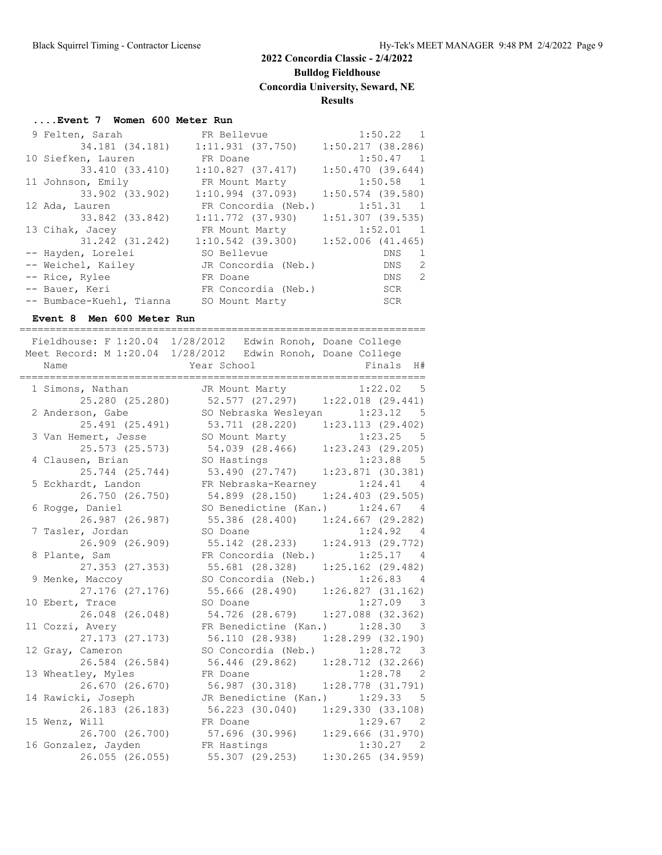**Bulldog Fieldhouse**

**Concordia University, Seward, NE**

#### **Results**

#### **....Event 7 Women 600 Meter Run**

| 9 Felten, Sarah          | FR Bellevue                           | $1:50.22$ 1         |
|--------------------------|---------------------------------------|---------------------|
|                          | 34.181 (34.181) 1:11.931 (37.750)     | $1:50.217$ (38.286) |
| 10 Siefken, Lauren       | FR Doane                              | $1:50.47$ 1         |
| 33.410 (33.410)          | 1:10.827(37.417)                      | 1:50.470(39.644)    |
| 11 Johnson, Emily        | FR Mount Marty                        | $1:50.58$ 1         |
| 33.902 (33.902)          | $1:10.994$ (37.093)                   | $1:50.574$ (39.580) |
| 12 Ada, Lauren           | FR Concordia (Neb.)                   | $1:51.31$ 1         |
| 33.842 (33.842)          | $1:11.772$ (37.930)                   | $1:51.307$ (39.535) |
| 13 Cihak, Jacey          | FR Mount Marty                        | $1:52.01$ 1         |
| 31.242 (31.242)          | $1:10.542$ (39.300) 1:52.006 (41.465) |                     |
| -- Hayden, Lorelei       | SO Bellevue                           | DNS<br>-1           |
| -- Weichel, Kailey       | JR Concordia (Neb.)                   | -2<br>DNS           |
| -- Rice, Rylee           | FR Doane                              | -2<br>DNS           |
| -- Bauer, Keri           | FR Concordia (Neb.)                   | SCR                 |
| -- Bumbace-Kuehl, Tianna | SO Mount Marty                        | SCR                 |

#### **Event 8 Men 600 Meter Run**

=================================================================== Fieldhouse: F 1:20.04 1/28/2012 Edwin Ronoh, Doane College Meet Record: M 1:20.04 1/28/2012 Edwin Ronoh, Doane College<br>Name Year School Finals H# Name **Year School** Finals H# =================================================================== 1 Simons, Nathan JR Mount Marty 1:22.02 5 25.280 (25.280) 52.577 (27.297) 1:22.018 (29.441) 2 Anderson, Gabe SO Nebraska Wesleyan 1:23.12 5 25.491 (25.491) 53.711 (28.220) 1:23.113 (29.402) 3 Van Hemert, Jesse SO Mount Marty 1:23.25 5 25.573 (25.573) 54.039 (28.466) 1:23.243 (29.205) 4 Clausen, Brian SO Hastings 1:23.88 5 25.744 (25.744) 53.490 (27.747) 1:23.871 (30.381) 5 Eckhardt, Landon FR Nebraska-Kearney 1:24.41 4 26.750 (26.750) 54.899 (28.150) 1:24.403 (29.505) 6 Rogge, Daniel SO Benedictine (Kan.) 1:24.67 4 26.987 (26.987) 55.386 (28.400) 1:24.667 (29.282) 7 Tasler, Jordan SO Doane 1:24.92 4 26.909 (26.909) 55.142 (28.233) 1:24.913 (29.772) 8 Plante, Sam FR Concordia (Neb.) 1:25.17 4 27.353 (27.353) 55.681 (28.328) 1:25.162 (29.482) 9 Menke, Maccoy SO Concordia (Neb.) 1:26.83 4 27.176 (27.176) 55.666 (28.490) 1:26.827 (31.162) 10 Ebert, Trace SO Doane 1:27.09 3 26.048 (26.048) 54.726 (28.679) 1:27.088 (32.362) 11 Cozzi, Avery FR Benedictine (Kan.) 1:28.30 3 27.173 (27.173) 56.110 (28.938) 1:28.299 (32.190) 12 Gray, Cameron SO Concordia (Neb.) 1:28.72 3 26.584 (26.584) 56.446 (29.862) 1:28.712 (32.266) 13 Wheatley, Myles FR Doane 1:28.78 2 26.670 (26.670) 56.987 (30.318) 1:28.778 (31.791) 14 Rawicki, Joseph JR Benedictine (Kan.) 1:29.33 5 26.183 (26.183) 56.223 (30.040) 1:29.330 (33.108) 15 Wenz, Will FR Doane 1:29.67 2 26.700 (26.700) 57.696 (30.996) 1:29.666 (31.970) 16 Gonzalez, Jayden FR Hastings 1:30.27 2 26.055 (26.055) 55.307 (29.253) 1:30.265 (34.959)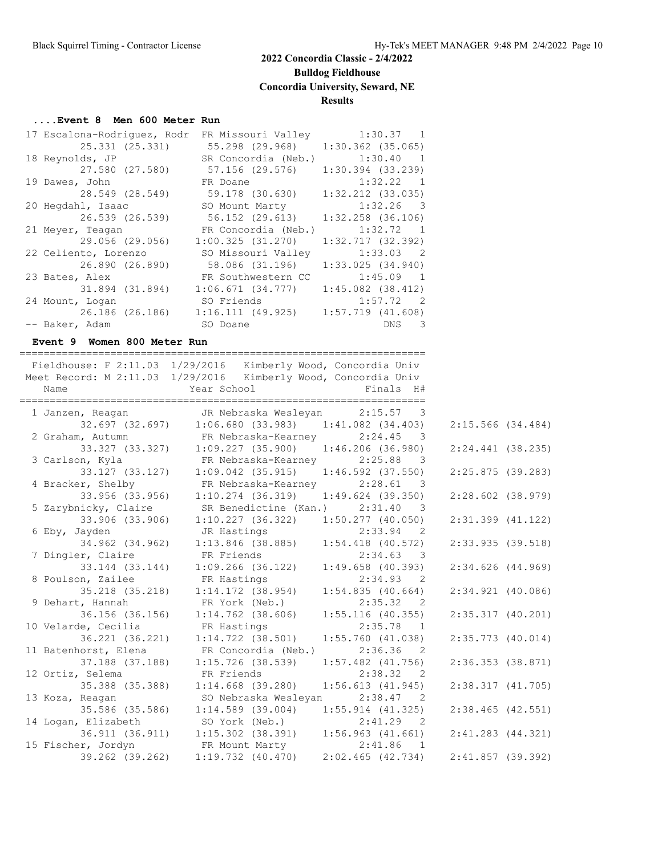## **2022 Concordia Classic - 2/4/2022 Bulldog Fieldhouse Concordia University, Seward, NE**

#### **Results**

#### **....Event 8 Men 600 Meter Run**

| 17 Escalona-Rodriquez, Rodr FR Missouri Valley |                     | $1:30.37$ 1           |
|------------------------------------------------|---------------------|-----------------------|
| 25.331 (25.331)                                | 55.298 (29.968)     | $1:30.362$ $(35.065)$ |
| 18 Reynolds, JP                                | SR Concordia (Neb.) | 1:30.40 1             |
| 27.580 (27.580)                                | 57.156 (29.576)     | $1:30.394$ $(33.239)$ |
| 19 Dawes, John                                 | FR Doane            | 1:32.22 1             |
| 28.549 (28.549)                                | 59.178 (30.630)     | $1:32.212$ $(33.035)$ |
| 20 Hegdahl, Isaac                              | SO Mount Marty      | $1:32.26$ 3           |
| 26.539 (26.539)                                | 56.152 (29.613)     | $1:32.258$ (36.106)   |
| 21 Meyer, Teagan                               | FR Concordia (Neb.) | 1:32.72 1             |
| 29.056 (29.056)                                | 1:00.325(31.270)    | 1:32.717(32.392)      |
| 22 Celiento, Lorenzo                           | SO Missouri Valley  | $1:33.03$ 2           |
| 26.890 (26.890)                                | 58.086 (31.196)     | 1:33.025(34.940)      |
| 23 Bates, Alex                                 | FR Southwestern CC  | $1:45.09$ 1           |
| 31.894 (31.894)                                | 1:06.671(34.777)    | $1:45.082$ $(38.412)$ |
| 24 Mount, Logan                                | SO Friends          | $1:57.72$ 2           |
| 26.186 (26.186)                                | 1:16.111(49.925)    | $1:57.719$ $(41.608)$ |
| -- Baker, Adam                                 | SO Doane            | DNS 3                 |

#### **Event 9 Women 800 Meter Run**

| Name                 | Fieldhouse: F 2:11.03 1/29/2016 Kimberly Wood, Concordia Univ<br>Meet Record: M 2:11.03 1/29/2016 Kimberly Wood, Concordia Univ<br>Year School | Finals H#                 |
|----------------------|------------------------------------------------------------------------------------------------------------------------------------------------|---------------------------|
|                      |                                                                                                                                                |                           |
| 1 Janzen, Reagan     | JR Nebraska Wesleyan 2:15.57 3                                                                                                                 |                           |
|                      | $32.697$ (32.697) 1:06.680 (33.983) 1:41.082 (34.403)                                                                                          |                           |
| 2 Graham, Autumn     | m, Autumn FR Nebraska-Kearney 2:24.45 3<br>33.327 (33.327) 1:09.227 (35.900) 1:46.206 (36.980)                                                 |                           |
|                      |                                                                                                                                                |                           |
|                      | 3 Carlson, Kyla KR Nebraska-Kearney 2:25.88 3                                                                                                  |                           |
|                      | 33.127 (33.127) 1:09.042 (35.915) 1:46.592 (37.550)                                                                                            |                           |
| 4 Bracker, Shelby    | FR Nebraska-Kearney 2:28.61                                                                                                                    | $\overline{\phantom{a}}$  |
| 33.956 (33.956)      | $1:10.274$ (36.319) $1:49.624$ (39.350)                                                                                                        |                           |
| 5 Zarybnicky, Claire | SR Benedictine (Kan.) 2:31.40 3                                                                                                                |                           |
| 33.906 (33.906)      | $1:10.227$ (36.322) $1:50.277$ (40.050)                                                                                                        |                           |
| 6 Eby, Jayden        | JR Hastings                                                                                                                                    | $2:33.94$ 2               |
|                      | 34.962 (34.962) 1:13.846 (38.885) 1:54.418 (40.572)                                                                                            |                           |
| 7 Dingler, Claire    | FR Friends                                                                                                                                     | 2:34.63 3                 |
| 33.144 (33.144)      | $1:09.266$ (36.122) $1:49.658$ (40.393)                                                                                                        |                           |
| 8 Poulson, Zailee    | FR Hastings                                                                                                                                    | 2:34.93 2                 |
|                      | $35.218$ (35.218) $1:14.172$ (38.954)                                                                                                          | 1:54.835(40.664)          |
| 9 Dehart, Hannah     | FR York (Neb.)                                                                                                                                 | 2:35.32 2                 |
| 36.156 (36.156)      | $1:14.762$ (38.606)                                                                                                                            | $1:55.116$ (40.355)       |
| 10 Velarde, Cecilia  | FR Hastings                                                                                                                                    | 2:35.78<br>$\overline{1}$ |
| 36.221 (36.221)      | $1:14.722$ $(38.501)$                                                                                                                          | $1:55.760$ $(41.038)$     |
| 11 Batenhorst, Elena | FR Concordia (Neb.)                                                                                                                            | $2:36.36$ 2               |
| 37.188 (37.188)      | $1:15.726$ (38.539)                                                                                                                            | $1:57.482$ (41.756)       |
| 12 Ortiz, Selema     | FR Friends                                                                                                                                     | 2:38.32 2                 |
|                      | 35.388 (35.388) 1:14.668 (39.280)                                                                                                              | 1:56.613(41.945)          |
| 13 Koza, Reagan      | SO Nebraska Wesleyan                                                                                                                           | $2:38.47$ 2               |
| 35.586 (35.586)      | $1:14.589$ (39.004) $1:55.914$ (41.325)                                                                                                        |                           |
| 14 Logan, Elizabeth  | Elizabeth SO York (Neb.) 2:41.29 2<br>36.911 (36.911) 1:15.302 (38.391) 1:56.963 (41.661)                                                      |                           |
|                      |                                                                                                                                                |                           |
|                      | 15 Fischer, Jordyn FR Mount Marty 2:41.86 1<br>39.262 (39.262) 1:19.732 (40.470) 2:02.465 (42.734)                                             |                           |
|                      |                                                                                                                                                |                           |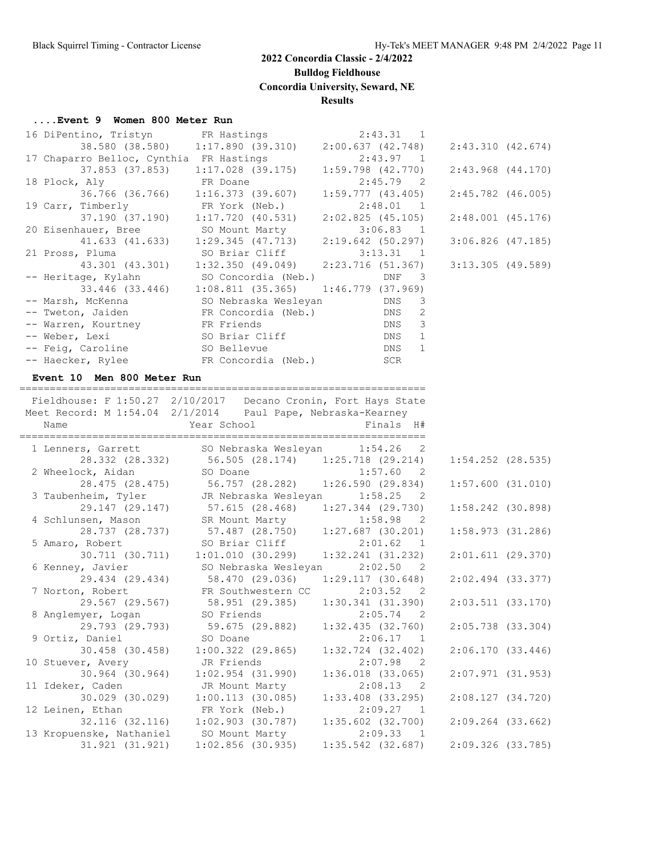**Bulldog Fieldhouse**

**Concordia University, Seward, NE**

#### **Results**

#### **....Event 9 Women 800 Meter Run**

| 16 DiPentino, Tristyn<br>38.580 (38.580)                       | FR Hastings<br>1:17.890(39.310)                                   | 2:43.31 1<br>2:00.637(42.748)                              | 2:43.310(42.674)      |  |
|----------------------------------------------------------------|-------------------------------------------------------------------|------------------------------------------------------------|-----------------------|--|
| 17 Chaparro Belloc, Cynthia FR Hastings                        |                                                                   | 2:43.97 1                                                  |                       |  |
| 37.853 (37.853)<br>18 Plock, Aly                               | $1:17.028$ (39.175)<br>FR Doane                                   | $1:59.798$ $(42.770)$<br>$2:45.79$ 2                       | $2:43.968$ $(44.170)$ |  |
| 36.766 (36.766)                                                | 1:16.373(39.607)                                                  | 1:59.777(43.405)                                           | $2:45.782$ (46.005)   |  |
| 19 Carr, Timberly                                              | FR York (Neb.)                                                    | 2:48.01<br>$\overline{1}$                                  |                       |  |
| 37.190 (37.190)                                                | 1:17.720(40.531)                                                  | $2:02.825$ (45.105)                                        | $2:48.001$ (45.176)   |  |
| 20 Eisenhauer, Bree                                            | SO Mount Marty                                                    | 3:06.83 1                                                  |                       |  |
| 41.633 (41.633)                                                | $1:29.345$ $(47.713)$                                             | 2:19.642 (50.297)                                          | $3:06.826$ (47.185)   |  |
| 21 Pross, Pluma                                                | SO Briar Cliff                                                    | 3:13.31<br>$\overline{\phantom{1}}$                        |                       |  |
| 43.301 (43.301)                                                | 1:32.350(49.049)                                                  | 2:23.716(51.367)                                           | $3:13.305$ (49.589)   |  |
| -- Heritage, Kylahn                                            | SO Concordia (Neb.)                                               | DNF<br>$\overline{\phantom{a}}$                            |                       |  |
|                                                                | 33.446 (33.446) $1:08.811$ (35.365) $1:46.779$ (37.969)           |                                                            |                       |  |
| -- Marsh, McKenna                                              |                                                                   | 3                                                          |                       |  |
| -- Tweton, Jaiden                                              |                                                                   | DNS<br>פותח<br>2<br>DNS                                    |                       |  |
| -- Warren, Kourtney                                            | SO Nebraska Wesleyan<br>FR Concordia (Neb.)<br>FR Friends         | DNS<br>3                                                   |                       |  |
| -- Weber, Lexi                                                 | SO Briar Cliff                                                    | DNS<br>1                                                   |                       |  |
| -- Feig, Caroline                                              | SO Bellevue                                                       | DNS<br>$\mathbf{1}$                                        |                       |  |
| -- Haecker, Rylee                                              | FR Concordia (Neb.)                                               | SCR                                                        |                       |  |
|                                                                |                                                                   |                                                            |                       |  |
| Event 10 Men 800 Meter Run                                     |                                                                   |                                                            |                       |  |
| Fieldhouse: F 1:50.27 2/10/2017 Decano Cronin, Fort Hays State |                                                                   |                                                            |                       |  |
| Meet Record: M 1:54.04 2/1/2014 Paul Pape, Nebraska-Kearney    |                                                                   |                                                            |                       |  |
| Name                                                           | Year School                                                       | Finals H#                                                  |                       |  |
|                                                                |                                                                   |                                                            |                       |  |
|                                                                |                                                                   |                                                            |                       |  |
|                                                                |                                                                   |                                                            |                       |  |
| 1 Lenners, Garrett SO Nebraska Wesleyan 1:54.26 2              | 28.332 (28.332) 56.505 (28.174) 1:25.718 (29.214)                 |                                                            | $1:54.252$ $(28.535)$ |  |
| 2 Wheelock, Aidan                                              | SO Doane                                                          | 1:57.60<br>$\overline{\phantom{0}}^2$                      |                       |  |
|                                                                | 28.475 (28.475) 56.757 (28.282) 1:26.590 (29.834)                 |                                                            | 1:57.600(31.010)      |  |
| 3 Taubenheim, Tyler                                            |                                                                   | $1:58.25$ 2                                                |                       |  |
| 29.147 (29.147)                                                | JR Nebraska Wesleyan                                              |                                                            | $1:58.242$ (30.898)   |  |
| 4 Schlunsen, Mason                                             | 57.615 (28.468) 1:27.344 (29.730)<br>SR Mount Marty 1:58.98 2     |                                                            |                       |  |
|                                                                | 28.737 (28.737) 57.487 (28.750) 1:27.687 (30.201)                 |                                                            | 1:58.973(31.286)      |  |
| 5 Amaro, Robert                                                | SO Briar Cliff                                                    | 2:01.62<br>$\mathbf{1}$                                    |                       |  |
| 30.711 (30.711)                                                | 1:01.010 (30.299) 1:32.241 (31.232)                               |                                                            | $2:01.611$ (29.370)   |  |
| 6 Kenney, Javier                                               | SO Nebraska Wesleyan                                              | 2:02.50 2                                                  |                       |  |
| 29.434 (29.434)                                                |                                                                   |                                                            | $2:02.494$ $(33.377)$ |  |
| 7 Norton, Robert                                               | 58.470 (29.036) 1:29.117 (30.648)<br>FR Southwestern CC 2:03.52 2 |                                                            |                       |  |
| 29.567 (29.567)                                                | 58.951 (29.385)                                                   | 1:30.341 (31.390)                                          | $2:03.511$ (33.170)   |  |
| 8 Anglemyer, Logan                                             | SO Friends                                                        | 2:05.74<br>$\overline{\phantom{0}}^2$                      |                       |  |
| 29.793 (29.793)                                                | 59.675 (29.882)                                                   | 1:32.435(32.760)                                           | 2:05.738 (33.304)     |  |
| 9 Ortiz, Daniel                                                | SO Doane                                                          | 2:06.17<br>$\overline{1}$                                  |                       |  |
| 30.458 (30.458)                                                | $1:00.322$ (29.865)                                               | $1:32.724$ $(32.402)$                                      | 2:06.170(33.446)      |  |
| 10 Stuever, Avery                                              | JR Friends                                                        | 2:07.98<br>$\overline{\phantom{0}}^2$                      |                       |  |
| 30.964 (30.964)                                                | $1:02.954$ (31.990)                                               | $1:36.018$ $(33.065)$                                      | $2:07.971$ (31.953)   |  |
| 11 Ideker, Caden                                               | JR Mount Marty                                                    | 2:08.13<br>$\overline{\phantom{0}}^2$                      |                       |  |
| 30.029 (30.029)                                                | 1:00.113(30.085)                                                  | 1:33.408 (33.295)                                          | 2:08.127(34.720)      |  |
| 12 Leinen, Ethan                                               | FR York (Neb.)                                                    | 2:09.27<br>$\blacksquare$                                  |                       |  |
| 32.116 (32.116)                                                | $1:02.903$ (30.787)                                               | $1:35.602$ (32.700)                                        | $2:09.264$ (33.662)   |  |
| 13 Kropuenske, Nathaniel<br>31.921 (31.921)                    | SO Mount Marty<br>$1:02.856$ (30.935)                             | 2:09.33<br>$\overline{\phantom{1}}$<br>$1:35.542$ (32.687) | 2:09.326 (33.785)     |  |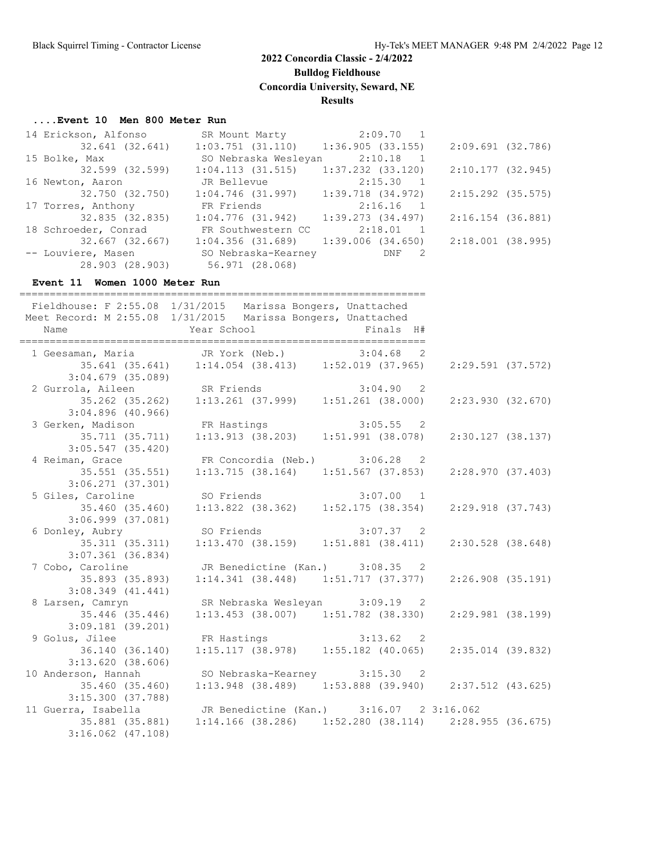**Bulldog Fieldhouse**

**Concordia University, Seward, NE**

#### **Results**

#### **....Event 10 Men 800 Meter Run**

| 14 Erickson, Alfonso |                      | SR Mount Marty 2:09.70 1                |                     |  |
|----------------------|----------------------|-----------------------------------------|---------------------|--|
| 32.641 (32.641)      |                      | $1:03.751$ (31.110) $1:36.905$ (33.155) | 2:09.691(32.786)    |  |
| 15 Bolke, Max        | SO Nebraska Wesleyan | $2:10.18$ 1                             |                     |  |
| 32.599 (32.599)      | 1:04.113(31.515)     | $1:37.232$ $(33.120)$                   | 2:10.177 (32.945)   |  |
| 16 Newton, Aaron     | JR Bellevue          | 2:15.30 1                               |                     |  |
| 32.750 (32.750)      | $1:04.746$ (31.997)  | 1:39.718 (34.972)                       | $2:15.292$ (35.575) |  |
| 17 Torres, Anthony   | FR Friends 2:16.16 1 |                                         |                     |  |
| 32.835 (32.835)      | 1:04.776(31.942)     | 1:39.273(34.497)                        | 2:16.154 (36.881)   |  |
| 18 Schroeder, Conrad | FR Southwestern CC   | $2:18.01$ 1                             |                     |  |
| 32.667 (32.667)      |                      | $1:04.356$ (31.689) 1:39.006 (34.650)   | 2:18.001 (38.995)   |  |
| -- Louviere, Masen   | SO Nebraska-Kearney  | DNF 2                                   |                     |  |
| 28.903 (28.903)      | 56.971 (28.068)      |                                         |                     |  |

#### **Event 11 Women 1000 Meter Run**

| ------------------------------------- | ___________________________                                                                                                 |
|---------------------------------------|-----------------------------------------------------------------------------------------------------------------------------|
|                                       | Fieldhouse: F 2:55.08 1/31/2015 Marissa Bongers, Unattached<br>Meet Record: M 2:55.08 1/31/2015 Marissa Bongers, Unattached |
|                                       | 1 Geesaman, Maria <i>JR York (Neb.)</i> 3:04.68 2                                                                           |
|                                       | 35.641 (35.641) 1:14.054 (38.413) 1:52.019 (37.965)                                                                         |
| $3:04.679$ (35.089)                   |                                                                                                                             |
|                                       |                                                                                                                             |
|                                       | 2 Gurrola, Aileen SR Friends 3:04.90 2<br>35.262 (35.262) 1:13.261 (37.999) 1:51.261 (38.000)                               |
| 3:04.896(40.966)                      |                                                                                                                             |
|                                       | 3 Gerken, Madison FR Hastings 3:05.55 2                                                                                     |
|                                       | 35.711 (35.711) 1:13.913 (38.203) 1:51.991 (38.078)                                                                         |
| $3:05.547$ (35.420)                   |                                                                                                                             |
|                                       | 4 Reiman, Grace 6 FR Concordia (Neb.) 3:06.28 2                                                                             |
|                                       | 35.551 (35.551)  1:13.715 (38.164)  1:51.567 (37.853)                                                                       |
| $3:06.271$ $(37.301)$                 |                                                                                                                             |
|                                       |                                                                                                                             |
|                                       | 5 Giles, Caroline 5 SO Friends 3:07.00 1<br>35.460 (35.460) 1:13.822 (38.362) 1:52.175 (38.354) 2:29.918 (37.743)           |
| $3:06.999$ $(37.081)$                 |                                                                                                                             |
|                                       | 6 Donley, Aubry 50 Friends 3:07.37 2                                                                                        |
|                                       | 35.311 (35.311) 1:13.470 (38.159) 1:51.881 (38.411) 2:30.528 (38.648)                                                       |
| $3:07.361$ (36.834)                   |                                                                                                                             |
|                                       | 7 Cobo, Caroline         JR Benedictine (Kan.)     3:08.35   2                                                              |
|                                       | 35.893 (35.893)    1:14.341 (38.448)    1:51.717 (37.377)                                                                   |
| 3:08.349(41.441)                      |                                                                                                                             |
|                                       | 8 Larsen, Camryn SR Nebraska Wesleyan 3:09.19 2                                                                             |
| 35.446 (35.446)                       | $1:13.453$ (38.007) $1:51.782$ (38.330)                                                                                     |
| 3:09.181(39.201)                      |                                                                                                                             |
|                                       | 9 Golus, Jilee FR Hastings 3:13.62 2<br>36.140 (36.140) 1:15.117 (38.978) 1:55.182 (40.065)                                 |
|                                       |                                                                                                                             |
| 3:13.620(38.606)                      |                                                                                                                             |
|                                       | 10 Anderson, Hannah SO Nebraska-Kearney 3:15.30 2                                                                           |
| 35.460 (35.460)                       | $1:13.948$ (38.489) $1:53.888$ (39.940) $2:37.512$ (43.625)                                                                 |
| 3:15.300(37.788)                      |                                                                                                                             |
|                                       | 11 Guerra, Isabella JR Benedictine (Kan.) 3:16.07 2 3:16.062                                                                |
|                                       | 35.881 (35.881) 1:14.166 (38.286) 1:52.280 (38.114) 2:28.955 (36.675)                                                       |
| $3:16.062$ $(47.108)$                 |                                                                                                                             |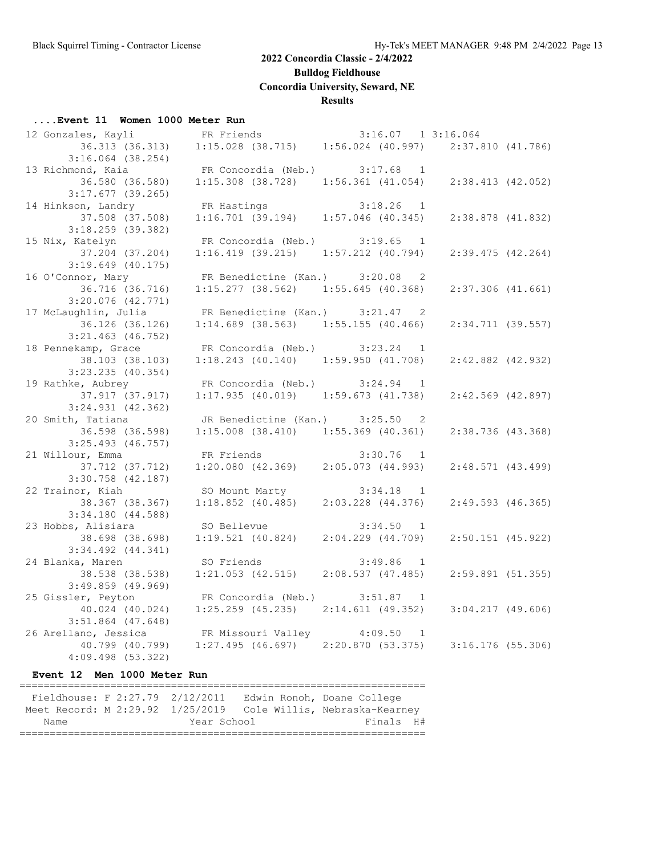**Bulldog Fieldhouse**

**Concordia University, Seward, NE**

#### **Results**

#### **....Event 11 Women 1000 Meter Run**

| 12 Gonzales, Kayli    | FR Friends                              | 3:16.07 1 3:16.064                      |                       |  |
|-----------------------|-----------------------------------------|-----------------------------------------|-----------------------|--|
| 36.313 (36.313)       | $1:15.028$ (38.715)                     | $1:56.024$ (40.997) $2:37.810$ (41.786) |                       |  |
| $3:16.064$ (38.254)   |                                         |                                         |                       |  |
| 13 Richmond, Kaia     | FR Concordia (Neb.) 3:17.68 1           |                                         |                       |  |
| 36.580 (36.580)       | $1:15.308$ (38.728) $1:56.361$ (41.054) |                                         | $2:38.413$ (42.052)   |  |
| $3:17.677$ (39.265)   |                                         |                                         |                       |  |
| 14 Hinkson, Landry    | FR Hastings                             | $3:18.26$ 1                             |                       |  |
| 37.508 (37.508)       | 1:16.701(39.194)                        | $1:57.046$ (40.345)                     | 2:38.878 (41.832)     |  |
| 3:18.259 (39.382)     |                                         |                                         |                       |  |
| 15 Nix, Katelyn       | FR Concordia (Neb.) 3:19.65 1           |                                         |                       |  |
| 37.204 (37.204)       | $1:16.419$ (39.215) $1:57.212$ (40.794) |                                         | $2:39.475$ (42.264)   |  |
| $3:19.649$ (40.175)   |                                         |                                         |                       |  |
| 16 O'Connor, Mary     | FR Benedictine (Kan.) 3:20.08 2         |                                         |                       |  |
| 36.716 (36.716)       | $1:15.277$ (38.562) $1:55.645$ (40.368) |                                         | $2:37.306$ $(41.661)$ |  |
| $3:20.076$ $(42.771)$ |                                         |                                         |                       |  |
| 17 McLaughlin, Julia  | FR Benedictine (Kan.) 3:21.47           | $\overline{2}$                          |                       |  |
| 36.126 (36.126)       | $1:14.689$ (38.563) 1:55.155 (40.466)   |                                         | 2:34.711 (39.557)     |  |
| $3:21.463$ (46.752)   |                                         |                                         |                       |  |
| 18 Pennekamp, Grace   | FR Concordia (Neb.) $3:23.24$ 1         |                                         |                       |  |
| 38.103 (38.103)       | $1:18.243$ (40.140) $1:59.950$ (41.708) |                                         | $2:42.882$ (42.932)   |  |
| $3:23.235$ (40.354)   |                                         |                                         |                       |  |
| 19 Rathke, Aubrey     | FR Concordia (Neb.) 3:24.94             | $\overline{1}$                          |                       |  |
| 37.917 (37.917)       | $1:17.935$ (40.019) $1:59.673$ (41.738) |                                         | $2:42.569$ (42.897)   |  |
| $3:24.931$ $(42.362)$ |                                         |                                         |                       |  |
| 20 Smith, Tatiana     | JR Benedictine (Kan.) 3:25.50 2         |                                         |                       |  |
| 36.598 (36.598)       | $1:15.008$ (38.410) $1:55.369$ (40.361) |                                         | 2:38.736 (43.368)     |  |
| $3:25.493$ (46.757)   |                                         |                                         |                       |  |
| 21 Willour, Emma      | FR Friends                              | $3:30.76$ 1                             |                       |  |
| 37.712 (37.712)       | $1:20.080$ (42.369) $2:05.073$ (44.993) |                                         | 2:48.571(43.499)      |  |
| $3:30.758$ (42.187)   |                                         |                                         |                       |  |
| 22 Trainor, Kiah      | SO Mount Marty 3:34.18 1                |                                         |                       |  |
| 38.367 (38.367)       | $1:18.852$ (40.485) $2:03.228$ (44.376) |                                         | $2:49.593$ (46.365)   |  |
| 3:34.180(44.588)      |                                         |                                         |                       |  |
| 23 Hobbs, Alisiara    | SO Bellevue                             | 3:34.50 1                               |                       |  |
| 38.698 (38.698)       | 1:19.521(40.824)                        | $2:04.229$ $(44.709)$                   | $2:50.151$ (45.922)   |  |
| $3:34.492$ $(44.341)$ |                                         |                                         |                       |  |
| 24 Blanka, Maren      | SO Friends                              | $3:49.86$ 1                             |                       |  |
| 38.538 (38.538)       | $1:21.053$ $(42.515)$                   | 2:08.537(47.485)                        | $2:59.891$ (51.355)   |  |
| $3:49.859$ (49.969)   |                                         |                                         |                       |  |
| 25 Gissler, Peyton    | FR Concordia (Neb.) 3:51.87 1           |                                         |                       |  |
| 40.024 (40.024)       | $1:25.259$ (45.235) $2:14.611$ (49.352) |                                         | $3:04.217$ (49.606)   |  |
| $3:51.864$ (47.648)   |                                         |                                         |                       |  |
| 26 Arellano, Jessica  | FR Missouri Valley 4:09.50 1            |                                         |                       |  |
| 40.799 (40.799)       | 1:27.495(46.697)                        | 2:20.870(53.375)                        | 3:16.176 (55.306)     |  |
| $4:09.498$ $(53.322)$ |                                         |                                         |                       |  |
|                       |                                         |                                         |                       |  |

**Event 12 Men 1000 Meter Run**

| Fieldhouse: F 2:27.79 2/12/2011 |             | Edwin Ronoh, Doane College                                     |
|---------------------------------|-------------|----------------------------------------------------------------|
|                                 |             | Meet Record: M 2:29.92 1/25/2019 Cole Willis, Nebraska-Kearney |
| Name                            | Year School | Finals H#                                                      |
|                                 |             |                                                                |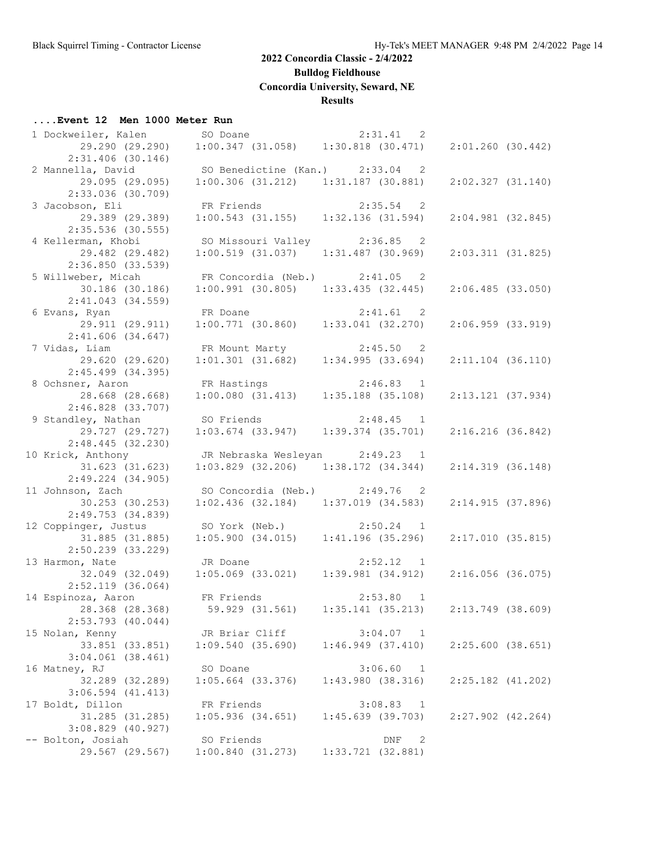**Bulldog Fieldhouse**

**Concordia University, Seward, NE**

#### **Results**

#### **....Event 12 Men 1000 Meter Run**

| 1 Dockweiler, Kalen SO Doane |                                         | 2:31.41 2                                                       |                       |  |
|------------------------------|-----------------------------------------|-----------------------------------------------------------------|-----------------------|--|
| 29.290 (29.290)              |                                         | $1:00.347$ (31.058) $1:30.818$ (30.471)                         | $2:01.260$ (30.442)   |  |
| $2:31.406$ (30.146)          |                                         |                                                                 |                       |  |
| 2 Mannella, David            | SO Benedictine (Kan.) 2:33.04 2         |                                                                 |                       |  |
| 29.095 (29.095)              |                                         |                                                                 |                       |  |
|                              |                                         | $1:00.306$ (31.212) $1:31.187$ (30.881)                         | 2:02.327(31.140)      |  |
| 2:33.036 (30.709)            |                                         |                                                                 |                       |  |
| 3 Jacobson, Eli              | FR Friends                              | 2:35.54 2                                                       |                       |  |
| 29.389 (29.389)              | $1:00.543$ (31.155)                     | 1:32.136(31.594)                                                | $2:04.981$ (32.845)   |  |
| $2:35.536$ (30.555)          |                                         |                                                                 |                       |  |
| 4 Kellerman, Khobi           |                                         | SO Missouri Valley 2:36.85 2                                    |                       |  |
| 29.482 (29.482)              | 1:00.519(31.037)                        | $1:31.487$ (30.969)                                             | 2:03.311(31.825)      |  |
| 2:36.850(33.539)             |                                         |                                                                 |                       |  |
| 5 Willweber, Micah           | FR Concordia (Neb.) 2:41.05 2           |                                                                 |                       |  |
|                              |                                         | $1:00.991$ (30.805) $1:33.435$ (32.445)                         |                       |  |
| 30.186 (30.186)              |                                         |                                                                 | 2:06.485(33.050)      |  |
| $2:41.043$ (34.559)          |                                         |                                                                 |                       |  |
| 6 Evans, Ryan                |                                         | FR Doane 2:41.61 2<br>1:00.771 (30.860) 1:33.041 (32.270)       |                       |  |
| 29.911 (29.911)              |                                         |                                                                 | $2:06.959$ $(33.919)$ |  |
| $2:41.606$ (34.647)          |                                         |                                                                 |                       |  |
| 7 Vidas, Liam                | FR Mount Marty                          |                                                                 |                       |  |
| 29.620 (29.620)              |                                         | FR Mount Marty 2:45.50 2<br>1:01.301 (31.682) 1:34.995 (33.694) | $2:11.104$ (36.110)   |  |
| $2:45.499$ (34.395)          |                                         |                                                                 |                       |  |
| 8 Ochsner, Aaron             | FR Hastings                             | $2:46.83$ 1                                                     |                       |  |
|                              |                                         |                                                                 |                       |  |
| 28.668 (28.668)              | 1:00.080(31.413)                        | $1:35.188$ (35.108)                                             | $2:13.121$ (37.934)   |  |
| $2:46.828$ $(33.707)$        |                                         |                                                                 |                       |  |
| 9 Standley, Nathan           | SO Friends                              | $2:48.45$ 1                                                     |                       |  |
| 29.727 (29.727)              | $1:03.674$ (33.947)                     | $1:39.374$ $(35.701)$                                           | $2:16.216$ (36.842)   |  |
| 2:48.445(32.230)             |                                         |                                                                 |                       |  |
| 10 Krick, Anthony            | JR Nebraska Wesleyan 2:49.23 1          |                                                                 |                       |  |
| 31.623 (31.623)              |                                         | $1:03.829$ (32.206) $1:38.172$ (34.344)                         | 2:14.319 (36.148)     |  |
| 2:49.224 (34.905)            |                                         |                                                                 |                       |  |
|                              |                                         |                                                                 |                       |  |
| 11 Johnson, Zach             |                                         | SO Concordia (Neb.) 2:49.76 2                                   |                       |  |
| 30.253 (30.253)              |                                         | $1:02.436$ (32.184) $1:37.019$ (34.583)                         | 2:14.915(37.896)      |  |
| 2:49.753(34.839)             |                                         |                                                                 |                       |  |
| 12 Coppinger, Justus         | SO York (Neb.) 2:50.24 1                |                                                                 |                       |  |
| 31.885 (31.885)              | $1:05.900$ (34.015) $1:41.196$ (35.296) |                                                                 | 2:17.010(35.815)      |  |
| $2:50.239$ (33.229)          |                                         |                                                                 |                       |  |
| 13 Harmon, Nate              | JR Doane                                | 2:52.12 1                                                       |                       |  |
| 32.049 (32.049)              |                                         | $1:05.069$ (33.021) $1:39.981$ (34.912)                         | $2:16.056$ (36.075)   |  |
| $2:52.119$ (36.064)          |                                         |                                                                 |                       |  |
| 14 Espinoza, Aaron           | FR Friends 2:53.80 1                    |                                                                 |                       |  |
|                              |                                         |                                                                 |                       |  |
| 28.368 (28.368)              | 59.929 (31.561)                         | 1:35.141(35.213)                                                | 2:13.749 (38.609)     |  |
| $2:53.793$ (40.044)          |                                         |                                                                 |                       |  |
| 15 Nolan, Kenny              | JR Briar Cliff                          | 3:04.07 1                                                       |                       |  |
| 33.851 (33.851)              | 1:09.540(35.690)                        | 1:46.949(37.410)                                                | 2:25.600(38.651)      |  |
| $3:04.061$ $(38.461)$        |                                         |                                                                 |                       |  |
| 16 Matney, RJ                | SO Doane                                | 3:06.60<br>$\overline{1}$                                       |                       |  |
| 32.289 (32.289)              | $1:05.664$ (33.376)                     | 1:43.980(38.316)                                                | $2:25.182$ $(41.202)$ |  |
| $3:06.594$ $(41.413)$        |                                         |                                                                 |                       |  |
|                              | FR Friends                              | 3:08.83 1                                                       |                       |  |
| 17 Boldt, Dillon             |                                         |                                                                 |                       |  |
| 31.285 (31.285)              | $1:05.936$ $(34.651)$                   | 1:45.639(39.703)                                                | $2:27.902$ $(42.264)$ |  |
| $3:08.829$ (40.927)          |                                         |                                                                 |                       |  |
| -- Bolton, Josiah            | SO Friends                              | DNF<br>$\overline{\phantom{0}}^2$                               |                       |  |
| 29.567 (29.567)              | 1:00.840(31.273)                        | $1:33.721$ $(32.881)$                                           |                       |  |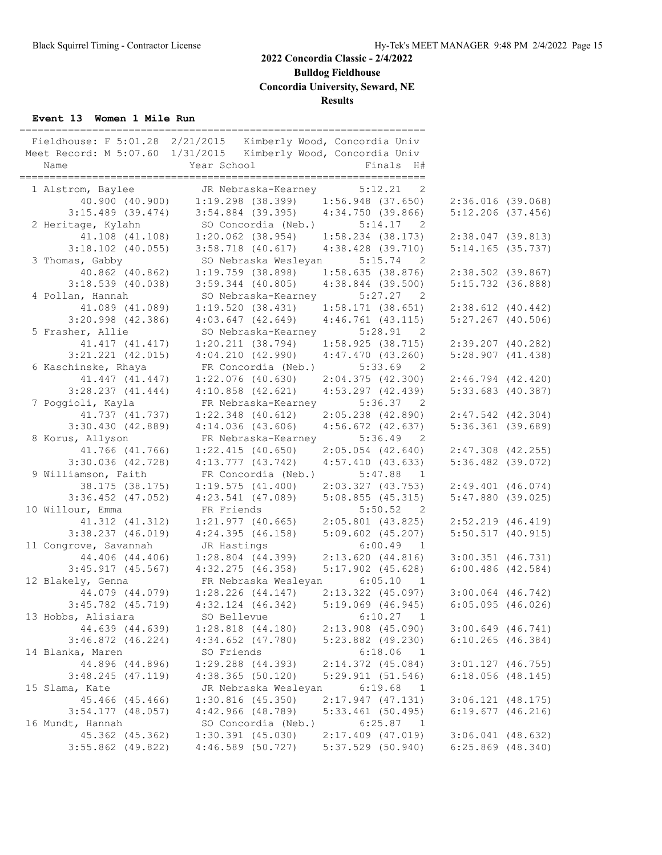**Bulldog Fieldhouse**

**Concordia University, Seward, NE**

## **Results**

#### **Event 13 Women 1 Mile Run**

|                       | __________________________________                                   |                                       |                       |
|-----------------------|----------------------------------------------------------------------|---------------------------------------|-----------------------|
|                       | Fieldhouse: F 5:01.28 2/21/2015 Kimberly Wood, Concordia Univ        |                                       |                       |
|                       | Meet Record: M 5:07.60 1/31/2015 Kimberly Wood, Concordia Univ       |                                       |                       |
| Name                  | Year School                                                          | Finals H#                             |                       |
|                       |                                                                      |                                       |                       |
| 1 Alstrom, Baylee     |                                                                      |                                       |                       |
| 40.900 (40.900)       | JR Nebraska-Kearney 5:12.21 2<br>1:19.298 (38.399) 1:56.948 (37.650) |                                       | $2:36.016$ (39.068)   |
| $3:15.489$ (39.474)   | $3:54.884$ (39.395) $4:34.750$ (39.866)                              |                                       | $5:12.206$ (37.456)   |
| 2 Heritage, Kylahn    | SO Concordia (Neb.)                                                  | 5:14.17<br>$\overline{2}$             |                       |
| 41.108 (41.108)       | $1:20.062$ (38.954) $1:58.234$ (38.173)                              |                                       | $2:38.047$ (39.813)   |
| $3:18.102$ (40.055)   | $3:58.718$ (40.617) $4:38.428$ (39.710)                              |                                       | $5:14.165$ (35.737)   |
| 3 Thomas, Gabby       | SO Nebraska Wesleyan                                                 | $5:15.74$ 2                           |                       |
|                       | $1:19.759$ (38.898)                                                  |                                       |                       |
| 40.862 (40.862)       |                                                                      | $1:58.635$ (38.876)                   | $2:38.502$ (39.867)   |
| $3:18.539$ (40.038)   | $3:59.344$ (40.805)                                                  | $4:38.844$ (39.500)                   | 5:15.732 (36.888)     |
| 4 Pollan, Hannah      | SO Nebraska-Kearney                                                  | 5:27.27<br>$\overline{2}$             |                       |
| 41.089 (41.089)       | 1:19.520(38.431)                                                     | 1:58.171(38.651)                      | $2:38.612$ (40.442)   |
| $3:20.998$ (42.386)   | $4:03.647$ (42.649) $4:46.761$ (43.115)                              |                                       | $5:27.267$ (40.506)   |
| 5 Frasher, Allie      | SO Nebraska-Kearney                                                  | 5:28.91<br>$\overline{\phantom{0}}^2$ |                       |
| 41.417 (41.417)       | $1:20.211$ (38.794) $1:58.925$ (38.715)                              |                                       | $2:39.207$ (40.282)   |
| $3:21.221$ $(42.015)$ | $4:04.210$ $(42.990)$ $4:47.470$ $(43.260)$                          |                                       | 5:28.907(41.438)      |
| 6 Kaschinske, Rhaya   | FR Concordia (Neb.)                                                  | $5:33.69$ 2                           |                       |
| 41.447 (41.447)       | $1:22.076$ (40.630)                                                  | 2:04.375(42.300)                      | $2:46.794$ $(42.420)$ |
| $3:28.237$ $(41.444)$ | $4:10.858$ $(42.621)$                                                | $4:53.297$ $(42.439)$                 | $5:33.683$ (40.387)   |
| 7 Poggioli, Kayla     | FR Nebraska-Kearney                                                  | 5:36.37 2                             |                       |
| 41.737 (41.737)       | $1:22.348$ $(40.612)$                                                | $2:05.238$ $(42.890)$                 | $2:47.542$ $(42.304)$ |
| 3:30.430(42.889)      | 4:14.036(43.606)                                                     | $4:56.672$ $(42.637)$                 | $5:36.361$ (39.689)   |
| 8 Korus, Allyson      | FR Nebraska-Kearney                                                  | 5:36.49<br>$\overline{2}$             |                       |
| 41.766 (41.766)       | $1:22.415$ (40.650)                                                  | $2:05.054$ $(42.640)$                 | $2:47.308$ $(42.255)$ |
| 3:30.036 (42.728)     | $4:13.777$ (43.742) $4:57.410$ (43.633)                              |                                       | $5:36.482$ (39.072)   |
| 9 Williamson, Faith   | FR Concordia (Neb.) 5:47.88                                          | $\overline{1}$                        |                       |
|                       | 1:19.575(41.400)                                                     | 2:03.327 (43.753)                     | $2:49.401$ (46.074)   |
| 38.175 (38.175)       |                                                                      |                                       |                       |
| $3:36.452$ (47.052)   | $4:23.541$ (47.089)                                                  | 5:08.855(45.315)                      | $5:47.880$ (39.025)   |
| 10 Willour, Emma      | FR Friends                                                           | 5:50.52<br>$\overline{2}$             |                       |
| 41.312 (41.312)       | $1:21.977$ (40.665) $2:05.801$ (43.825)                              |                                       | $2:52.219$ $(46.419)$ |
| $3:38.237$ (46.019)   | 4:24.395(46.158)                                                     | $5:09.602$ $(45.207)$                 | $5:50.517$ (40.915)   |
| 11 Congrove, Savannah | JR Hastings                                                          | 6:00.49<br>$\overline{1}$             |                       |
| 44.406 (44.406)       | $1:28.804$ $(44.399)$                                                | 2:13.620(44.816)                      | $3:00.351$ (46.731)   |
| $3:45.917$ (45.567)   | 4:32.275(46.358)                                                     | $5:17.902$ (45.628)                   | $6:00.486$ (42.584)   |
| 12 Blakely, Genna     | FR Nebraska Wesleyan                                                 | 6:05.10<br>$\overline{1}$             |                       |
| 44.079 (44.079)       | $1:28.226$ $(44.147)$                                                | $2:13.322$ (45.097)                   | $3:00.064$ $(46.742)$ |
| 3:45.782 (45.719)     | $4:32.124$ $(46.342)$                                                | $5:19.069$ (46.945)                   | $6:05.095$ (46.026)   |
| 13 Hobbs, Alisiara    | SO Bellevue                                                          | 6:10.27 1                             |                       |
| 44.639 (44.639)       | $1:28.818$ $(44.180)$                                                | $2:13.908$ (45.090)                   | $3:00.649$ $(46.741)$ |
| $3:46.872$ (46.224)   | $4:34.652$ (47.780)                                                  | $5:23.882$ (49.230)                   | $6:10.265$ (46.384)   |
| 14 Blanka, Maren      | SO Friends                                                           | 6:18.06<br>$\mathbf{1}$               |                       |
| 44.896 (44.896)       | $1:29.288$ $(44.393)$                                                | $2:14.372$ (45.084)                   | $3:01.127$ (46.755)   |
| 3:48.245(47.119)      | $4:38.365$ (50.120)                                                  | 5:29.911(51.546)                      | $6:18.056$ $(48.145)$ |
| 15 Slama, Kate        | JR Nebraska Wesleyan                                                 | 6:19.68<br>$\overline{\phantom{0}}$   |                       |
| 45.466 (45.466)       | $1:30.816$ (45.350)                                                  | 2:17.947(47.131)                      | $3:06.121$ $(48.175)$ |
|                       |                                                                      |                                       |                       |
| $3:54.177$ (48.057)   | $4:42.966$ $(48.789)$                                                | $5:33.461$ (50.495)                   | $6:19.677$ $(46.216)$ |
| 16 Mundt, Hannah      | SO Concordia (Neb.)                                                  | 6:25.87<br>$\overline{1}$             |                       |
| 45.362 (45.362)       | $1:30.391$ $(45.030)$                                                | $2:17.409$ (47.019)                   | $3:06.041$ $(48.632)$ |
| $3:55.862$ (49.822)   | $4:46.589$ (50.727)                                                  | $5:37.529$ (50.940)                   | $6:25.869$ $(48.340)$ |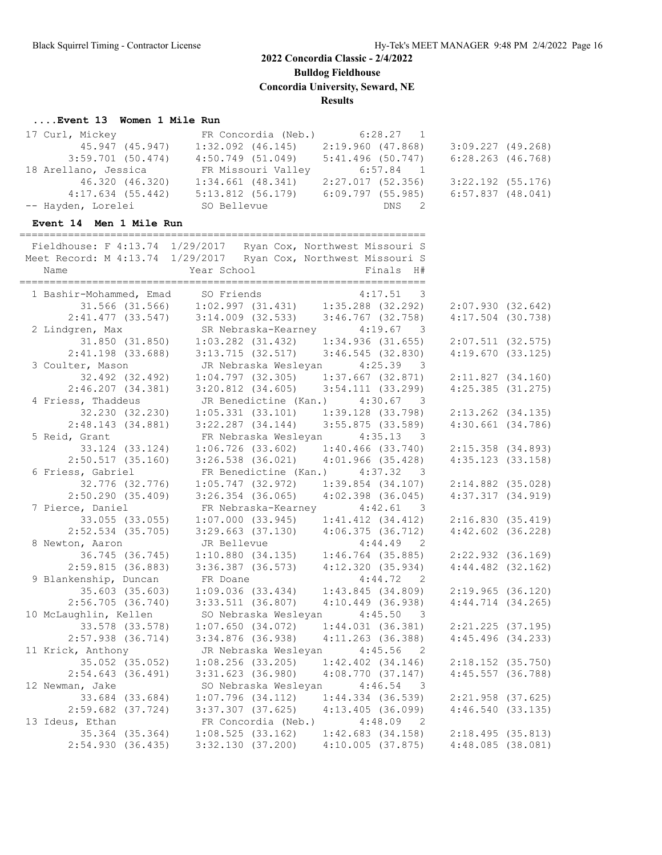**Bulldog Fieldhouse**

**Concordia University, Seward, NE**

**Results**

## **....Event 13 Women 1 Mile Run**

| 17 Curl, Mickey                           | FR Concordia (Neb.) 6:28.27 1                                                                                                                                |                       |                       |  |
|-------------------------------------------|--------------------------------------------------------------------------------------------------------------------------------------------------------------|-----------------------|-----------------------|--|
| 45.947 (45.947)                           | $1:32.092$ $(46.145)$                                                                                                                                        | $2:19.960$ (47.868)   | $3:09.227$ (49.268)   |  |
| $3:59.701$ (50.474)                       | 4:50.749(51.049)                                                                                                                                             | $5:41.496$ (50.747)   | $6:28.263$ $(46.768)$ |  |
| 18 Arellano, Jessica                      |                                                                                                                                                              |                       |                       |  |
| 46.320 (46.320)                           | FR Missouri Valley 6:57.84 1<br>1:34.661 (48.341) 2:27.017 (52.356)                                                                                          | 2:27.017(52.356)      | $3:22.192$ (55.176)   |  |
|                                           | 4:17.634 (55.442) 5:13.812 (56.179) 6:09.797 (55.985)                                                                                                        |                       | $6:57.837$ $(48.041)$ |  |
| -- Hayden, Lorelei                        | SO Bellevue                                                                                                                                                  | DNS<br>$\overline{2}$ |                       |  |
| Event 14 Men 1 Mile Run                   |                                                                                                                                                              |                       |                       |  |
|                                           |                                                                                                                                                              |                       |                       |  |
|                                           | Fieldhouse: F 4:13.74 1/29/2017 Ryan Cox, Northwest Missouri S                                                                                               |                       |                       |  |
|                                           | Meet Record: M 4:13.74 1/29/2017 Ryan Cox, Northwest Missouri S                                                                                              |                       |                       |  |
| Name                                      | Year School                                                                                                                                                  | Finals H#             |                       |  |
|                                           |                                                                                                                                                              |                       |                       |  |
|                                           | 1 Bashir-Mohammed, Emad SO Friends 4:17.51 3<br>31.566 (31.566) 1:02.997 (31.431) 1:35.288 (32.292)<br>2:41.477 (33.547) 3:14.009 (32.533) 3:46.767 (32.758) |                       |                       |  |
|                                           |                                                                                                                                                              |                       | 2:07.930(32.642)      |  |
|                                           |                                                                                                                                                              |                       | $4:17.504$ (30.738)   |  |
| 2 Lindgren, Max                           | SR Nebraska-Kearney 4:19.67 3                                                                                                                                |                       |                       |  |
| 31.850 (31.850)                           | $1:03.282$ (31.432) $1:34.936$ (31.655)                                                                                                                      |                       | $2:07.511$ (32.575)   |  |
| $2:41.198$ (33.688)                       | $3:13.715$ (32.517) $3:46.545$ (32.830)                                                                                                                      |                       | 4:19.670(33.125)      |  |
| 3 Coulter, Mason                          | JR Nebraska Wesleyan                                                                                                                                         | $4:25.39$ 3           |                       |  |
| 32.492 (32.492)                           | $1:04.797$ (32.305) $1:37.667$ (32.871)                                                                                                                      |                       | 2:11.827(34.160)      |  |
| $2:46.207$ (34.381)                       | $3:20.812$ (34.605) $3:54.111$ (33.299)                                                                                                                      |                       | $4:25.385$ $(31.275)$ |  |
| 4 Friess, Thaddeus                        | JR Benedictine (Kan.) 4:30.67 3                                                                                                                              |                       |                       |  |
| 32.230 (32.230)                           | $1:05.331$ (33.101)                                                                                                                                          | 1:39.128 (33.798)     | $2:13.262$ $(34.135)$ |  |
| 2:48.143 (34.881)                         | $3:22.287$ (34.144) $3:55.875$ (33.589)                                                                                                                      |                       | $4:30.661$ $(34.786)$ |  |
| 5 Reid, Grant                             | FR Nebraska Wesleyan 4:35.13 3                                                                                                                               |                       |                       |  |
| 33.124 (33.124)                           | $1:06.726$ (33.602) $1:40.466$ (33.740)                                                                                                                      |                       | 2:15.358 (34.893)     |  |
| $2:50.517$ (35.160)                       | $3:26.538$ (36.021) $4:01.966$ (35.428)                                                                                                                      |                       | $4:35.123$ $(33.158)$ |  |
| 6 Friess, Gabriel                         | FR Benedictine (Kan.) 4:37.32 3                                                                                                                              |                       |                       |  |
| 32.776 (32.776)                           | $1:05.747$ (32.972)                                                                                                                                          | 1:39.854 (34.107)     | $2:14.882$ (35.028)   |  |
| 2:50.290(35.409)                          | $3:26.354$ (36.065)                                                                                                                                          | $4:02.398$ (36.045)   | 4:37.317 (34.919)     |  |
| 7 Pierce, Daniel                          | FR Nebraska-Kearney 4:42.61 3                                                                                                                                |                       |                       |  |
| 33.055 (33.055)                           | $1:07.000(33.945)$ $1:41.412(34.412)$                                                                                                                        |                       | 2:16.830(35.419)      |  |
| $2:52.534$ (35.705)                       | $3:29.663$ (37.130) $4:06.375$ (36.712)                                                                                                                      |                       | $4:42.602$ (36.228)   |  |
| 8 Newton, Aaron                           | JR Bellevue<br>$1:10.880$ (34.135) $1:46.764$ (35.885)                                                                                                       | $4:44.49$ 2           |                       |  |
| 36.745 (36.745)                           |                                                                                                                                                              |                       | 2:22.932 (36.169)     |  |
| 2:59.815(36.883)<br>9 Blankenship, Duncan | $3:36.387$ (36.573) $4:12.320$ (35.934)<br>FR Doane                                                                                                          | $4:44.72$ 2           | $4:44.482$ $(32.162)$ |  |
| 35.603 (35.603)                           | 1:44.72 2<br>1:09.036 (33.434) 1:43.845 (34.809)                                                                                                             |                       | 2:19.965(36.120)      |  |
| $2:56.705$ (36.740)                       | $3:33.511$ (36.807)                                                                                                                                          | $4:10.449$ (36.938)   | $4:44.714$ $(34.265)$ |  |
| 10 McLaughlin, Kellen                     | SO Nebraska Wesleyan                                                                                                                                         | 4:45.50<br>3          |                       |  |
| 33.578 (33.578)                           | 1:07.650(34.072)                                                                                                                                             | 1:44.031(36.381)      | $2:21.225$ (37.195)   |  |
| $2:57.938$ $(36.714)$                     | $3:34.876$ (36.938)                                                                                                                                          | $4:11.263$ (36.388)   | $4:45.496$ $(34.233)$ |  |
| 11 Krick, Anthony                         | JR Nebraska Wesleyan                                                                                                                                         | 4:45.56<br>- 2        |                       |  |
| 35.052 (35.052)                           | $1:08.256$ (33.205)                                                                                                                                          | $1:42.402$ $(34.146)$ | $2:18.152$ (35.750)   |  |
| $2:54.643$ (36.491)                       | $3:31.623$ (36.980)                                                                                                                                          | $4:08.770$ (37.147)   | $4:45.557$ (36.788)   |  |
| 12 Newman, Jake                           | SO Nebraska Wesleyan                                                                                                                                         | 4:46.54<br>3          |                       |  |
| 33.684 (33.684)                           | 1:07.796(34.112)                                                                                                                                             | $1:44.334$ (36.539)   | $2:21.958$ (37.625)   |  |
| $2:59.682$ (37.724)                       | $3:37.307$ $(37.625)$                                                                                                                                        | 4:13.405(36.099)      | 4:46.540(33.135)      |  |
| 13 Ideus, Ethan                           | FR Concordia (Neb.)                                                                                                                                          | 4:48.09<br>- 2        |                       |  |
| 35.364 (35.364)                           | $1:08.525$ (33.162)                                                                                                                                          | $1:42.683$ $(34.158)$ | 2:18.495(35.813)      |  |
| 2:54.930(36.435)                          | 3:32.130 (37.200)                                                                                                                                            | 4:10.005(37.875)      | $4:48.085$ (38.081)   |  |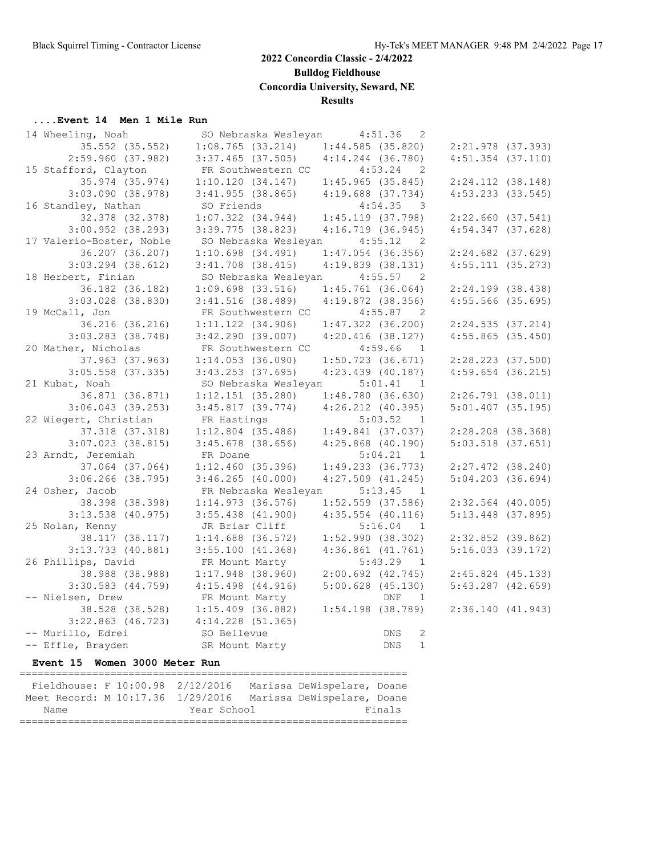**Bulldog Fieldhouse**

**Concordia University, Seward, NE**

#### **Results**

# **....Event 14 Men 1 Mile Run**<br>14 Whooling Noah SC

| 14 Wheeling, Noah                            |                                                                              |                               | SO Nebraska Wesleyan           |                       | $4:51.36$ 2                                  |                                         |  |  |
|----------------------------------------------|------------------------------------------------------------------------------|-------------------------------|--------------------------------|-----------------------|----------------------------------------------|-----------------------------------------|--|--|
|                                              | 35.552 (35.552)                                                              |                               | 1:08.765(33.214)               |                       | 1:44.585(35.820)                             | 2:21.978 (37.393)                       |  |  |
| 2:59.960(37.982)                             |                                                                              |                               | $3:37.465$ (37.505)            |                       | $4:14.244$ $(36.780)$                        | $4:51.354$ $(37.110)$                   |  |  |
| 15 Stafford, Clayton                         |                                                                              |                               | FR Southwestern CC             |                       | 4:53.24<br>$\overline{2}$                    |                                         |  |  |
|                                              | 35.974 (35.974)                                                              |                               | 1:10.120(34.147)               |                       | 1:45.965(35.845)                             | $2:24.112$ (38.148)                     |  |  |
| $3:03.090$ $(38.978)$                        |                                                                              | $3:41.955$ (38.865)           |                                |                       | $4:19.688$ $(37.734)$                        | $4:53.233$ $(33.545)$                   |  |  |
| 16 Standley, Nathan                          |                                                                              | SO Friends                    |                                |                       | $4:54.35$ 3                                  |                                         |  |  |
|                                              | 32.378 (32.378)                                                              | $1:07.322$ $(34.944)$         |                                |                       | 1:45.119(37.798)                             | $2:22.660$ (37.541)                     |  |  |
| $3:00.952$ (38.293)                          |                                                                              | $3:39.775$ (38.823)           |                                | $4:16.719$ (36.945)   |                                              | $4:54.347$ (37.628)                     |  |  |
| 17 Valerio-Boster, Noble                     |                                                                              |                               | SO Nebraska Wesleyan 4:55.12 2 |                       |                                              |                                         |  |  |
|                                              | 36.207 (36.207)                                                              | $1:10.698$ $(34.491)$         |                                |                       | $1:47.054$ (36.356)                          | $2:24.682$ (37.629)                     |  |  |
| $3:03.294$ $(38.612)$                        |                                                                              | $3:41.708$ (38.415)           |                                |                       | $4:19.839$ (38.131)                          | 4:55.111(35.273)                        |  |  |
| 18 Herbert, Finian                           |                                                                              |                               |                                |                       |                                              |                                         |  |  |
|                                              |                                                                              |                               | SO Nebraska Wesleyan 4:55.57 2 |                       |                                              | 2:24.199 (38.438)                       |  |  |
|                                              | 36.182 (36.182)                                                              | $1:09.698$ (33.516)           |                                |                       | $1:45.761$ (36.064)                          |                                         |  |  |
| $3:03.028$ (38.830)                          |                                                                              |                               | 3:41.516(38.489)               |                       | $4:19.872$ (38.356)<br>$4:55.87$ 2           | $4:55.566$ (35.695)                     |  |  |
| 19 McCall, Jon                               |                                                                              |                               | FR Southwestern CC             |                       |                                              |                                         |  |  |
|                                              | 36.216 (36.216)                                                              | $1:11.122$ $(34.906)$         | 3:42.290(39.007)               |                       | $1:47.322$ $(36.200)$<br>$4:20.416$ (38.127) | 2:24.535(37.214)<br>$4:55.865$ (35.450) |  |  |
| $3:03.283$ $(38.748)$<br>20 Mather, Nicholas |                                                                              |                               |                                |                       |                                              |                                         |  |  |
|                                              |                                                                              |                               | FR Southwestern CC             |                       | 4:59.66<br>$\overline{1}$                    |                                         |  |  |
|                                              | 37.963 (37.963)                                                              |                               | 1:14.053(36.090)               |                       | $1:50.723$ (36.671)                          | $2:28.223$ (37.500)                     |  |  |
| $3:05.558$ (37.335)                          |                                                                              | $3:43.253$ (37.695)           |                                |                       | $4:23.439$ (40.187)                          | $4:59.654$ (36.215)                     |  |  |
| 21 Kubat, Noah                               |                                                                              |                               | SO Nebraska Wesleyan           |                       | $5:01.41$ 1                                  |                                         |  |  |
|                                              | 36.871 (36.871)                                                              | $1:12.151$ (35.280)           |                                | 1:48.780(36.630)      |                                              | $2:26.791$ (38.011)                     |  |  |
| $3:06.043$ (39.253)                          |                                                                              | $3:45.817$ (39.774)           |                                |                       | $4:26.212$ $(40.395)$                        | $5:01.407$ (35.195)                     |  |  |
| 22 Wiegert, Christian                        |                                                                              | FR Hastings                   |                                |                       | 5:03.52 1                                    |                                         |  |  |
|                                              | 37.318 (37.318)                                                              |                               | $1:12.804$ (35.486)            |                       | $1:49.841$ (37.037)                          | $2:28.208$ (38.368)                     |  |  |
| $3:07.023$ (38.815)                          |                                                                              | $3:45.678$ (38.656)           |                                |                       | $4:25.868$ $(40.190)$                        | $5:03.518$ (37.651)                     |  |  |
| 23 Arndt, Jeremiah                           |                                                                              | FR Doane                      |                                |                       | 5:04.21 1                                    |                                         |  |  |
|                                              | 37.064 (37.064)                                                              | 1:12.460(35.396)              |                                |                       | 1:49.233(36.773)                             | $2:27.472$ (38.240)                     |  |  |
| $3:06.266$ (38.795)                          |                                                                              | $3:46.265$ (40.000)           |                                |                       | $4:27.509$ $(41.245)$                        | $5:04.203$ (36.694)                     |  |  |
| 24 Osher, Jacob                              |                                                                              |                               | FR Nebraska Wesleyan 5:13.45 1 |                       |                                              |                                         |  |  |
|                                              | 38.398 (38.398)                                                              | $1:14.973$ (36.576)           |                                |                       | $1:52.559$ (37.586)                          | $2:32.564$ (40.005)                     |  |  |
| $3:13.538$ (40.975)                          |                                                                              | $3:55.438$ $(41.900)$         |                                |                       | $4:35.554$ (40.116)                          | $5:13.448$ (37.895)                     |  |  |
| 25 Nolan, Kenny                              |                                                                              | JR Briar Cliff                |                                |                       | $5:16.04$ 1                                  |                                         |  |  |
|                                              | 38.117 (38.117)                                                              | $1:14.688$ (36.572)           |                                | 1:52.990(38.302)      |                                              | $2:32.852$ (39.862)                     |  |  |
| $3:13.733$ (40.881)                          |                                                                              | 3:55.100(41.368)              |                                | $4:36.861$ $(41.761)$ |                                              | $5:16.033$ (39.172)                     |  |  |
| 26 Phillips, David                           |                                                                              | FR Mount Marty                |                                |                       | $5:43.29$ 1                                  |                                         |  |  |
|                                              | 38.988 (38.988)                                                              | $1:17.948$ (38.960)           |                                |                       | 2:00.692(42.745)                             | $2:45.824$ (45.133)                     |  |  |
| $3:30.583$ $(44.759)$                        |                                                                              | $4:15.498$ $(44.916)$         |                                |                       | $5:00.628$ (45.130)                          | $5:43.287$ $(42.659)$                   |  |  |
| -- Nielsen, Drew                             |                                                                              | FR Mount Marty                |                                |                       | DNF<br>$\overline{1}$                        |                                         |  |  |
|                                              | 38.528 (38.528) 1:15.409 (36.882)<br>$3:22.863$ (46.723) $4:14.228$ (51.365) |                               |                                | $1:54.198$ (38.789)   |                                              | 2:36.140 (41.943)                       |  |  |
|                                              |                                                                              |                               |                                |                       |                                              |                                         |  |  |
| -- Murillo, Edrei                            |                                                                              | SO Bellevue<br>SR Mount Marty |                                |                       | DNS<br>2                                     |                                         |  |  |
| -- Effle, Brayden                            |                                                                              |                               |                                |                       | $\mathbf{1}$<br>DNS                          |                                         |  |  |
|                                              | Event 15 Women 3000 Meter Run<br>================================            |                               |                                |                       |                                              |                                         |  |  |

| Fieldhouse: F 10:00.98 2/12/2016  |             |  |  |  | Marissa DeWispelare, Doane |  |
|-----------------------------------|-------------|--|--|--|----------------------------|--|
| Meet Record: M 10:17.36 1/29/2016 |             |  |  |  | Marissa DeWispelare, Doane |  |
| Name                              | Year School |  |  |  | Finals                     |  |
|                                   |             |  |  |  |                            |  |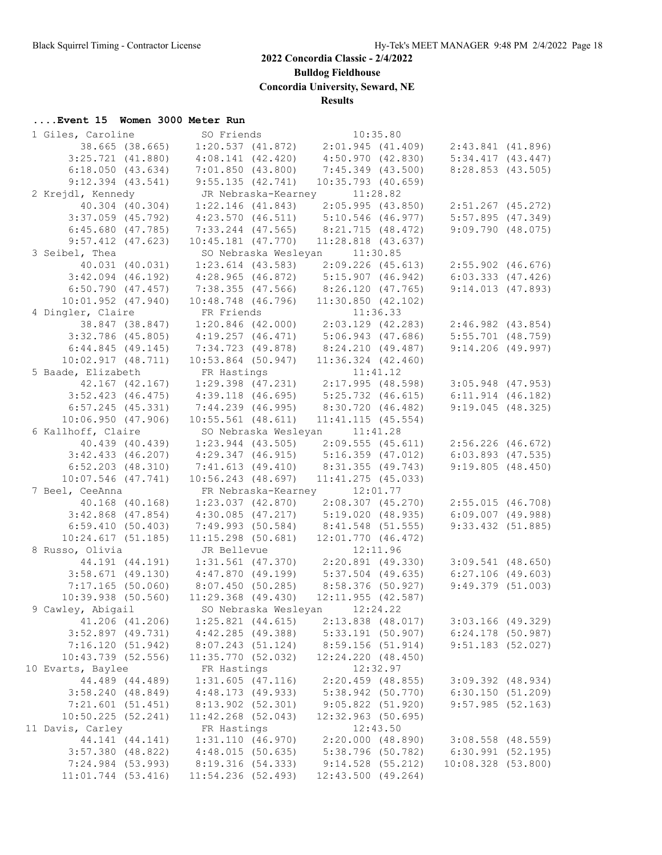**Bulldog Fieldhouse**

**Concordia University, Seward, NE**

#### **Results**

#### **....Event 15 Women 3000 Meter Run**

| 1 Giles, Caroline                     | SO Friends                                            | 10:35.80                                                                     |                                         |  |
|---------------------------------------|-------------------------------------------------------|------------------------------------------------------------------------------|-----------------------------------------|--|
| 38.665 (38.665)                       |                                                       | $1:20.537$ (41.872) $2:01.945$ (41.409) $2:43.841$ (41.896)                  |                                         |  |
| $3:25.721$ $(41.880)$                 | $4:08.141$ (42.420) $4:50.970$ (42.830)               |                                                                              | $5:34.417$ $(43.447)$                   |  |
| 6:18.050(43.634)                      | 7:01.850(43.800)                                      | 7:45.349 (43.500)                                                            | $8:28.853$ (43.505)                     |  |
| $9:12.394$ $(43.541)$                 | 9:55.135(42.741)                                      | $10:35.793$ (40.659)                                                         |                                         |  |
| 2 Krejdl, Kennedy                     | JR Nebraska-Kearney 11:28.82                          |                                                                              |                                         |  |
| 40.304 (40.304)                       | $1:22.146$ (41.843)                                   | 2:05.995 (43.850) 2:51.267 (45.272)                                          |                                         |  |
| $3:37.059$ $(45.792)$                 | 4:23.570 (46.511) 5:10.546 (46.977)                   |                                                                              | 5:57.895(47.349)                        |  |
| 6:45.680(47.785)                      | 7:33.244 (47.565)                                     | 8:21.715(48.472)                                                             | 9:09.790(48.075)                        |  |
| $9:57.412$ (47.623)                   | $10:45.181$ $(47.770)$                                | $11:28.818$ $(43.637)$                                                       |                                         |  |
| 3 Seibel, Thea                        | SO Nebraska Wesleyan 11:30.85                         |                                                                              |                                         |  |
| 40.031 (40.031)                       |                                                       | 1:23.614 (43.583) 2:09.226 (45.613) 2:55.902 (46.676)                        |                                         |  |
| $3:42.094$ (46.192)                   |                                                       | $4:28.965$ (46.872) $5:15.907$ (46.942) 6:03.333 (47.426)                    |                                         |  |
| 6:50.790(47.457)                      | 7:38.355 (47.566) 8:26.120 (47.765)                   |                                                                              | 9:14.013(47.893)                        |  |
| $10:01.952$ $(47.940)$                | 10:48.748 (46.796)                                    | 11:30.850(42.102)                                                            |                                         |  |
| 4 Dingler, Claire                     |                                                       |                                                                              |                                         |  |
| 38.847 (38.847)                       |                                                       | FR Friends 11:36.33<br>1:20.846 (42.000) 2:03.129 (42.283) 2:46.982 (43.854) |                                         |  |
| $3:32.786$ (45.805)                   |                                                       | $4:19.257$ (46.471) $5:06.943$ (47.686)                                      | $5:55.701$ (48.759)                     |  |
| 6:44.845(49.145)                      | 7:34.723 (49.878) 8:24.210 (49.487)                   |                                                                              | $9:14.206$ (49.997)                     |  |
| 10:02.917(48.711)                     | $10:53.864$ (50.947)                                  | $11:36.324$ $(42.460)$                                                       |                                         |  |
| 5 Baade, Elizabeth                    | FR Hastings                                           | 11:41.12                                                                     |                                         |  |
|                                       |                                                       | 42.167 (42.167) 1:29.398 (47.231) 2:17.995 (48.598)                          | $3:05.948$ (47.953)                     |  |
| $3:52.423$ (46.475)                   | 4:39.118 (46.695)                                     | 5:25.732 (46.615)                                                            | $6:11.914$ (46.182)                     |  |
| 6:57.245(45.331)                      | 7:44.239 (46.995)                                     | 8:30.720 (46.482)                                                            | 9:19.045(48.325)                        |  |
| 10:06.950(47.906)                     | $10:55.561$ (48.611)                                  | 11:41.115(45.554)                                                            |                                         |  |
| 6 Kallhoff, Claire                    | SO Nebraska Wesleyan 11:41.28                         |                                                                              |                                         |  |
| 40.439 (40.439)                       | $1:23.944$ (43.505)                                   | 2:09.555 (45.611) 2:56.226 (46.672)                                          |                                         |  |
| $3:42.433$ $(46.207)$                 |                                                       | $4:29.347$ (46.915) $5:16.359$ (47.012)                                      | $6:03.893$ (47.535)                     |  |
| $6:52.203$ $(48.310)$                 | 7:41.613 (49.410)                                     | 8:31.355 (49.743)                                                            | 9:19.805(48.450)                        |  |
| $10:07.546$ (47.741)                  | $10:56.243$ (48.697)                                  | $11:41.275$ (45.033)                                                         |                                         |  |
| 7 Beel, CeeAnna                       | FR Nebraska-Kearney 12:01.77                          |                                                                              |                                         |  |
| 40.168 (40.168)                       |                                                       | $1:23.037$ (42.870) $2:08.307$ (45.270) $2:55.015$ (46.708)                  |                                         |  |
| $3:42.868$ (47.854)                   | 4:30.085 (47.217) 5:19.020 (48.935)                   |                                                                              | $6:09.007$ $(49.988)$                   |  |
| 6:59.410(50.403)                      |                                                       | 7:49.993 (50.584) 8:41.548 (51.555)                                          | $9:33.432$ (51.885)                     |  |
| 10:24.617(51.185)                     |                                                       |                                                                              |                                         |  |
| 8 Russo, Olivia                       | JR Bellevue                                           | 11:15.298 (50.681) 12:01.770 (46.472)<br>JR Bellevue 12:11.96<br>12:11.96    |                                         |  |
| 44.191 (44.191)                       |                                                       | $1:31.561$ (47.370) $2:20.891$ (49.330)                                      | $3:09.541$ (48.650)                     |  |
| 3:58.671(49.130)                      | $4:47.870$ (49.199) $5:37.504$ (49.635)               |                                                                              | $6:27.106$ (49.603)                     |  |
|                                       | 7:17.165 (50.060) 8:07.450 (50.285) 8:58.376 (50.927) |                                                                              | $9:49.379$ (51.003)                     |  |
| 10:39.938(50.560)                     |                                                       | $11:29.368$ (49.430) $12:11.955$ (42.587)                                    |                                         |  |
| 9 Cawley, Abigail                     | SO Nebraska Wesleyan 12:24.22                         |                                                                              |                                         |  |
| 41.206 (41.206)                       | $1:25.821$ $(44.615)$                                 | $2:13.838$ (48.017)                                                          | $3:03.166$ (49.329)                     |  |
| $3:52.897$ (49.731)                   | 4:42.285(49.388)                                      | $5:33.191$ (50.907)                                                          | $6:24.178$ (50.987)                     |  |
| 7:16.120(51.942)                      | 8:07.243(51.124)                                      | 8:59.156 (51.914)                                                            | $9:51.183$ (52.027)                     |  |
| $10:43.739$ (52.556)                  | 11:35.770(52.032)                                     | 12:24.220 (48.450)                                                           |                                         |  |
| 10 Evarts, Baylee                     | FR Hastings                                           | 12:32.97                                                                     |                                         |  |
| 44.489 (44.489)                       | $1:31.605$ (47.116)                                   | $2:20.459$ (48.855)                                                          | $3:09.392$ (48.934)                     |  |
|                                       |                                                       |                                                                              |                                         |  |
| 3:58.240(48.849)                      | 4:48.173 (49.933)                                     | $5:38.942$ (50.770)                                                          | 6:30.150(51.209)                        |  |
| 7:21.601(51.451)<br>10:50.225(52.241) | 8:13.902 (52.301)                                     | 9:05.822(51.920)                                                             | 9:57.985(52.163)                        |  |
|                                       | 11:42.268 (52.043)                                    | $12:32.963$ (50.695)                                                         |                                         |  |
| 11 Davis, Carley                      | FR Hastings                                           | 12:43.50                                                                     |                                         |  |
| 44.141 (44.141)                       | 1:31.110(46.970)                                      | 2:20.000(48.890)                                                             | $3:08.558$ (48.559)<br>6:30.991(52.195) |  |
| $3:57.380$ (48.822)                   | 4:48.015(50.635)                                      | 5:38.796 (50.782)                                                            |                                         |  |
| 7:24.984 (53.993)                     | 8:19.316 (54.333)                                     | $9:14.528$ (55.212)                                                          | $10:08.328$ (53.800)                    |  |
| 11:01.744 (53.416)                    | 11:54.236 (52.493)                                    | $12:43.500$ (49.264)                                                         |                                         |  |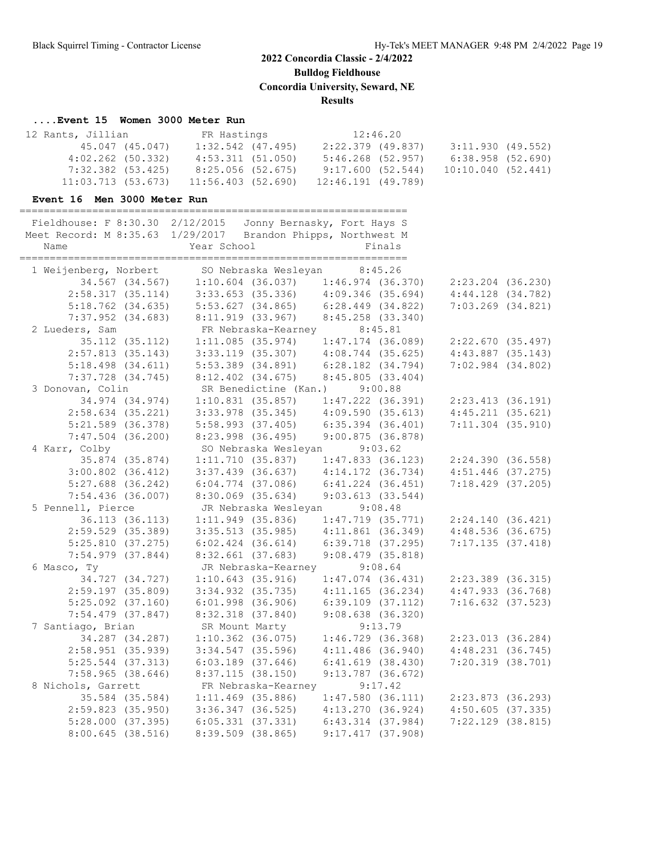**Bulldog Fieldhouse**

**Concordia University, Seward, NE**

#### **Results**

#### **....Event 15 Women 3000 Meter Run**

| 12 Rants, Jillian    |                 |                     | FR Hastings |                    | 12:46.20 |                   |  |
|----------------------|-----------------|---------------------|-------------|--------------------|----------|-------------------|--|
|                      | 45.047 (45.047) | $1:32.542$ (47.495) |             | 2:22.379 (49.837)  |          | 3:11.930 (49.552) |  |
| $4:02.262$ (50.332)  |                 | $4:53.311$ (51.050) |             | 5:46.268 (52.957)  |          | 6:38.958(52.690)  |  |
| 7:32.382 (53.425)    |                 | 8:25.056 (52.675)   |             | 9:17.600(52.544)   |          | 10:10.040(52.441) |  |
| $11:03.713$ (53.673) |                 | 11:56.403 (52.690)  |             | 12:46.191 (49.789) |          |                   |  |

#### **Event 16 Men 3000 Meter Run**

| Name                  | Fieldhouse: F 8:30.30 2/12/2015 Jonny Bernasky, Fort Hays S<br>Meet Record: M 8:35.63 1/29/2017 Brandon Phipps, Northwest M<br>Year School | Finals                |                       |
|-----------------------|--------------------------------------------------------------------------------------------------------------------------------------------|-----------------------|-----------------------|
|                       | 1 Weijenberg, Norbert SO Nebraska Wesleyan                                                                                                 | 8:45.26               |                       |
|                       | $34.567$ (34.567) 1:10.604 (36.037) 1:46.974 (36.370)                                                                                      |                       | 2:23.204 (36.230)     |
| 2:58.317(35.114)      | 3:33.653 (35.336) 4:09.346 (35.694)                                                                                                        |                       | $4:44.128$ $(34.782)$ |
| $5:18.762$ (34.635)   | $5:53.627$ (34.865) 6:28.449 (34.822)                                                                                                      |                       | $7:03.269$ $(34.821)$ |
| $7:37.952$ (34.683)   | $8:11.919$ (33.967) $8:45.258$ (33.340)                                                                                                    |                       |                       |
| 2 Lueders, Sam        | FR Nebraska-Kearney                                                                                                                        | 8:45.81               |                       |
| 35.112 (35.112)       | $1:11.085$ (35.974) $1:47.174$ (36.089)                                                                                                    |                       | 2:22.670 (35.497)     |
| 2:57.813(35.143)      | $3:33.119$ (35.307) $4:08.744$ (35.625)                                                                                                    |                       | $4:43.887$ (35.143)   |
| $5:18.498$ $(34.611)$ | $5:53.389$ $(34.891)$                                                                                                                      | 6:28.182 (34.794)     | $7:02.984$ $(34.802)$ |
| 7:37.728 (34.745)     | 8:12.402 (34.675)                                                                                                                          | 8:45.805(33.404)      |                       |
| 3 Donovan, Colin      | SR Benedictine (Kan.)                                                                                                                      | 9:00.88               |                       |
| 34.974 (34.974)       | $1:10.831$ (35.857)                                                                                                                        | 1:47.222 (36.391)     | 2:23.413 (36.191)     |
| $2:58.634$ (35.221)   | $3:33.978$ (35.345)                                                                                                                        | 4:09.590(35.613)      | $4:45.211$ $(35.621)$ |
| $5:21.589$ (36.378)   | $5:58.993$ $(37.405)$                                                                                                                      | $6:35.394$ $(36.401)$ | $7:11.304$ (35.910)   |
| $7:47.504$ (36.200)   | 8:23.998 (36.495)                                                                                                                          | 9:00.875(36.878)      |                       |
| 4 Karr, Colby         | SO Nebraska Wesleyan                                                                                                                       | 9:03.62               |                       |
| 35.874 (35.874)       | 1:11.710(35.837)                                                                                                                           | $1:47.833$ (36.123)   | 2:24.390(36.558)      |
| $3:00.802$ $(36.412)$ | $3:37.439$ (36.637)                                                                                                                        | 4:14.172 (36.734)     | $4:51.446$ (37.275)   |
| $5:27.688$ (36.242)   | $6:04.774$ (37.086)                                                                                                                        | $6:41.224$ $(36.451)$ | 7:18.429 (37.205)     |
| $7:54.436$ (36.007)   | $8:30.069$ (35.634)                                                                                                                        | 9:03.613(33.544)      |                       |
| 5 Pennell, Pierce     | JR Nebraska Wesleyan 9:08.48                                                                                                               |                       |                       |
| 36.113 (36.113)       | $1:11.949$ (35.836)                                                                                                                        | $1:47.719$ (35.771)   | 2:24.140(36.421)      |
| $2:59.529$ (35.389)   | $3:35.513$ (35.985)                                                                                                                        | $4:11.861$ (36.349)   | $4:48.536$ (36.675)   |
| 5:25.810(37.275)      | $6:02.424$ $(36.614)$                                                                                                                      | $6:39.718$ (37.295)   | 7:17.135(37.418)      |
| $7:54.979$ $(37.844)$ | $8:32.661$ (37.683)                                                                                                                        | $9:08.479$ $(35.818)$ |                       |
| 6 Masco, Ty           | JR Nebraska-Kearney                                                                                                                        | 9:08.64               |                       |
| 34.727 (34.727)       | $1:10.643$ (35.916)                                                                                                                        | $1:47.074$ (36.431)   | 2:23.389 (36.315)     |
| $2:59.197$ (35.809)   | $3:34.932$ (35.735)                                                                                                                        | 4:11.165(36.234)      | $4:47.933$ $(36.768)$ |
| $5:25.092$ (37.160)   | $6:01.998$ (36.906)                                                                                                                        | $6:39.109$ $(37.112)$ | $7:16.632$ (37.523)   |
| $7:54.479$ (37.847)   | 8:32.318 (37.840)                                                                                                                          | $9:08.638$ $(36.320)$ |                       |
| 7 Santiago, Brian     | SR Mount Marty                                                                                                                             | 9:13.79               |                       |
| 34.287 (34.287)       | $1:10.362$ (36.075)                                                                                                                        | $1:46.729$ (36.368)   | $2:23.013$ (36.284)   |
| $2:58.951$ (35.939)   | $3:34.547$ (35.596)                                                                                                                        | $4:11.486$ (36.940)   | 4:48.231(36.745)      |
| $5:25.544$ (37.313)   | $6:03.189$ $(37.646)$                                                                                                                      | $6:41.619$ $(38.430)$ | 7:20.319 (38.701)     |
| $7:58.965$ (38.646)   | 8:37.115(38.150)                                                                                                                           | $9:13.787$ (36.672)   |                       |
| 8 Nichols, Garrett    | FR Nebraska-Kearney                                                                                                                        | 9:17.42               |                       |
| 35.584 (35.584)       | $1:11.469$ (35.886)                                                                                                                        | 1:47.580(36.111)      | 2:23.873 (36.293)     |
| $2:59.823$ (35.950)   | $3:36.347$ (36.525)                                                                                                                        | 4:13.270(36.924)      | $4:50.605$ (37.335)   |
| 5:28.000(37.395)      | $6:05.331$ $(37.331)$                                                                                                                      | $6:43.314$ $(37.984)$ | 7:22.129 (38.815)     |
| $8:00.645$ (38.516)   | $8:39.509$ (38.865)                                                                                                                        | 9:17.417(37.908)      |                       |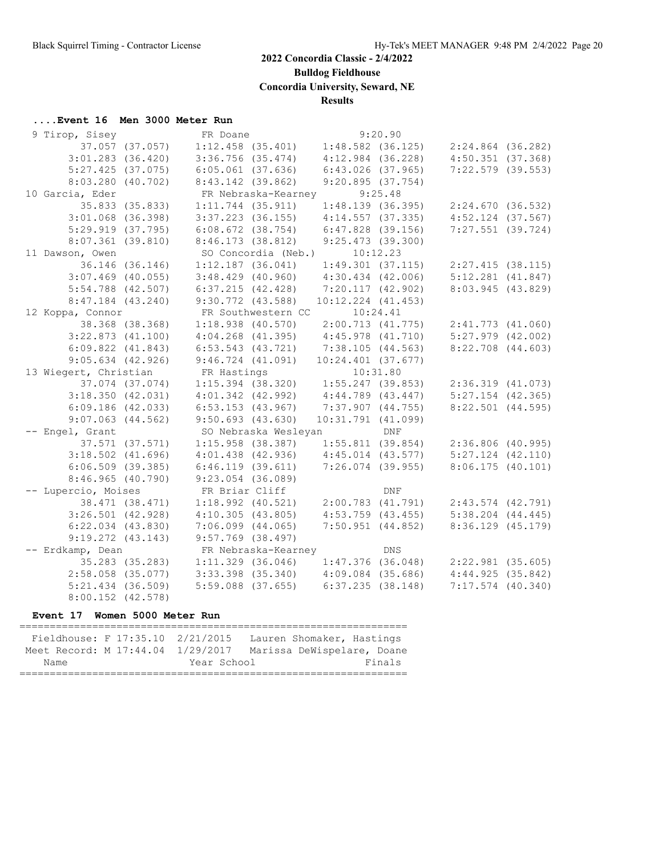**Bulldog Fieldhouse**

**Concordia University, Seward, NE**

#### **Results**

#### **....Event 16 Men 3000 Meter Run**

| 9 Tirop, Sisey        |                 | FR Doane              |                      |                                         | 9:20.90    |                                                             |  |
|-----------------------|-----------------|-----------------------|----------------------|-----------------------------------------|------------|-------------------------------------------------------------|--|
| 37.057 (37.057)       |                 |                       |                      |                                         |            | $1:12.458$ (35.401) $1:48.582$ (36.125) $2:24.864$ (36.282) |  |
| $3:01.283$ (36.420)   |                 | $3:36.756$ $(35.474)$ |                      | $4:12.984$ (36.228)                     |            | $4:50.351$ $(37.368)$                                       |  |
| $5:27.425$ (37.075)   |                 | $6:05.061$ $(37.636)$ |                      | $6:43.026$ $(37.965)$                   |            | $7:22.579$ (39.553)                                         |  |
| $8:03.280$ (40.702)   |                 | $8:43.142$ (39.862)   |                      | 9:20.895(37.754)                        |            |                                                             |  |
| 10 Garcia, Eder       |                 |                       | FR Nebraska-Kearney  |                                         | 9:25.48    |                                                             |  |
|                       | 35.833 (35.833) | $1:11.744$ (35.911)   |                      | 1:48.139(36.395)                        |            | 2:24.670(36.532)                                            |  |
| $3:01.068$ (36.398)   |                 | $3:37.223$ (36.155)   |                      | 4:14.557(37.335)                        |            | $4:52.124$ (37.567)                                         |  |
| $5:29.919$ $(37.795)$ |                 | $6:08.672$ (38.754)   |                      | $6:47.828$ (39.156)                     |            | $7:27.551$ (39.724)                                         |  |
| $8:07.361$ (39.810)   |                 | 8:46.173(38.812)      |                      | $9:25.473$ (39.300)                     |            |                                                             |  |
| 11 Dawson, Owen       |                 |                       | SO Concordia (Neb.)  |                                         | 10:12.23   |                                                             |  |
|                       | 36.146 (36.146) | $1:12.187$ (36.041)   |                      | $1:49.301$ $(37.115)$                   |            | 2:27.415(38.115)                                            |  |
| $3:07.469$ (40.055)   |                 | $3:48.429$ $(40.960)$ |                      | $4:30.434$ $(42.006)$                   |            | $5:12.281$ $(41.847)$                                       |  |
| $5:54.788$ (42.507)   |                 | 6:37.215(42.428)      |                      | 7:20.117(42.902)                        |            | 8:03.945 (43.829)                                           |  |
| $8:47.184$ (43.240)   |                 | $9:30.772$ (43.588)   |                      | $10:12.224$ $(41.453)$                  |            |                                                             |  |
| 12 Koppa, Connor      |                 |                       | FR Southwestern CC   |                                         | 10:24.41   |                                                             |  |
|                       | 38.368 (38.368) | $1:18.938$ $(40.570)$ |                      | 2:00.713(41.775)                        |            | 2:41.773(41.060)                                            |  |
| $3:22.873$ $(41.100)$ |                 | $4:04.268$ $(41.395)$ |                      | $4:45.978$ $(41.710)$                   |            | $5:27.979$ $(42.002)$                                       |  |
| $6:09.822$ $(41.843)$ |                 | $6:53.543$ $(43.721)$ |                      | 7:38.105(44.563)                        |            | $8:22.708$ $(44.603)$                                       |  |
| $9:05.634$ (42.926)   |                 | $9:46.724$ $(41.091)$ |                      | $10:24.401$ (37.677)                    |            |                                                             |  |
| 13 Wiegert, Christian |                 | FR Hastings           |                      | 10:31.80                                |            |                                                             |  |
|                       | 37.074 (37.074) | $1:15.394$ (38.320)   |                      | $1:55.247$ (39.853)                     |            | 2:36.319(41.073)                                            |  |
| 3:18.350(42.031)      |                 | $4:01.342$ $(42.992)$ |                      | 4:44.789 (43.447)                       |            | $5:27.154$ (42.365)                                         |  |
| 6:09.186(42.033)      |                 | $6:53.153$ $(43.967)$ |                      | $7:37.907$ $(44.755)$                   |            | $8:22.501$ $(44.595)$                                       |  |
| $9:07.063$ $(44.562)$ |                 | $9:50.693$ (43.630)   |                      | 10:31.791(41.099)                       |            |                                                             |  |
| -- Engel, Grant       |                 |                       | SO Nebraska Wesleyan | DNF                                     |            |                                                             |  |
|                       | 37.571 (37.571) | $1:15.958$ (38.387)   |                      |                                         |            | $1:55.811$ (39.854) $2:36.806$ (40.995)                     |  |
| $3:18.502$ $(41.696)$ |                 | $4:01.438$ $(42.936)$ |                      | $4:45.014$ $(43.577)$                   |            | $5:27.124$ $(42.110)$                                       |  |
| $6:06.509$ $(39.385)$ |                 | $6:46.119$ $(39.611)$ |                      | $7:26.074$ (39.955)                     |            | 8:06.175(40.101)                                            |  |
| 8:46.965(40.790)      |                 | $9:23.054$ (36.089)   |                      |                                         |            |                                                             |  |
| -- Lupercio, Moises   |                 | FR Briar Cliff        |                      |                                         | <b>DNF</b> |                                                             |  |
|                       | 38.471 (38.471) | $1:18.992$ (40.521)   |                      | 2:00.783 (41.791)                       |            | $2:43.574$ $(42.791)$                                       |  |
| $3:26.501$ (42.928)   |                 | 4:10.305(43.805)      |                      | $4:53.759$ $(43.455)$                   |            | $5:38.204$ $(44.445)$                                       |  |
| $6:22.034$ $(43.830)$ |                 | $7:06.099$ $(44.065)$ |                      | $7:50.951$ $(44.852)$                   |            | $8:36.129$ (45.179)                                         |  |
| $9:19.272$ $(43.143)$ |                 | $9:57.769$ (38.497)   |                      |                                         |            |                                                             |  |
| -- Erdkamp, Dean      |                 | FR Nebraska-Kearney   |                      | <b>Example 19 DNS</b>                   |            |                                                             |  |
|                       | 35.283 (35.283) | $1:11.329$ (36.046)   |                      | $1:47.376$ (36.048)                     |            | $2:22.981$ (35.605)                                         |  |
| $2:58.058$ (35.077)   |                 |                       |                      | $3:33.398$ (35.340) $4:09.084$ (35.686) |            | 4:44.925(35.842)                                            |  |
| $5:21.434$ (36.509)   |                 | $5:59.088$ $(37.655)$ |                      | 6:37.235(38.148)                        |            | $7:17.574$ (40.340)                                         |  |
| $8:00.152$ (42.578)   |                 |                       |                      |                                         |            |                                                             |  |

#### **Event 17 Women 5000 Meter Run**

| Fieldhouse: F 17:35.10 2/21/2015  |  |             | Lauren Shomaker, Hastings  |        |
|-----------------------------------|--|-------------|----------------------------|--------|
| Meet Record: M 17:44.04 1/29/2017 |  |             | Marissa DeWispelare, Doane |        |
| Name                              |  | Year School |                            | Finals |
|                                   |  |             |                            |        |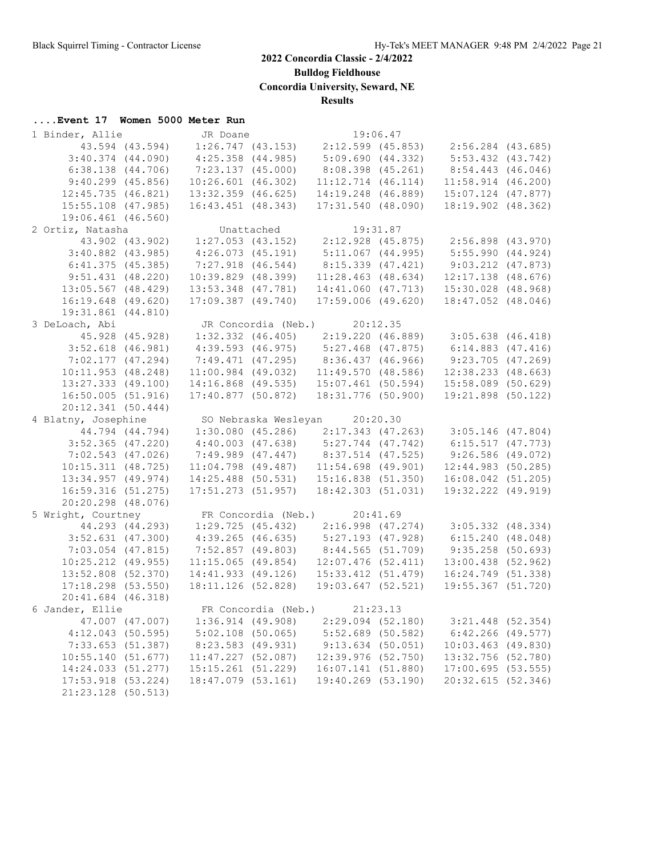**....Event 17 Women 5000 Meter Run**

## **2022 Concordia Classic - 2/4/2022**

**Bulldog Fieldhouse**

**Concordia University, Seward, NE**

**Results**

| 1 Binder, Allie                                                                                                          | JR Doane               |                                                                                                                | 19:06.47 |                        |  |
|--------------------------------------------------------------------------------------------------------------------------|------------------------|----------------------------------------------------------------------------------------------------------------|----------|------------------------|--|
| 43.594 (43.594)                                                                                                          |                        | $1:26.747$ (43.153) $2:12.599$ (45.853) $2:56.284$ (43.685)                                                    |          |                        |  |
| $3:40.374$ (44.090)                                                                                                      | $4:25.358$ $(44.985)$  | 5:09.690 (44.332)                                                                                              |          | $5:53.432$ $(43.742)$  |  |
| $6:38.138$ $(44.706)$                                                                                                    | 7:23.137 (45.000)      | 8:08.398 (45.261)                                                                                              |          | 8:54.443 (46.046)      |  |
| $9:40.299$ (45.856)                                                                                                      | $10:26.601$ $(46.302)$ | $11:12.714$ $(46.114)$                                                                                         |          | $11:58.914$ (46.200)   |  |
| $12:45.735$ $(46.821)$                                                                                                   | $13:32.359$ (46.625)   | 14:19.248 (46.889)                                                                                             |          | $15:07.124$ (47.877)   |  |
| $15:55.108$ (47.985)                                                                                                     | $16:43.451$ $(48.343)$ | 17:31.540(48.090)                                                                                              |          | 18:19.902 (48.362)     |  |
| 19:06.461 (46.560)                                                                                                       |                        |                                                                                                                |          |                        |  |
| 2 Ortiz, Natasha                                                                                                         |                        |                                                                                                                |          |                        |  |
|                                                                                                                          |                        |                                                                                                                |          |                        |  |
| $3:40.882$ (43.985)                                                                                                      | 4:26.073(45.191)       | $5:11.067$ (44.995)                                                                                            |          | 5:55.990(44.924)       |  |
| 6:41.375(45.385)                                                                                                         | $7:27.918$ (46.544)    | 8:15.339 (47.421)                                                                                              |          | $9:03.212$ $(47.873)$  |  |
| 9:51.431(48.220)                                                                                                         | $10:39.829$ (48.399)   | $11:28.463$ (48.634)                                                                                           |          | $12:17.138$ $(48.676)$ |  |
| $13:05.567$ (48.429)                                                                                                     | 13:53.348 (47.781)     | 14:41.060 (47.713)                                                                                             |          | 15:30.028 (48.968)     |  |
| $16:19.648$ (49.620)                                                                                                     | $17:09.387$ $(49.740)$ | $17:59.006$ (49.620)                                                                                           |          | 18:47.052 (48.046)     |  |
| 19:31.861 (44.810)                                                                                                       |                        |                                                                                                                |          |                        |  |
| 3 DeLoach, Abi                                                                                                           |                        | JR Concordia (Neb.) 20:12.35                                                                                   |          |                        |  |
| 45.928 (45.928)                                                                                                          |                        | 1:32.332 (46.405) 2:19.220 (46.889) 3:05.638 (46.418)                                                          |          |                        |  |
| $3:52.618$ (46.981)                                                                                                      |                        | 4:39.593 (46.975) 5:27.468 (47.875) 6:14.883 (47.416)                                                          |          |                        |  |
| 7:02.177(47.294)                                                                                                         |                        | 7:49.471 (47.295) 8:36.437 (46.966)                                                                            |          | 9:23.705(47.269)       |  |
| 10:11.953(48.248)                                                                                                        | $11:00.984$ (49.032)   | 11:49.570(48.586)                                                                                              |          | $12:38.233$ $(48.663)$ |  |
| $13:27.333$ $(49.100)$                                                                                                   |                        | 14:16.868 (49.535) 15:07.461 (50.594) 15:58.089 (50.629)                                                       |          |                        |  |
| 16:50.005(51.916)                                                                                                        | 17:40.877 (50.872)     | 18:31.776 (50.900)                                                                                             |          | 19:21.898 (50.122)     |  |
| 20:12.341(50.444)                                                                                                        |                        |                                                                                                                |          |                        |  |
| 4 Blatny, Josephine                                                                                                      |                        | SO Nebraska Wesleyan 20:20.30                                                                                  |          |                        |  |
| 44.794 (44.794)                                                                                                          |                        | $1:30.080$ (45.286) $2:17.343$ (47.263) $3:05.146$ (47.804)                                                    |          |                        |  |
| $3:52.365$ (47.220)                                                                                                      |                        |                                                                                                                |          |                        |  |
| $7:02.543$ (47.026)                                                                                                      |                        | 4:40.003 (47.638) 5:27.744 (47.742) 6:15.517 (47.773)<br>7:49.989 (47.447) 8:37.514 (47.525) 9:26.586 (49.072) |          |                        |  |
| 10:15.311(48.725)                                                                                                        | $11:04.798$ (49.487)   | $11:54.698$ (49.901)                                                                                           |          | $12:44.983$ (50.285)   |  |
| $13:34.957$ (49.974)                                                                                                     | $14:25.488$ (50.531)   | 15:16.838(51.350)                                                                                              |          | 16:08.042 (51.205)     |  |
| 16:59.316(51.275)                                                                                                        | $17:51.273$ (51.957)   | 18:42.303 (51.031)                                                                                             |          | 19:32.222 (49.919)     |  |
| 20:20.298 (48.076)                                                                                                       |                        |                                                                                                                |          |                        |  |
|                                                                                                                          |                        |                                                                                                                |          |                        |  |
| 5 Wright, Courtney FR Concordia (Neb.) 20:41.69<br>44.293 (44.293) 1:29.725 (45.432) 2:16.998 (47.274) 3:05.332 (48.334) |                        |                                                                                                                |          |                        |  |
| $3:52.631$ (47.300)                                                                                                      | $4:39.265$ (46.635)    | $5:27.193$ (47.928)                                                                                            |          | 6:15.240(48.048)       |  |
| $7:03.054$ (47.815)                                                                                                      | 7:52.857 (49.803)      | 8:44.565(51.709)                                                                                               |          | $9:35.258$ (50.693)    |  |
| $10:25.212$ (49.955)                                                                                                     | $11:15.065$ (49.854)   | $12:07.476$ (52.411)                                                                                           |          | 13:00.438 (52.962)     |  |
| $13:52.808$ (52.370)                                                                                                     | 14:41.933 (49.126)     | 15:33.412(51.479)                                                                                              |          | 16:24.749 (51.338)     |  |
| $17:18.298$ (53.550)                                                                                                     | 18:11.126 (52.828)     | 19:03.647 (52.521)                                                                                             |          | 19:55.367 (51.720)     |  |
| 20:41.684 (46.318)                                                                                                       |                        |                                                                                                                |          |                        |  |
| 6 Jander, Ellie                                                                                                          |                        | FR Concordia (Neb.) $21:23.13$                                                                                 |          |                        |  |
| 47.007 (47.007)                                                                                                          | 1:36.914(49.908)       | 2:29.094 (52.180)                                                                                              |          | 3:21.448 (52.354)      |  |
| $4:12.043$ (50.595)                                                                                                      | $5:02.108$ (50.065)    | $5:52.689$ (50.582)                                                                                            |          | $6:42.266$ (49.577)    |  |
| 7:33.653 (51.387)                                                                                                        | 8:23.583 (49.931)      | $9:13.634$ (50.051)                                                                                            |          | $10:03.463$ (49.830)   |  |
| 10:55.140(51.677)                                                                                                        | $11:47.227$ (52.087)   | $12:39.976$ (52.750)                                                                                           |          | 13:32.756 (52.780)     |  |
| 14:24.033 (51.277)                                                                                                       | $15:15.261$ (51.229)   | 16:07.141(51.880)                                                                                              |          | $17:00.695$ (53.555)   |  |
| 17:53.918 (53.224)                                                                                                       | 18:47.079 (53.161)     | 19:40.269 (53.190)                                                                                             |          | 20:32.615 (52.346)     |  |
| 21:23.128 (50.513)                                                                                                       |                        |                                                                                                                |          |                        |  |
|                                                                                                                          |                        |                                                                                                                |          |                        |  |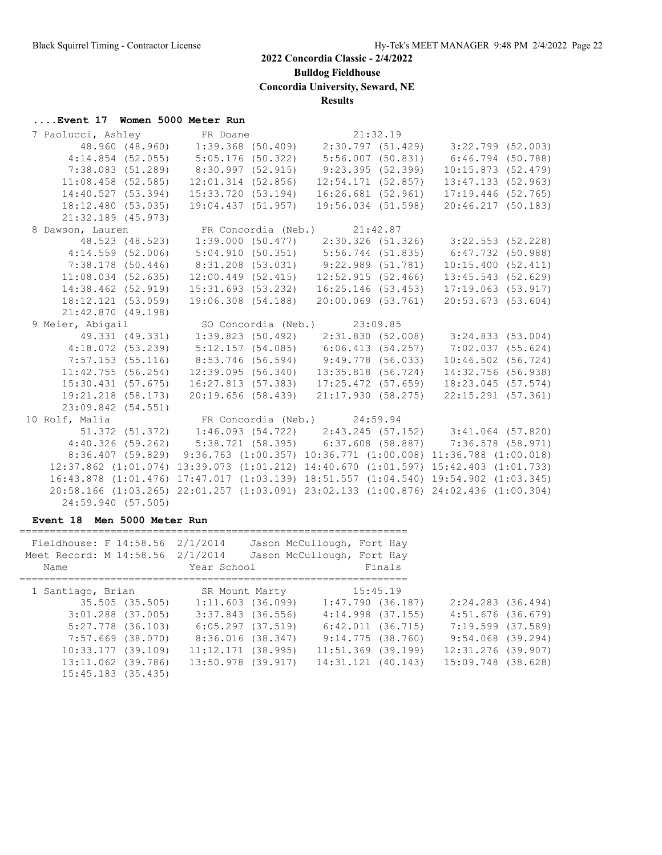**Bulldog Fieldhouse**

**Concordia University, Seward, NE**

**Results**

## **....Event 17 Women 5000 Meter Run**

| 7 Paolucci, Ashley FR Doane                                   |                                                                                       |                                           |                                                          |  |
|---------------------------------------------------------------|---------------------------------------------------------------------------------------|-------------------------------------------|----------------------------------------------------------|--|
|                                                               |                                                                                       |                                           |                                                          |  |
| $4:14.854$ (52.055)                                           | 5:05.176 (50.322) 5:56.007 (50.831) 6:46.794 (50.788)                                 |                                           |                                                          |  |
| 7:38.083(51.289)                                              | $8:30.997$ (52.915) 9:23.395 (52.399)                                                 |                                           | 10:15.873(52.479)                                        |  |
| $11:08.458$ (52.585)                                          |                                                                                       | $12:01.314$ (52.856) $12:54.171$ (52.857) | $13:47.133$ $(52.963)$                                   |  |
| 14:40.527 (53.394)                                            | 15:33.720 (53.194)                                                                    |                                           | $16:26.681$ (52.961) 17:19.446 (52.765)                  |  |
| 18:12.480 (53.035)                                            | 19:04.437 (51.957)                                                                    |                                           | 19:56.034 (51.598) 20:46.217 (50.183)                    |  |
| 21:32.189 (45.973)                                            |                                                                                       |                                           |                                                          |  |
| 8 Dawson, Lauren           FR Concordia (Neb.)       21:42.87 |                                                                                       |                                           |                                                          |  |
|                                                               | 48.523 (48.523) 1:39.000 (50.477) 2:30.326 (51.326) 3:22.553 (52.228)                 |                                           |                                                          |  |
| $4:14.559$ (52.006)                                           | 5:04.910 (50.351) 5:56.744 (51.835) 6:47.732 (50.988)                                 |                                           |                                                          |  |
| 7:38.178 (50.446)                                             | 8:31.208 (53.031) 9:22.989 (51.781) 10:15.400 (52.411)                                |                                           |                                                          |  |
|                                                               | 11:08.034 (52.635) 12:00.449 (52.415) 12:52.915 (52.466) 13:45.543 (52.629)           |                                           |                                                          |  |
| 14:38.462 (52.919)                                            | 15:31.693 (53.232)                                                                    |                                           | 16:25.146 (53.453) 17:19.063 (53.917)                    |  |
| 18:12.121 (53.059)                                            |                                                                                       |                                           | 19:06.308 (54.188) 20:00.069 (53.761) 20:53.673 (53.604) |  |
| 21:42.870 (49.198)                                            |                                                                                       |                                           |                                                          |  |
| 9 Meier, Abigail                                              |                                                                                       | SO Concordia (Neb.) 23:09.85              |                                                          |  |
|                                                               | 49.331 (49.331) 1:39.823 (50.492) 2:31.830 (52.008) 3:24.833 (53.004)                 |                                           |                                                          |  |
|                                                               | 4:18.072 (53.239) 5:12.157 (54.085) 6:06.413 (54.257) 7:02.037 (55.624)               |                                           |                                                          |  |
| $7:57.153$ (55.116)                                           | 8:53.746 (56.594) 9:49.778 (56.033) 10:46.502 (56.724)                                |                                           |                                                          |  |
| 11:42.755(56.254)                                             |                                                                                       | $12:39.095(56.340)$ $13:35.818(56.724)$   | 14:32.756 (56.938)                                       |  |
|                                                               | 15:30.431 (57.675) 16:27.813 (57.383) 17:25.472 (57.659) 18:23.045 (57.574)           |                                           |                                                          |  |
|                                                               | 19:21.218 (58.173) 20:19.656 (58.439) 21:17.930 (58.275) 22:15.291 (57.361)           |                                           |                                                          |  |
| 23:09.842 (54.551)                                            |                                                                                       |                                           |                                                          |  |
| 10 Rolf, Malia <b>ER</b> Concordia (Neb.) 24:59.94            |                                                                                       |                                           |                                                          |  |
|                                                               | $51.372$ (51.372) 1:46.093 (54.722) 2:43.245 (57.152) 3:41.064 (57.820)               |                                           |                                                          |  |
|                                                               | 4:40.326 (59.262) 5:38.721 (58.395) 6:37.608 (58.887) 7:36.578 (58.971)               |                                           |                                                          |  |
|                                                               | 8:36.407 (59.829) 9:36.763 (1:00.357) 10:36.771 (1:00.008) 11:36.788 (1:00.018)       |                                           |                                                          |  |
|                                                               | 12:37.862 (1:01.074) 13:39.073 (1:01.212) 14:40.670 (1:01.597) 15:42.403 (1:01.733)   |                                           |                                                          |  |
|                                                               | 16:43.878 (1:01.476) 17:47.017 (1:03.139) 18:51.557 (1:04.540) 19:54.902 (1:03.345)   |                                           |                                                          |  |
|                                                               | $20:58.166$ (1:03.265) 22:01.257 (1:03.091) 23:02.133 (1:00.876) 24:02.436 (1:00.304) |                                           |                                                          |  |
| 24:59.940 (57.505)                                            |                                                                                       |                                           |                                                          |  |

#### **Event 18 Men 5000 Meter Run**

| Fieldhouse: F 14:58.56 2/1/2014<br>Meet Record: M 14:58.56 2/1/2014<br>Name |                 | Year School           | Jason McCullough, Fort Hay<br>Jason McCullough, Fort Hay | Finals |                     |  |
|-----------------------------------------------------------------------------|-----------------|-----------------------|----------------------------------------------------------|--------|---------------------|--|
|                                                                             |                 |                       |                                                          |        |                     |  |
| 1 Santiago, Brian                                                           |                 | SR Mount Marty        | 15:45.19                                                 |        |                     |  |
|                                                                             | 35.505 (35.505) | 1:11.603(36.099)      | 1:47.790(36.187)                                         |        | 2:24.283 (36.494)   |  |
| $3:01.288$ $(37.005)$                                                       |                 | 3:37.843 (36.556)     | $4:14.998$ $(37.155)$                                    |        | $4:51.676$ (36.679) |  |
| $5:27.778$ (36.103)                                                         |                 | $6:05.297$ $(37.519)$ | 6:42.011 (36.715)                                        |        | 7:19.599 (37.589)   |  |
| 7:57.669 (38.070)                                                           |                 | 8:36.016 (38.347)     | 9:14.775 (38.760)                                        |        | 9:54.068 (39.294)   |  |
| 10:33.177(39.109)                                                           |                 | $11:12.171$ (38.995)  | $11:51.369$ (39.199)                                     |        | 12:31.276 (39.907)  |  |
| 13:11.062 (39.786)                                                          |                 | 13:50.978 (39.917)    | $14:31.121$ (40.143)                                     |        | 15:09.748 (38.628)  |  |
| $15:45.183$ $(35.435)$                                                      |                 |                       |                                                          |        |                     |  |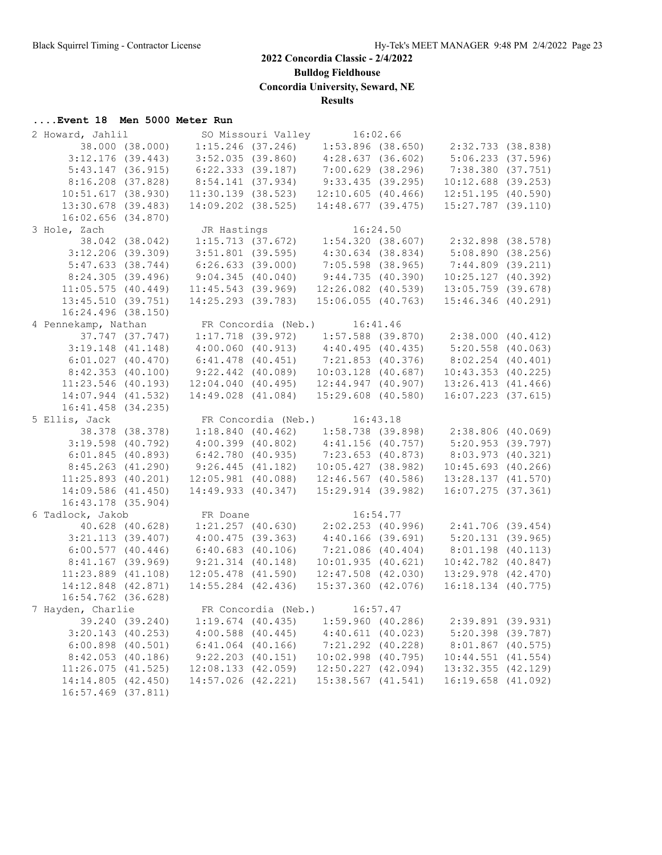**Bulldog Fieldhouse**

**Concordia University, Seward, NE**

**Results**

## **....Event 18 Men 5000 Meter Run**

| 2 Howard, Jahlil       |                        | SO Missouri Valley 16:02.66                                          |                                         |                        |  |
|------------------------|------------------------|----------------------------------------------------------------------|-----------------------------------------|------------------------|--|
| 38.000 (38.000)        | $1:15.246$ (37.246)    |                                                                      | $1:53.896$ (38.650) $2:32.733$ (38.838) |                        |  |
| $3:12.176$ (39.443)    | $3:52.035$ (39.860)    |                                                                      | 4:28.637(36.602)                        | $5:06.233$ $(37.596)$  |  |
| 5:43.147(36.915)       | 6:22.333(39.187)       |                                                                      | 7:00.629(38.296)                        | 7:38.380 (37.751)      |  |
| $8:16.208$ (37.828)    | 8:54.141(37.934)       |                                                                      | 9:33.435(39.295)                        | $10:12.688$ (39.253)   |  |
| 10:51.617(38.930)      |                        | $11:30.139$ (38.523)                                                 | 12:10.605(40.466)                       | $12:51.195$ (40.590)   |  |
| 13:30.678 (39.483)     | 14:09.202 (38.525)     |                                                                      | 14:48.677 (39.475)                      | $15:27.787$ (39.110)   |  |
| $16:02.656$ $(34.870)$ |                        |                                                                      |                                         |                        |  |
| 3 Hole, Zach           |                        |                                                                      |                                         |                        |  |
| 38.042 (38.042)        |                        | JR Hastings<br>1:15.713 (37.672) 1:54.320 (38.607) 2:32.898 (38.578) |                                         |                        |  |
| $3:12.206$ (39.309)    | $3:51.801$ (39.595)    |                                                                      | $4:30.634$ $(38.834)$                   | 5:08.890(38.256)       |  |
| 5:47.633(38.744)       | 6:26.633(39.000)       |                                                                      | 7:05.598 (38.965)                       | $7:44.809$ (39.211)    |  |
| 8:24.305(39.496)       | 9:04.345(40.040)       |                                                                      | 9:44.735(40.390)                        | 10:25.127 (40.392)     |  |
| 11:05.575(40.449)      | $11:45.543$ (39.969)   |                                                                      | 12:26.082 (40.539)                      | $13:05.759$ (39.678)   |  |
| 13:45.510(39.751)      | 14:25.293 (39.783)     |                                                                      | $15:06.055$ (40.763)                    | $15:46.346$ (40.291)   |  |
| 16:24.496 (38.150)     |                        |                                                                      |                                         |                        |  |
| 4 Pennekamp, Nathan    |                        | FR Concordia (Neb.) 16:41.46                                         |                                         |                        |  |
| 37.747 (37.747)        |                        | $1:17.718$ (39.972) $1:57.588$ (39.870) $2:38.000$ (40.412)          |                                         |                        |  |
| $3:19.148$ (41.148)    |                        | $4:00.060$ (40.913) $4:40.495$ (40.435) $5:20.558$ (40.063)          |                                         |                        |  |
| 6:01.027(40.470)       | $6:41.478$ (40.451)    |                                                                      | 7:21.853 (40.376)                       | $8:02.254$ (40.401)    |  |
|                        |                        |                                                                      |                                         |                        |  |
| 8:42.353(40.100)       | $9:22.442$ (40.089)    |                                                                      | $10:03.128$ (40.687)                    | $10:43.353$ $(40.225)$ |  |
| $11:23.546$ (40.193)   | $12:04.040$ $(40.495)$ |                                                                      | $12:44.947$ $(40.907)$                  | $13:26.413$ $(41.466)$ |  |
| 14:07.944 (41.532)     | 14:49.028 (41.084)     |                                                                      | 15:29.608 (40.580)                      | 16:07.223 (37.615)     |  |
| 16:41.458 (34.235)     |                        |                                                                      |                                         |                        |  |
| 5 Ellis, Jack          |                        | FR Concordia (Neb.) 16:43.18                                         |                                         |                        |  |
| 38.378 (38.378)        |                        | $1:18.840$ (40.462) $1:58.738$ (39.898) $2:38.806$ (40.069)          |                                         |                        |  |
| $3:19.598$ (40.792)    |                        | $4:00.399$ (40.802) $4:41.156$ (40.757)                              |                                         | 5:20.953 (39.797)      |  |
| 6:01.845(40.893)       | 6:42.780 (40.935)      |                                                                      | 7:23.653(40.873)                        | 8:03.973 (40.321)      |  |
| $8:45.263$ $(41.290)$  |                        | 9:26.445(41.182)                                                     | 10:05.427(38.982)                       | $10:45.693$ (40.266)   |  |
| $11:25.893$ (40.201)   |                        | $12:05.981$ (40.088)                                                 | $12:46.567$ (40.586)                    | 13:28.137 (41.570)     |  |
| 14:09.586 (41.450)     | 14:49.933 (40.347)     |                                                                      | 15:29.914(39.982)                       | $16:07.275$ (37.361)   |  |
| 16:43.178 (35.904)     |                        |                                                                      |                                         |                        |  |
| 6 Tadlock, Jakob       | FR Doane               |                                                                      | 16:54.77                                |                        |  |
| 40.628 (40.628)        | $1:21.257$ (40.630)    |                                                                      | $2:02.253$ (40.996)                     | 2:41.706 (39.454)      |  |
| $3:21.113$ (39.407)    | 4:00.475(39.363)       |                                                                      | $4:40.166$ (39.691)                     | 5:20.131(39.965)       |  |
| 6:00.577(40.446)       | 6:40.683(40.106)       |                                                                      | $7:21.086$ (40.404)                     | $8:01.198$ (40.113)    |  |
| $8:41.167$ (39.969)    | $9:21.314$ $(40.148)$  |                                                                      | 10:01.935(40.621)                       | $10:42.782$ $(40.847)$ |  |
| $11:23.889$ $(41.108)$ | $12:05.478$ $(41.590)$ |                                                                      | $12:47.508$ $(42.030)$                  | 13:29.978 (42.470)     |  |
| 14:12.848 (42.871)     | $14:55.284$ (42.436)   |                                                                      | $15:37.360$ $(42.076)$                  | 16:18.134 (40.775)     |  |
| 16:54.762 (36.628)     |                        |                                                                      |                                         |                        |  |
| 7 Hayden, Charlie      |                        | FR Concordia (Neb.) 16:57.47                                         |                                         |                        |  |
| 39.240 (39.240)        | $1:19.674$ (40.435)    |                                                                      | $1:59.960$ (40.286)                     | 2:39.891 (39.931)      |  |
| $3:20.143$ (40.253)    | $4:00.588$ $(40.445)$  |                                                                      | $4:40.611$ (40.023)                     | $5:20.398$ (39.787)    |  |
| $6:00.898$ $(40.501)$  | $6:41.064$ $(40.166)$  |                                                                      | 7:21.292 (40.228)                       | 8:01.867 (40.575)      |  |
| 8:42.053(40.186)       | $9:22.203$ $(40.151)$  |                                                                      | 10:02.998 (40.795)                      | $10:44.551$ $(41.554)$ |  |
| 11:26.075(41.525)      | 12:08.133 (42.059)     |                                                                      | 12:50.227 (42.094)                      | 13:32.355 (42.129)     |  |
| 14:14.805 (42.450)     | 14:57.026 (42.221)     |                                                                      | $15:38.567$ $(41.541)$                  | $16:19.658$ $(41.092)$ |  |
| 16:57.469 (37.811)     |                        |                                                                      |                                         |                        |  |
|                        |                        |                                                                      |                                         |                        |  |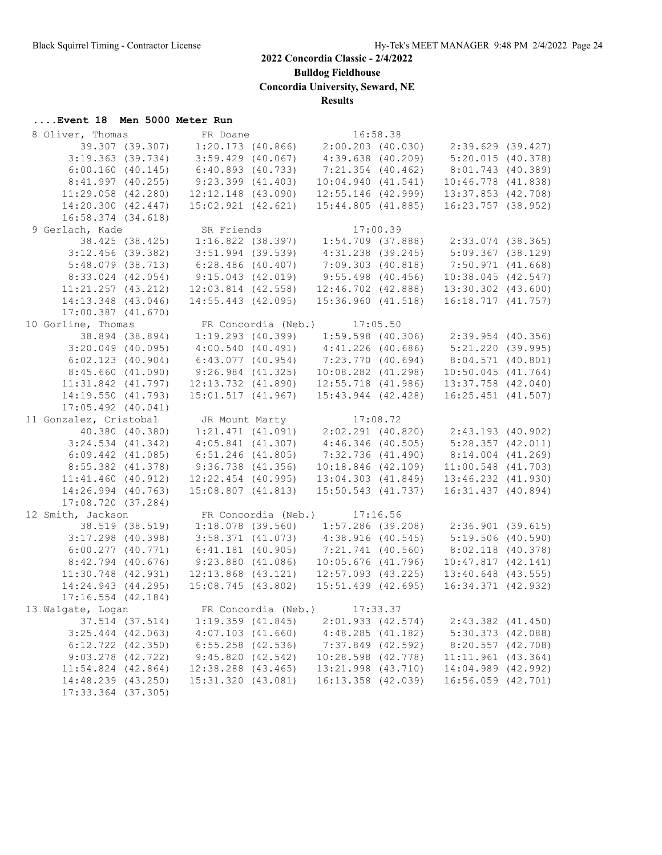**Bulldog Fieldhouse**

**Concordia University, Seward, NE**

**Results**

#### **....Event 18 Men 5000 Meter Run**

| 8 Oliver, Thomas                               |                 | FR Doane               |                                       | 16:58.38 |                                                             |  |
|------------------------------------------------|-----------------|------------------------|---------------------------------------|----------|-------------------------------------------------------------|--|
| 39.307 (39.307)                                |                 | $1:20.173$ (40.866)    | 2:00.203 (40.030)                     |          | 2:39.629 (39.427)                                           |  |
| $3:19.363$ (39.734)                            |                 | $3:59.429$ (40.067)    | $4:39.638$ $(40.209)$                 |          | 5:20.015(40.378)                                            |  |
| 6:00.160(40.145)                               |                 | 6:40.893(40.733)       | $7:21.354$ (40.462)                   |          | 8:01.743 (40.389)                                           |  |
| 8:41.997(40.255)                               |                 | $9:23.399$ $(41.403)$  | 10:04.940(41.541)                     |          | $10:46.778$ $(41.838)$                                      |  |
| $11:29.058$ $(42.280)$                         |                 | $12:12.148$ (43.090)   | 12:55.146 (42.999)                    |          | 13:37.853 (42.708)                                          |  |
| 14:20.300(42.447)                              |                 | $15:02.921$ $(42.621)$ | 15:44.805(41.885)                     |          | $16:23.757$ (38.952)                                        |  |
| $16:58.374$ $(34.618)$                         |                 |                        |                                       |          |                                                             |  |
| 9 Gerlach, Kade                                |                 | SR Friends             |                                       | 17:00.39 |                                                             |  |
|                                                | 38.425 (38.425) | $1:16.822$ (38.397)    |                                       |          | $1:54.709$ (37.888) $2:33.074$ (38.365)                     |  |
| $3:12.456$ (39.382)                            |                 | $3:51.994$ (39.539)    | $4:31.238$ $(39.245)$                 |          | $5:09.367$ (38.129)                                         |  |
| $5:48.079$ (38.713)                            |                 | $6:28.486$ (40.407)    | $7:09.303$ $(40.818)$                 |          | 7:50.971(41.668)                                            |  |
|                                                |                 |                        |                                       |          |                                                             |  |
| $8:33.024$ (42.054)                            |                 | $9:15.043$ (42.019)    | $9:55.498$ (40.456)                   |          | $10:38.045$ (42.547)                                        |  |
| $11:21.257$ $(43.212)$                         |                 | $12:03.814$ $(42.558)$ | 12:46.702 (42.888)                    |          | 13:30.302 (43.600)                                          |  |
| 14:13.348 (43.046)                             |                 | $14:55.443$ (42.095)   | 15:36.960(41.518)                     |          | 16:18.717(41.757)                                           |  |
| $17:00.387$ $(41.670)$                         |                 |                        |                                       |          |                                                             |  |
| 10 Gorline, Thomas                             |                 |                        | FR Concordia (Neb.) 17:05.50          |          |                                                             |  |
|                                                | 38.894 (38.894) |                        |                                       |          | $1:19.293$ (40.399) $1:59.598$ (40.306) $2:39.954$ (40.356) |  |
| $3:20.049$ (40.095)                            |                 | 4:00.540(40.491)       | $4:41.226$ (40.686)                   |          | 5:21.220 (39.995)                                           |  |
| 6:02.123(40.904)                               |                 | $6:43.077$ (40.954)    | 7:23.770 (40.694)                     |          | 8:04.571 (40.801)                                           |  |
| 8:45.660(41.090)                               |                 | $9:26.984$ $(41.325)$  | $10:08.282$ $(41.298)$                |          | $10:50.045$ $(41.764)$                                      |  |
| $11:31.842$ $(41.797)$                         |                 | 12:13.732 (41.890)     | $12:55.718$ $(41.986)$                |          | 13:37.758 (42.040)                                          |  |
| 14:19.550(41.793)                              |                 |                        | 15:01.517 (41.967) 15:43.944 (42.428) |          | 16:25.451 (41.507)                                          |  |
| $17:05.492$ $(40.041)$                         |                 |                        |                                       |          |                                                             |  |
| 11 Gonzalez, Cristobal                         |                 |                        | JR Mount Marty 17:08.72               |          |                                                             |  |
| 40.380 (40.380)                                |                 |                        |                                       |          | $1:21.471$ (41.091) $2:02.291$ (40.820) $2:43.193$ (40.902) |  |
| $3:24.534$ $(41.342)$                          |                 | 4:05.841(41.307)       | $4:46.346$ (40.505)                   |          | $5:28.357$ $(42.011)$                                       |  |
| $6:09.442$ $(41.085)$                          |                 | $6:51.246$ $(41.805)$  | 7:32.736(41.490)                      |          | $8:14.004$ $(41.269)$                                       |  |
| 8:55.382 (41.378)                              |                 | $9:36.738$ (41.356)    | $10:18.846$ $(42.109)$                |          | $11:00.548$ (41.703)                                        |  |
| $11:41.460$ (40.912)                           |                 | $12:22.454$ (40.995)   |                                       |          | 13:04.303 (41.849) 13:46.232 (41.930)                       |  |
| 14:26.994 (40.763)                             |                 | $15:08.807$ $(41.813)$ | 15:50.543 (41.737)                    |          | 16:31.437 (40.894)                                          |  |
| 17:08.720 (37.284)                             |                 |                        |                                       |          |                                                             |  |
|                                                |                 |                        |                                       |          |                                                             |  |
| 12 Smith, Jackson                              | 38.519 (38.519) |                        | FR Concordia (Neb.) 17:16.56          |          |                                                             |  |
|                                                |                 |                        |                                       |          | $1:18.078$ (39.560) $1:57.286$ (39.208) $2:36.901$ (39.615) |  |
| $3:17.298$ (40.398)                            |                 | 3:58.371(41.073)       | 4:38.916(40.545)                      |          | 5:19.506(40.590)                                            |  |
| $6:00.277$ $(40.771)$                          |                 | $6:41.181$ (40.905)    | 7:21.741 (40.560)                     |          | 8:02.118(40.378)                                            |  |
| $8:42.794$ (40.676)                            |                 | $9:23.880$ $(41.086)$  | $10:05.676$ (41.796)                  |          | 10:47.817(42.141)                                           |  |
| $11:30.748$ (42.931)                           |                 | $12:13.868$ $(43.121)$ | $12:57.093$ $(43.225)$                |          | $13:40.648$ (43.555)                                        |  |
| 14:24.943 (44.295)                             |                 | 15:08.745(43.802)      | $15:51.439$ $(42.695)$                |          | 16:34.371 (42.932)                                          |  |
| $17:16.554$ (42.184)                           |                 |                        |                                       |          |                                                             |  |
| 13 Walqate, Logan FR Concordia (Neb.) 17:33.37 |                 |                        |                                       |          |                                                             |  |
|                                                | 37.514 (37.514) | $1:19.359$ $(41.845)$  | 2:01.933 (42.574)                     |          | $2:43.382$ $(41.450)$                                       |  |
| $3:25.444$ $(42.063)$                          |                 | $4:07.103$ $(41.660)$  | 4:48.285(41.182)                      |          | $5:30.373$ $(42.088)$                                       |  |
| $6:12.722$ $(42.350)$                          |                 | $6:55.258$ $(42.536)$  | $7:37.849$ $(42.592)$                 |          | $8:20.557$ $(42.708)$                                       |  |
| $9:03.278$ $(42.722)$                          |                 | 9:45.820(42.542)       | 10:28.598 (42.778)                    |          | $11:11.961$ (43.364)                                        |  |
| $11:54.824$ $(42.864)$                         |                 | $12:38.288$ $(43.465)$ | 13:21.998 (43.710)                    |          | 14:04.989 (42.992)                                          |  |
| 14:48.239 (43.250)                             |                 | 15:31.320 (43.081)     | 16:13.358 (42.039)                    |          | $16:56.059$ $(42.701)$                                      |  |
| 17:33.364 (37.305)                             |                 |                        |                                       |          |                                                             |  |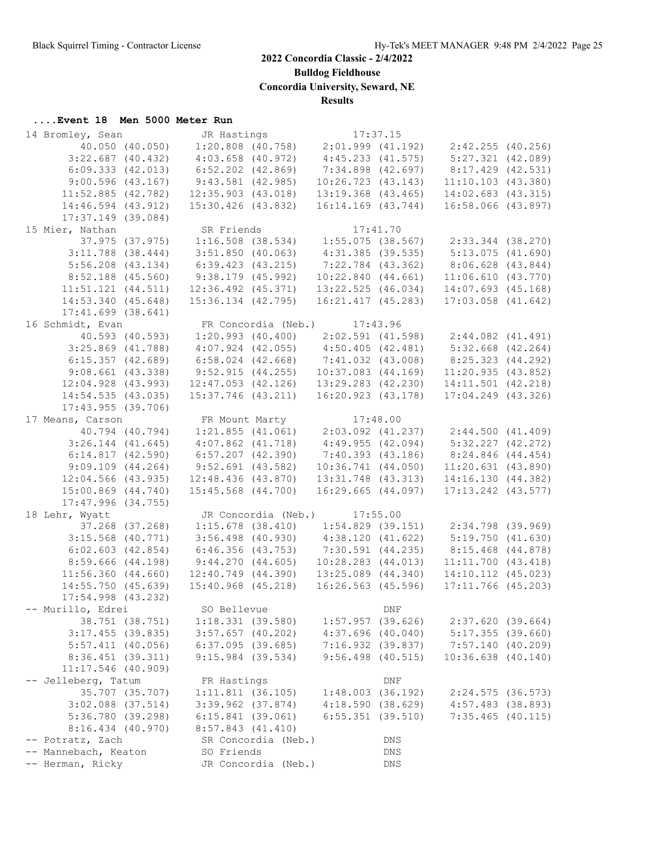**Bulldog Fieldhouse**

**Concordia University, Seward, NE**

**Results**

#### **....Event 18 Men 5000 Meter Run**

| 14 Bromley, Sean       | JR Hastings            |                     | 17:37.15                                |                    |                                                             |  |
|------------------------|------------------------|---------------------|-----------------------------------------|--------------------|-------------------------------------------------------------|--|
| 40.050 (40.050)        |                        |                     |                                         |                    | $1:20.808$ (40.758) $2:01.999$ (41.192) $2:42.255$ (40.256) |  |
| $3:22.687$ (40.432)    | $4:03.658$ $(40.972)$  |                     | $4:45.233$ $(41.575)$                   |                    | $5:27.321$ $(42.089)$                                       |  |
| 6:09.333(42.013)       | $6:52.202$ $(42.869)$  |                     | 7:34.898 (42.697)                       |                    | 8:17.429 (42.531)                                           |  |
| 9:00.596(43.167)       | $9:43.581$ (42.985)    |                     | 10:26.723(43.143)                       |                    | $11:10.103$ $(43.380)$                                      |  |
| $11:52.885$ (42.782)   | $12:35.903$ $(43.018)$ |                     | $13:19.368$ $(43.465)$                  |                    | 14:02.683 (43.315)                                          |  |
| 14:46.594 (43.912)     | $15:30.426$ (43.832)   |                     | 16:14.169 (43.744)                      |                    | 16:58.066 (43.897)                                          |  |
| $17:37.149$ (39.084)   |                        |                     |                                         |                    |                                                             |  |
| 15 Mier, Nathan        | SR Friends             |                     |                                         | 17:41.70           |                                                             |  |
| 37.975 (37.975)        |                        | $1:16.508$ (38.534) |                                         |                    | 1:55.075 (38.567) 2:33.344 (38.270)                         |  |
| $3:11.788$ (38.444)    | $3:51.850$ (40.063)    |                     | 4:31.385 (39.535)                       |                    | 5:13.075(41.690)                                            |  |
| $5:56.208$ $(43.134)$  | $6:39.423$ $(43.215)$  |                     | 7:22.784 (43.362)                       |                    | 8:06.628 (43.844)                                           |  |
| $8:52.188$ (45.560)    | $9:38.179$ (45.992)    |                     | 10:22.840(44.661)                       |                    | $11:06.610$ $(43.770)$                                      |  |
| $11:51.121$ $(44.511)$ | $12:36.492$ $(45.371)$ |                     | 13:22.525 (46.034)                      |                    | 14:07.693 (45.168)                                          |  |
| 14:53.340 (45.648)     | 15:36.134 (42.795)     |                     | 16:21.417(45.283)                       |                    | $17:03.058$ $(41.642)$                                      |  |
| $17:41.699$ (38.641)   |                        |                     |                                         |                    |                                                             |  |
| 16 Schmidt, Evan       |                        |                     | FR Concordia (Neb.) 17:43.96            |                    |                                                             |  |
| 40.593 (40.593)        |                        |                     |                                         |                    | $1:20.993$ (40.400) $2:02.591$ (41.598) $2:44.082$ (41.491) |  |
| $3:25.869$ $(41.788)$  |                        |                     | $4:07.924$ (42.055) $4:50.405$ (42.481) |                    | $5:32.668$ $(42.264)$                                       |  |
| 6:15.357(42.689)       | $6:58.024$ (42.668)    |                     | 7:41.032 (43.008)                       |                    | 8:25.323 (44.292)                                           |  |
| $9:08.661$ $(43.338)$  | 9:52.915(44.255)       |                     | $10:37.083$ $(44.169)$                  |                    | 11:20.935(43.852)                                           |  |
| $12:04.928$ $(43.993)$ | $12:47.053$ $(42.126)$ |                     | 13:29.283 (42.230)                      |                    | 14:11.501 (42.218)                                          |  |
| 14:54.535(43.035)      | 15:37.746 (43.211)     |                     | 16:20.923 (43.178)                      |                    | $17:04.249$ (43.326)                                        |  |
| 17:43.955(39.706)      |                        |                     |                                         |                    |                                                             |  |
| 17 Means, Carson       |                        |                     | FR Mount Marty 17:48.00                 |                    |                                                             |  |
| 40.794 (40.794)        |                        |                     |                                         |                    | $1:21.855$ (41.061) $2:03.092$ (41.237) $2:44.500$ (41.409) |  |
| $3:26.144$ (41.645)    | $4:07.862$ $(41.718)$  |                     |                                         |                    | 4:49.955 (42.094) 5:32.227 (42.272)                         |  |
| 6:14.817(42.590)       | $6:57.207$ $(42.390)$  |                     | 7:40.393(43.186)                        |                    | 8:24.846 (44.454)                                           |  |
| 9:09.109(44.264)       | $9:52.691$ (43.582)    |                     | 10:36.741(44.050)                       |                    | $11:20.631$ (43.890)                                        |  |
| $12:04.566$ (43.935)   | $12:48.436$ (43.870)   |                     | 13:31.748 (43.313)                      |                    | 14:16.130 (44.382)                                          |  |
| 15:00.869 (44.740)     | $15:45.568$ $(44.700)$ |                     | $16:29.665$ $(44.097)$                  |                    | $17:13.242$ $(43.577)$                                      |  |
| $17:47.996$ (34.755)   |                        |                     |                                         |                    |                                                             |  |
| 18 Lehr, Wyatt         |                        |                     | JR Concordia (Neb.) 17:55.00            |                    |                                                             |  |
| 37.268 (37.268)        |                        |                     |                                         |                    | $1:15.678$ (38.410) $1:54.829$ (39.151) $2:34.798$ (39.969) |  |
| $3:15.568$ (40.771)    |                        | $3:56.498$ (40.930) | 4:38.120 (41.622)                       |                    | 5:19.750 (41.630)                                           |  |
| $6:02.603$ $(42.854)$  | $6:46.356$ $(43.753)$  |                     | 7:30.591 (44.235)                       |                    | 8:15.468 (44.878)                                           |  |
| $8:59.666$ $(44.198)$  | 9:44.270(44.605)       |                     | $10:28.283$ $(44.013)$                  |                    | $11:11.700$ $(43.418)$                                      |  |
| $11:56.360$ $(44.660)$ | $12:40.749$ $(44.390)$ |                     | $13:25.089$ $(44.340)$                  |                    | 14:10.112 (45.023)                                          |  |
| $14:55.750$ (45.639)   | $15:40.968$ $(45.218)$ |                     | $16:26.563$ (45.596)                    |                    | 17:11.766 (45.203)                                          |  |
| $17:54.998$ $(43.232)$ |                        |                     |                                         |                    |                                                             |  |
| -- Murillo, Edrei      | SO Bellevue            |                     |                                         | DNF                |                                                             |  |
| 38.751 (38.751)        | $1:18.331$ (39.580)    |                     | 1:57.957(39.626)                        |                    | 2:37.620(39.664)                                            |  |
| $3:17.455$ (39.835)    | $3:57.657$ (40.202)    |                     | $4:37.696$ (40.040)                     |                    | $5:17.355$ (39.660)                                         |  |
| $5:57.411$ (40.056)    | $6:37.095$ (39.685)    |                     | 7:16.932(39.837)                        |                    | 7:57.140(40.209)                                            |  |
| $8:36.451$ (39.311)    | $9:15.984$ (39.534)    |                     | $9:56.498$ (40.515)                     |                    | $10:36.638$ $(40.140)$                                      |  |
| 11:17.546 (40.909)     |                        |                     |                                         |                    |                                                             |  |
| -- Jelleberg, Tatum    | FR Hastings            |                     |                                         | $\mathop{\rm DNF}$ |                                                             |  |
| 35.707 (35.707)        | 1:11.811(36.105)       |                     | 1:48.003(36.192)                        |                    | 2:24.575(36.573)                                            |  |
| $3:02.088$ $(37.514)$  | $3:39.962$ $(37.874)$  |                     | 4:18.590(38.629)                        |                    | $4:57.483$ (38.893)                                         |  |
| 5:36.780 (39.298)      | $6:15.841$ (39.061)    |                     | $6:55.351$ $(39.510)$                   |                    | $7:35.465$ (40.115)                                         |  |
| $8:16.434$ $(40.970)$  | $8:57.843$ $(41.410)$  |                     |                                         |                    |                                                             |  |
| -- Potratz, Zach       |                        | SR Concordia (Neb.) |                                         | DNS                |                                                             |  |
| -- Mannebach, Keaton   | SO Friends             |                     |                                         | DNS                |                                                             |  |
| -- Herman, Ricky       |                        | JR Concordia (Neb.) |                                         | DNS                |                                                             |  |
|                        |                        |                     |                                         |                    |                                                             |  |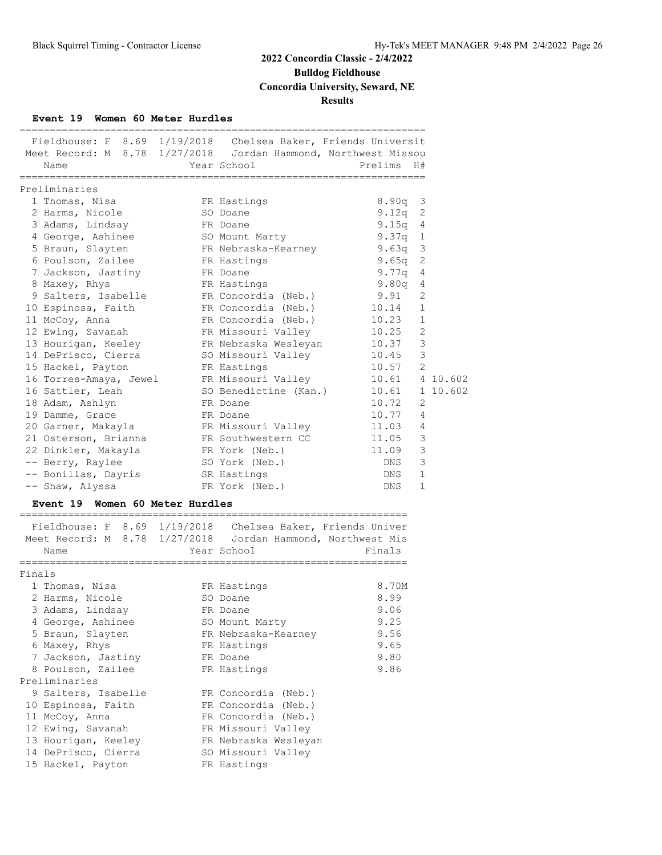**Bulldog Fieldhouse**

**Concordia University, Seward, NE**

**Results**

#### **Event 19 Women 60 Meter Hurdles**

|                |            |                                      |             | Fieldhouse: F 8.69 1/19/2018 Chelsea Baker, Friends Universit  |  |
|----------------|------------|--------------------------------------|-------------|----------------------------------------------------------------|--|
|                |            |                                      |             | Meet Record: M 8.78 1/27/2018 Jordan Hammond, Northwest Missou |  |
|                | Prelims H# | Year School                          |             | Name                                                           |  |
|                |            |                                      |             | Preliminaries                                                  |  |
|                | 8.90a 3    |                                      | FR Hastings | 1 Thomas, Nisa                                                 |  |
|                | $9.12q$ 2  | SO Doane                             |             | 2 Harms, Nicole                                                |  |
|                | $9.15q$ 4  | FR Doane                             |             | 3 Adams, Lindsay                                               |  |
|                | $9.37q$ 1  | SO Mount Marty                       |             | 4 George, Ashinee                                              |  |
|                |            |                                      |             | 5 Braun, Slayten FR Nebraska-Kearney 9.63q 3                   |  |
|                | $9.65q$ 2  |                                      |             | 6 Poulson, Zailee FR Hastings                                  |  |
|                | 9.77q 4    | FR Doane                             |             | 7 Jackson, Jastiny                                             |  |
|                | $9.80q$ 4  | FR Hastings                          |             | 8 Maxey, Rhys                                                  |  |
| 2              | 9.91       | FR Concordia (Neb.)                  |             | 9 Salters, Isabelle                                            |  |
| $\mathbf{1}$   |            |                                      |             | 10 Espinosa, Faith FR Concordia (Neb.) 10.14                   |  |
|                |            | FR Concordia (Neb.) 10.23 1          |             | 11 McCoy, Anna                                                 |  |
| 2              |            |                                      |             | 12 Ewing, Savanah KR Missouri Valley 10.25                     |  |
| 3              |            |                                      |             | 13 Hourigan, Keeley 6 FR Nebraska Wesleyan 10.37               |  |
| $\mathcal{S}$  | 10.45      | SO Missouri Valley                   |             | 14 DePrisco, Cierra                                            |  |
|                | $10.57$ 2  |                                      | FR Hastings | 15 Hackel, Payton                                              |  |
|                |            |                                      |             | 16 Torres-Amaya, Jewel FR Missouri Valley 10.61 4 10.602       |  |
|                |            | SO Benedictine (Kan.) 10.61 1 10.602 |             | 16 Sattler, Leah                                               |  |
| 2              | 10.72      | FR Doane                             |             | 18 Adam, Ashlyn                                                |  |
| $\overline{4}$ | 10.77      |                                      | FR Doane    | 19 Damme, Grace                                                |  |
| 4              |            |                                      |             |                                                                |  |
| 3              | 11.05      | FR Southwestern CC                   |             | 21 Osterson, Brianna                                           |  |
| 3              | 11.09      | FR York (Neb.)                       |             | 22 Dinkler, Makayla                                            |  |
| 3              | DNS        | SO York (Neb.)                       |             | -- Berry, Raylee                                               |  |
| $\mathbf{1}$   | DNS        |                                      |             | -- Bonillas, Dayris SR Hastings                                |  |
| $\mathbf{1}$   | DNS        | FR York (Neb.)                       |             | -- Shaw, Alyssa                                                |  |
|                |            |                                      |             |                                                                |  |

#### **Event 19 Women 60 Meter Hurdles**

|        | Fieldhouse: F 8.69 1/19/2018 Chelsea Baker, Friends Univer<br>Meet Record: M 8.78 1/27/2018 Jordan Hammond, Northwest Mis<br>Name | Year School          | Finals |
|--------|-----------------------------------------------------------------------------------------------------------------------------------|----------------------|--------|
|        |                                                                                                                                   |                      |        |
| Finals |                                                                                                                                   |                      |        |
|        | 1 Thomas, Nisa                                                                                                                    | FR Hastings          | 8.70M  |
|        | 2 Harms, Nicole                                                                                                                   | SO Doane             | 8.99   |
|        | 3 Adams, Lindsay                                                                                                                  | FR Doane             | 9.06   |
|        | 4 George, Ashinee                                                                                                                 | SO Mount Marty       | 9.25   |
|        | 5 Braun, Slayten                                                                                                                  | FR Nebraska-Kearney  | 9.56   |
|        | 6 Maxey, Rhys                                                                                                                     | FR Hastings          | 9.65   |
|        | 7 Jackson, Jastiny                                                                                                                | FR Doane             | 9.80   |
|        | 8 Poulson, Zailee                                                                                                                 | FR Hastings          | 9.86   |
|        | Preliminaries                                                                                                                     |                      |        |
|        | 9 Salters, Isabelle                                                                                                               | FR Concordia (Neb.)  |        |
|        | 10 Espinosa, Faith                                                                                                                | FR Concordia (Neb.)  |        |
|        | 11 McCoy, Anna                                                                                                                    | FR Concordia (Neb.)  |        |
|        | 12 Ewing, Savanah                                                                                                                 | FR Missouri Valley   |        |
|        | 13 Hourigan, Keeley                                                                                                               | FR Nebraska Wesleyan |        |
|        | 14 DePrisco, Cierra                                                                                                               | SO Missouri Valley   |        |
|        | 15 Hackel, Payton                                                                                                                 | FR Hastings          |        |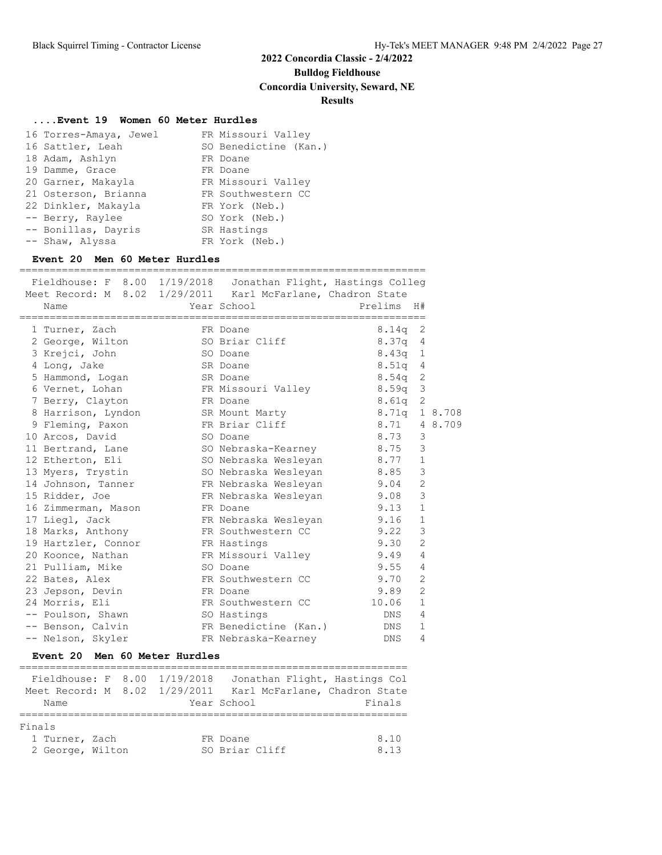**Bulldog Fieldhouse**

**Concordia University, Seward, NE**

#### **Results**

#### **....Event 19 Women 60 Meter Hurdles**

| 16 Torres-Amaya, Jewel | FR Missouri Valley    |
|------------------------|-----------------------|
| 16 Sattler, Leah       | SO Benedictine (Kan.) |
| 18 Adam, Ashlyn        | FR Doane              |
| 19 Damme, Grace        | FR Doane              |
| 20 Garner, Makayla     | FR Missouri Valley    |
| 21 Osterson, Brianna   | FR Southwestern CC    |
| 22 Dinkler, Makayla    | FR York (Neb.)        |
| -- Berry, Raylee       | SO York (Neb.)        |
| -- Bonillas, Dayris    | SR Hastings           |
| -- Shaw, Alyssa        | FR York (Neb.)        |

#### **Event 20 Men 60 Meter Hurdles**

| Fieldhouse: F 8.00 1/19/2018 Jonathan Flight, Hastings Colleg<br>Meet Record: M 8.02 1/29/2011 Karl McFarlane, Chadron State<br>Name | Year School           | Prelims H# |                |         |
|--------------------------------------------------------------------------------------------------------------------------------------|-----------------------|------------|----------------|---------|
| 1 Turner, Zach                                                                                                                       | FR Doane              | 8.14a      | 2              |         |
| 2 George, Wilton                                                                                                                     | SO Briar Cliff        | 8.37q      | 4              |         |
| 3 Krejci, John                                                                                                                       | SO Doane              | 8.43q      | 1              |         |
| 4 Long, Jake                                                                                                                         | SR Doane              | 8.51q      | 4              |         |
| 5 Hammond, Logan                                                                                                                     | SR Doane              | $8.54$ q   | 2              |         |
| 6 Vernet, Lohan                                                                                                                      | FR Missouri Valley    | 8.59q      | 3              |         |
| 7 Berry, Clayton                                                                                                                     | FR Doane              | 8.61q      | 2              |         |
| 8 Harrison, Lyndon SR Mount Marty                                                                                                    |                       | 8.71q      |                | 1 8.708 |
| 9 Fleming, Paxon                                                                                                                     | FR Briar Cliff        | 8.71       |                | 4 8.709 |
| 10 Arcos, David                                                                                                                      | SO Doane              | 8.73       | 3              |         |
| 11 Bertrand, Lane                                                                                                                    | SO Nebraska-Kearney   | 8.75       | 3              |         |
| 12 Etherton, Eli                                                                                                                     | SO Nebraska Wesleyan  | 8.77       | $\mathbf{1}$   |         |
| 13 Myers, Trystin                                                                                                                    | SO Nebraska Wesleyan  | 8.85       | 3              |         |
| 14 Johnson, Tanner                                                                                                                   | FR Nebraska Wesleyan  | 9.04       | $\mathbf{2}$   |         |
| 15 Ridder, Joe                                                                                                                       | FR Nebraska Wesleyan  | 9.08       | 3              |         |
| 16 Zimmerman, Mason                                                                                                                  | FR Doane              | 9.13       | $\mathbf 1$    |         |
| 17 Liegl, Jack                                                                                                                       | FR Nebraska Wesleyan  | 9.16       | $\mathbf{1}$   |         |
| 18 Marks, Anthony                                                                                                                    | FR Southwestern CC    | 9.22       | 3              |         |
| 19 Hartzler, Connor                                                                                                                  | FR Hastings           | 9.30       | $\overline{2}$ |         |
| 20 Koonce, Nathan                                                                                                                    | FR Missouri Valley    | 9.49       | $\overline{4}$ |         |
| 21 Pulliam, Mike                                                                                                                     | SO Doane              | 9.55       | $\overline{4}$ |         |
| 22 Bates, Alex                                                                                                                       | FR Southwestern CC    | 9.70       | $\mathbf{2}$   |         |
| 23 Jepson, Devin                                                                                                                     | FR Doane              | 9.89       | $\overline{2}$ |         |
| 24 Morris, Eli                                                                                                                       | FR Southwestern CC    | 10.06      | $\mathbf{1}$   |         |
| -- Poulson, Shawn                                                                                                                    | SO Hastings           | DNS        | 4              |         |
| -- Benson, Calvin                                                                                                                    | FR Benedictine (Kan.) | <b>DNS</b> | $\mathbf{1}$   |         |
| -- Nelson, Skyler                                                                                                                    | FR Nebraska-Kearney   | <b>DNS</b> | 4              |         |

#### **Event 20 Men 60 Meter Hurdles**

|                               |  | Fieldhouse: F 8.00 1/19/2018 | Jonathan Flight, Hastings Col |        |
|-------------------------------|--|------------------------------|-------------------------------|--------|
| Meet Record: M 8.02 1/29/2011 |  |                              | Karl McFarlane, Chadron State |        |
| Name                          |  |                              | Year School                   | Finals |
|                               |  |                              |                               |        |
| Finals                        |  |                              |                               |        |
| 1 Turner, Zach                |  |                              | FR Doane                      | 8.10   |
| 2 George, Wilton              |  |                              | SO Briar Cliff                | 8.13   |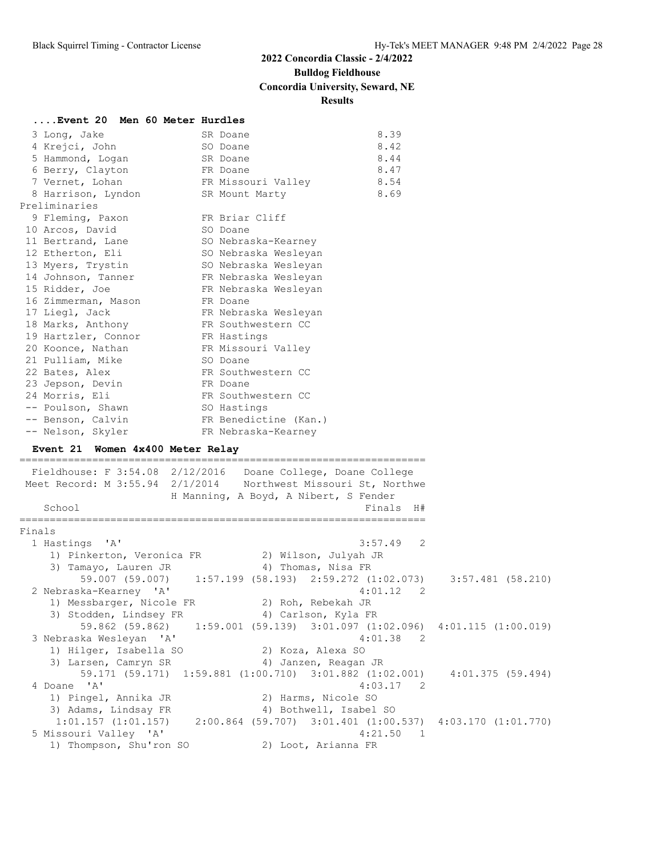## **Bulldog Fieldhouse**

## **Concordia University, Seward, NE**

#### **Results**

| Event 20 Men 60 Meter Hurdles                      |                                                                |                         |
|----------------------------------------------------|----------------------------------------------------------------|-------------------------|
| 3 Long, Jake                                       | 8.39<br>SR Doane                                               |                         |
| 4 Krejci, John                                     | 8.42<br>SO Doane                                               |                         |
| 5 Hammond, Logan                                   | 8.44<br>SR Doane                                               |                         |
| 6 Berry, Clayton                                   | 8.47<br>FR Doane                                               |                         |
| 7 Vernet, Lohan                                    | 8.54<br>FR Missouri Valley                                     |                         |
| 8 Harrison, Lyndon                                 | 8.69<br>SR Mount Marty                                         |                         |
| Preliminaries                                      |                                                                |                         |
| 9 Fleming, Paxon                                   | FR Briar Cliff                                                 |                         |
| 10 Arcos, David                                    | SO Doane                                                       |                         |
| 11 Bertrand, Lane                                  | SO Nebraska-Kearney                                            |                         |
| 12 Etherton, Eli                                   | SO Nebraska Wesleyan                                           |                         |
| 13 Myers, Trystin                                  | SO Nebraska Wesleyan                                           |                         |
| 14 Johnson, Tanner                                 | FR Nebraska Wesleyan                                           |                         |
| 15 Ridder, Joe                                     | FR Nebraska Wesleyan                                           |                         |
| 16 Zimmerman, Mason                                | FR Doane                                                       |                         |
| 17 Liegl, Jack                                     | FR Nebraska Wesleyan                                           |                         |
| 18 Marks, Anthony                                  | FR Southwestern CC                                             |                         |
| 19 Hartzler, Connor                                | FR Hastings                                                    |                         |
| 20 Koonce, Nathan                                  | FR Missouri Valley                                             |                         |
| 21 Pulliam, Mike                                   | SO Doane                                                       |                         |
| 22 Bates, Alex                                     | FR Southwestern CC                                             |                         |
| 23 Jepson, Devin                                   | FR Doane                                                       |                         |
| 24 Morris, Eli                                     | FR Southwestern CC                                             |                         |
| -- Poulson, Shawn                                  | SO Hastings                                                    |                         |
| -- Benson, Calvin                                  | FR Benedictine (Kan.)                                          |                         |
| -- Nelson, Skyler                                  | FR Nebraska-Kearney                                            |                         |
|                                                    |                                                                |                         |
| Event 21 Women 4x400 Meter Relay                   |                                                                |                         |
|                                                    |                                                                |                         |
|                                                    | Fieldhouse: F 3:54.08 2/12/2016  Doane College, Doane College  |                         |
|                                                    | Meet Record: M 3:55.94 2/1/2014 Northwest Missouri St, Northwe |                         |
|                                                    | H Manning, A Boyd, A Nibert, S Fender                          |                         |
| School                                             | Finals H#                                                      |                         |
|                                                    |                                                                |                         |
| Finals                                             |                                                                |                         |
| 1 Hastings 'A'                                     | 3:57.49<br>2                                                   |                         |
| 1) Pinkerton, Veronica FR                          | 2) Wilson, Julyah JR                                           |                         |
| 3) Tamayo, Lauren JR                               | 4) Thomas, Nisa FR                                             |                         |
| 59.007 (59.007)<br>2 Nebraska-Kearney 'A'          | $1:57.199$ (58.193) $2:59.272$ (1:02.073)<br>2<br>4:01.12      | $3:57.481$ (58.210)     |
|                                                    | 2) Roh, Rebekah JR                                             |                         |
| 1) Messbarger, Nicole FR<br>3) Stodden, Lindsey FR | 4) Carlson, Kyla FR                                            |                         |
| 59.862 (59.862)                                    | $1:59.001$ (59.139) 3:01.097 (1:02.096) 4:01.115 (1:00.019)    |                         |
| 3 Nebraska Wesleyan 'A'                            | 4:01.38<br>$\overline{\phantom{0}}^2$                          |                         |
| 1) Hilger, Isabella SO                             | 2) Koza, Alexa SO                                              |                         |
| 3) Larsen, Camryn SR                               | 4) Janzen, Reagan JR                                           |                         |
| 59.171 (59.171)                                    | $1:59.881$ $(1:00.710)$ $3:01.882$ $(1:02.001)$                | 4:01.375(59.494)        |
| 4 Doane 'A'                                        | 4:03.17<br>$\overline{\phantom{0}}^2$                          |                         |
| 1) Pingel, Annika JR                               | 2) Harms, Nicole SO                                            |                         |
| 3) Adams, Lindsay FR                               | 4) Bothwell, Isabel SO                                         |                         |
| $1:01.157$ $(1:01.157)$                            | $2:00.864$ (59.707) $3:01.401$ (1:00.537)                      | $4:03.170$ $(1:01.770)$ |
| 5 Missouri Valley 'A'<br>1) Thompson, Shu'ron SO   | 4:21.50<br>$\mathbf{1}$<br>2) Loot, Arianna FR                 |                         |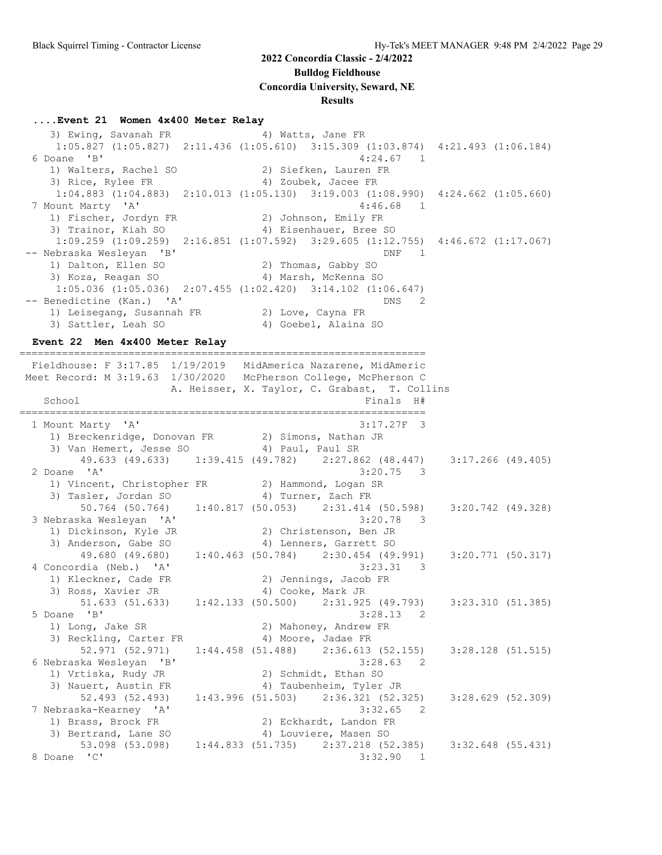**Bulldog Fieldhouse**

**Concordia University, Seward, NE**

#### **Results**

#### **....Event 21 Women 4x400 Meter Relay**

3) Ewing, Savanah FR 4) Watts, Jane FR 1:05.827 (1:05.827) 2:11.436 (1:05.610) 3:15.309 (1:03.874) 4:21.493 (1:06.184) 6 Doane 'B' 4:24.67 1 1) Walters, Rachel SO 1) Walters, Rachel SO (2) Siefken, Lauren FR<br>3) Rice, Rylee FR (4) Zoubek, Jacee FR 1:04.883 (1:04.883) 2:10.013 (1:05.130) 3:19.003 (1:08.990) 4:24.662 (1:05.660) 7 Mount Marty 'A' 31 (2012) 7 Mount Marty 'A' 4:46.68 1 1) Fischer, Jordyn FR 2) Johnson, Emily FR 3) Trainor, Kiah SO 4) Eisenhauer, Bree SO 1:09.259 (1:09.259) 2:16.851 (1:07.592) 3:29.605 (1:12.755) 4:46.672 (1:17.067) -- Nebraska Wesleyan 'B' DNF 1 1) Dalton, Ellen SO 2) Thomas, Gabby SO 3) Koza, Reagan SO 4) Marsh, McKenna SO 1:05.036 (1:05.036) 2:07.455 (1:02.420) 3:14.102 (1:06.647) -- Benedictine (Kan.) 'A' DNS 2 1) Leisegang, Susannah FR 2) Love, Cayna FR 3) Sattler, Leah SO 4) Goebel, Alaina SO

#### **Event 22 Men 4x400 Meter Relay**

=================================================================== Fieldhouse: F 3:17.85 1/19/2019 MidAmerica Nazarene, MidAmeric Meet Record: M 3:19.63 1/30/2020 McPherson College, McPherson C A. Heisser, X. Taylor, C. Grabast, T. Collins School **Finals** H# =================================================================== 1 Mount Marty 'A' 3:17.27F 3 1) Breckenridge, Donovan FR 2) Simons, Nathan JR 3) Van Hemert, Jesse SO 4) Paul, Paul SR 49.633 (49.633) 1:39.415 (49.782) 2:27.862 (48.447) 3:17.266 (49.405) 2 Doane 'A' 3:20.75 3 1) Vincent, Christopher FR 2) Hammond, Logan SR 3) Tasler, Jordan SO 4) Turner, Zach FR 50.764 (50.764) 1:40.817 (50.053) 2:31.414 (50.598) 3:20.742 (49.328) 3 Nebraska Wesleyan 'A' 3:20.78 3 1) Dickinson, Kyle JR 2) Christenson, Ben JR 3) Anderson, Gabe SO 4) Lenners, Garrett SO 49.680 (49.680) 1:40.463 (50.784) 2:30.454 (49.991) 3:20.771 (50.317) 4 Concordia (Neb.) 'A' 3:23.31 3 1) Kleckner, Cade FR 2) Jennings, Jacob FR 3) Ross, Xavier JR 4) Cooke, Mark JR 51.633 (51.633) 1:42.133 (50.500) 2:31.925 (49.793) 3:23.310 (51.385) 5 Doane 'B' 3:28.13 2 1) Long, Jake SR 2) Mahoney, Andrew FR 3) Reckling, Carter FR 4) Moore, Jadae FR 52.971 (52.971) 1:44.458 (51.488) 2:36.613 (52.155) 3:28.128 (51.515) 6 Nebraska Wesleyan 'B' 3:28.63 2 1) Vrtiska, Rudy JR 2) Schmidt, Ethan SO 3) Nauert, Austin FR 4) Taubenheim, Tyler JR 52.493 (52.493) 1:43.996 (51.503) 2:36.321 (52.325) 3:28.629 (52.309) 7 Nebraska-Kearney 'A' 3:32.65 2 1) Brass, Brock FR 2) Eckhardt, Landon FR 3) Bertrand, Lane SO 4) Louviere, Masen SO 53.098 (53.098) 1:44.833 (51.735) 2:37.218 (52.385) 3:32.648 (55.431) 8 Doane 'C' 3:32.90 1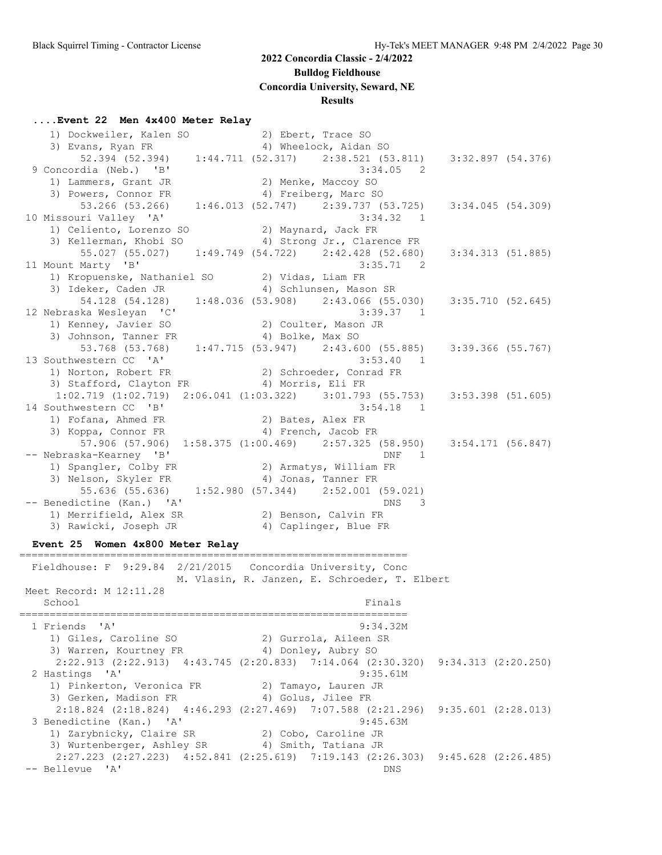**Bulldog Fieldhouse**

**Concordia University, Seward, NE**

#### **Results**

#### **....Event 22 Men 4x400 Meter Relay**

1) Dockweiler, Kalen SO 30 2) Ebert, Trace SO 3) Evans, Ryan FR 4) Wheelock, Aidan SO 52.394 (52.394) 1:44.711 (52.317) 2:38.521 (53.811) 3:32.897 (54.376) 9 Concordia (Neb.) 'B' 3:34.05 2 1) Lammers, Grant JR 2) Menke, Maccoy SO 3) Powers, Connor FR 4) Freiberg, Marc SO 53.266 (53.266) 1:46.013 (52.747) 2:39.737 (53.725) 3:34.045 (54.309) 10 Missouri Valley 'A' 1) Celiento, Lorenzo SO 2) Maynard, Jack FR 3) Kellerman, Khobi SO 4) Strong Jr., Clarence FR 55.027 (55.027) 1:49.749 (54.722) 2:42.428 (52.680) 3:34.313 (51.885) 11 Mount Marty 'B' 3:35.71 2 1) Kropuenske, Nathaniel SO 2) Vidas, Liam FR 3) Ideker, Caden JR 4) Schlunsen, Mason SR 54.128 (54.128) 1:48.036 (53.908) 2:43.066 (55.030) 3:35.710 (52.645) 12 Nebraska Wesleyan 'C' 3:39.37 1 1) Kenney, Javier SO 2) Coulter, Mason JR 3) Johnson, Tanner FR 4) Bolke, Max SO 53.768 (53.768) 1:47.715 (53.947) 2:43.600 (55.885) 3:39.366 (55.767) 13 Southwestern CC 'A' 3:53.40 1 1) Norton, Robert FR 2) Schroeder, Conrad FR 3) Stafford, Clayton FR 4) Morris, Eli FR 1:02.719 (1:02.719) 2:06.041 (1:03.322) 3:01.793 (55.753) 3:53.398 (51.605) 14 Southwestern CC 'B' 3:54.18 1 1) Fofana, Ahmed FR 2) Bates, Alex FR 3) Koppa, Connor FR 4) French, Jacob FR 57.906 (57.906) 1:58.375 (1:00.469) 2:57.325 (58.950) 3:54.171 (56.847) -- Nebraska-Kearney 'B' DNF 1 1) Spangler, Colby FR 2) Armatys, William FR 3) Nelson, Skyler FR 4) Jonas, Tanner FR 55.636 (55.636) 1:52.980 (57.344) 2:52.001 (59.021) -- Benedictine (Kan.) 'A' DNS 3 1) Merrifield, Alex SR 2) Benson, Calvin FR 3) Rawicki, Joseph JR 4) Caplinger, Blue FR **Event 25 Women 4x800 Meter Relay** ================================================================ Fieldhouse: F 9:29.84 2/21/2015 Concordia University, Conc M. Vlasin, R. Janzen, E. Schroeder, T. Elbert Meet Record: M 12:11.28 School Finals ================================================================ 1 Friends 'A' 9:34.32M 1) Giles, Caroline SO 2) Gurrola, Aileen SR

3) Warren, Kourtney FR 4) Donley, Aubry SO 2:22.913 (2:22.913) 4:43.745 (2:20.833) 7:14.064 (2:30.320) 9:34.313 (2:20.250) 2 Hastings 'A' 9:35.61M 1) Pinkerton, Veronica FR 2) Tamayo, Lauren JR 3) Gerken, Madison FR 4) Golus, Jilee FR 2:18.824 (2:18.824) 4:46.293 (2:27.469) 7:07.588 (2:21.296) 9:35.601 (2:28.013) 3 Benedictine (Kan.) 'A' 9:45.63M 1) Zarybnicky, Claire SR 2) Cobo, Caroline JR 3) Wurtenberger, Ashley SR 4) Smith, Tatiana JR 2:27.223 (2:27.223) 4:52.841 (2:25.619) 7:19.143 (2:26.303) 9:45.628 (2:26.485)

-- Bellevue 'A' DNS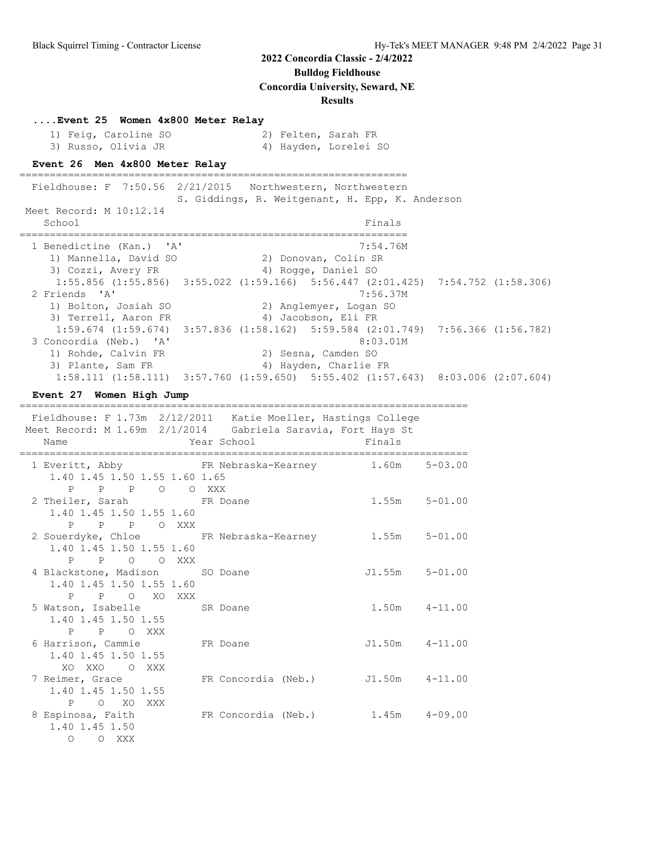**Bulldog Fieldhouse**

**Concordia University, Seward, NE**

#### **Results**

| Event 25 Women 4x800 Meter Relay |  |  |  |  |  |
|----------------------------------|--|--|--|--|--|
|----------------------------------|--|--|--|--|--|

| 1) Feig, Caroline SO |  | 2) Felten, Sarah FR   |  |
|----------------------|--|-----------------------|--|
| 3) Russo, Olivia JR  |  | 4) Hayden, Lorelei SO |  |

#### **Event 26 Men 4x800 Meter Relay**

================================================================ Fieldhouse: F 7:50.56 2/21/2015 Northwestern, Northwestern S. Giddings, R. Weitgenant, H. Epp, K. Anderson Meet Record: M 10:12.14 School Finals ================================================================ 1 Benedictine (Kan.) 'A' 7:54.76M 1) Mannella, David SO 2) Donovan, Colin SR 3) Cozzi, Avery FR 4) Rogge, Daniel SO 1:55.856 (1:55.856) 3:55.022 (1:59.166) 5:56.447 (2:01.425) 7:54.752 (1:58.306) 2 Friends 'A' 7:56.37M 1) Bolton, Josiah SO 2) Anglemyer, Logan SO 3) Terrell, Aaron FR 4) Jacobson, Eli FR 1:59.674 (1:59.674) 3:57.836 (1:58.162) 5:59.584 (2:01.749) 7:56.366 (1:56.782) 3 Concordia (Neb.) 'A' 8:03.01M 1) Rohde, Calvin FR 2) Sesna, Camden SO 3) Plante, Sam FR 4) Hayden, Charlie FR 1:58.111 (1:58.111) 3:57.760 (1:59.650) 5:55.402 (1:57.643) 8:03.006 (2:07.604)

#### **Event 27 Women High Jump**

==========================================================================

| Fieldhouse: F 1.73m  2/12/2011  Katie Moeller, Hastings College<br>Meet Record: M 1.69m 2/1/2014 Gabriela Saravia, Fort Hays St<br>Name | Year School Finals<br>------------ |                    |
|-----------------------------------------------------------------------------------------------------------------------------------------|------------------------------------|--------------------|
| 1 Everitt, Abby FR Nebraska-Kearney 1.60m 5-03.00                                                                                       |                                    |                    |
| 1.40 1.45 1.50 1.55 1.60 1.65                                                                                                           |                                    |                    |
| P P P O O XXX                                                                                                                           |                                    |                    |
| 2 Theiler, Sarah FR Doane                                                                                                               |                                    | $1.55m$ $5-01.00$  |
| 1.40 1.45 1.50 1.55 1.60<br>P P P O XXX                                                                                                 |                                    |                    |
| 2 Souerdyke, Chloe FR Nebraska-Kearney                                                                                                  |                                    | $1.55m$ $5-01.00$  |
| 1.40 1.45 1.50 1.55 1.60                                                                                                                |                                    |                    |
| P P O O XXX                                                                                                                             |                                    |                    |
| 4 Blackstone, Madison SO Doane                                                                                                          |                                    | $J1.55m$ $5-01.00$ |
| 1.40 1.45 1.50 1.55 1.60                                                                                                                |                                    |                    |
| P P O XO XXX                                                                                                                            |                                    |                    |
| 5 Watson, Isabelle SR Doane                                                                                                             |                                    | $1.50m$ $4-11.00$  |
| 1.40 1.45 1.50 1.55                                                                                                                     |                                    |                    |
| P P O XXX                                                                                                                               |                                    | J1.50m 4-11.00     |
| 6 Harrison, Cammie FR Doane<br>1.40 1.45 1.50 1.55                                                                                      |                                    |                    |
| XOXXO OXXX                                                                                                                              |                                    |                    |
| 7 Reimer, Grace                                                                                                                         | FR Concordia (Neb.) J1.50m 4-11.00 |                    |
| 1.40 1.45 1.50 1.55                                                                                                                     |                                    |                    |
| POXOXXX                                                                                                                                 |                                    |                    |
| 8 Espinosa, Faith FR Concordia (Neb.) 1.45m 4-09.00                                                                                     |                                    |                    |
| 1.40 1.45 1.50                                                                                                                          |                                    |                    |
| O O XXX                                                                                                                                 |                                    |                    |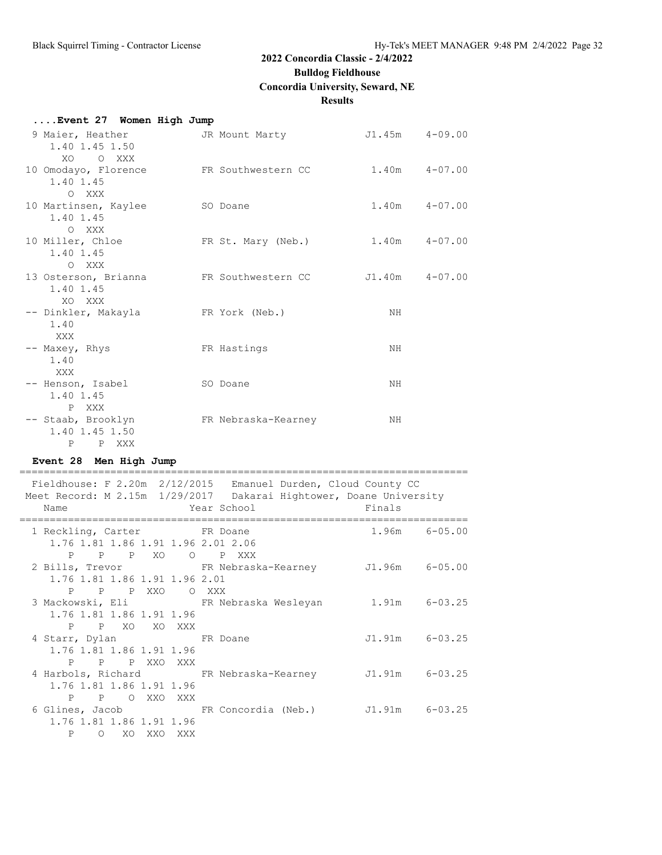**Bulldog Fieldhouse**

**Concordia University, Seward, NE**

#### **Results**

| Event 27 Women High Jump   |  |  |
|----------------------------|--|--|
| $0 \text{ Ma}$ gan Usathan |  |  |

| 9 Maier, Heather<br>1.40 1.45 1.50<br>XO.<br>O XXX               | JR Mount Marty      | J1.45m 4-09.00 |                   |
|------------------------------------------------------------------|---------------------|----------------|-------------------|
| 10 Omodayo, Florence<br>1.40 1.45<br>O XXX                       | FR Southwestern CC  |                | $1.40m$ $4-07.00$ |
| 10 Martinsen, Kaylee<br>1.40 1.45<br>O XXX                       | SO Doane            |                | $1.40m$ $4-07.00$ |
| 10 Miller, Chloe<br>1.40 1.45<br>O XXX                           | FR St. Mary (Neb.)  |                | $1.40m$ $4-07.00$ |
| 13 Osterson, Brianna<br>1.40 1.45<br>XO XXX                      | FR Southwestern CC  | J1.40m 4-07.00 |                   |
| -- Dinkler, Makayla<br>1.40<br>XXX                               | FR York (Neb.)      | NH             |                   |
| -- Maxey, Rhys<br>1.40<br>XXX X                                  | FR Hastings         | NH             |                   |
| -- Henson, Isabel<br>1.40 1.45<br>P XXX                          | SO Doane            | NH             |                   |
| -- Staab, Brooklyn<br>1.40 1.45 1.50<br>$\mathbf{P}$<br>P<br>XXX | FR Nebraska-Kearney | NH             |                   |

#### **Event 28 Men High Jump**

========================================================================== Fieldhouse: F 2.20m 2/12/2015 Emanuel Durden, Cloud County CC Meet Record: M 2.15m 1/29/2017 Dakarai Hightower, Doane University Name Year School Finals ========================================================================== 1 Reckling, Carter FR Doane 1.96m 6-05.00 1.76 1.81 1.86 1.91 1.96 2.01 2.06 P P P XO O P XXX 2 Bills, Trevor FR Nebraska-Kearney J1.96m 6-05.00 1.76 1.81 1.86 1.91 1.96 2.01 P P P XXO O XXX FR Nebraska Wesleyan 1.91m 6-03.25 1.76 1.81 1.86 1.91 1.96 P P XO XO XXX<br>4 Starr, Dylan FR Doane J1.91m 6-03.25 1.76 1.81 1.86 1.91 1.96 P P P XXO XXX 4 Harbols, Richard FR Nebraska-Kearney J1.91m 6-03.25 1.76 1.81 1.86 1.91 1.96 P P O XXO XXX 6 Glines, Jacob FR Concordia (Neb.) J1.91m 6-03.25 1.76 1.81 1.86 1.91 1.96 P O XO XXO XXX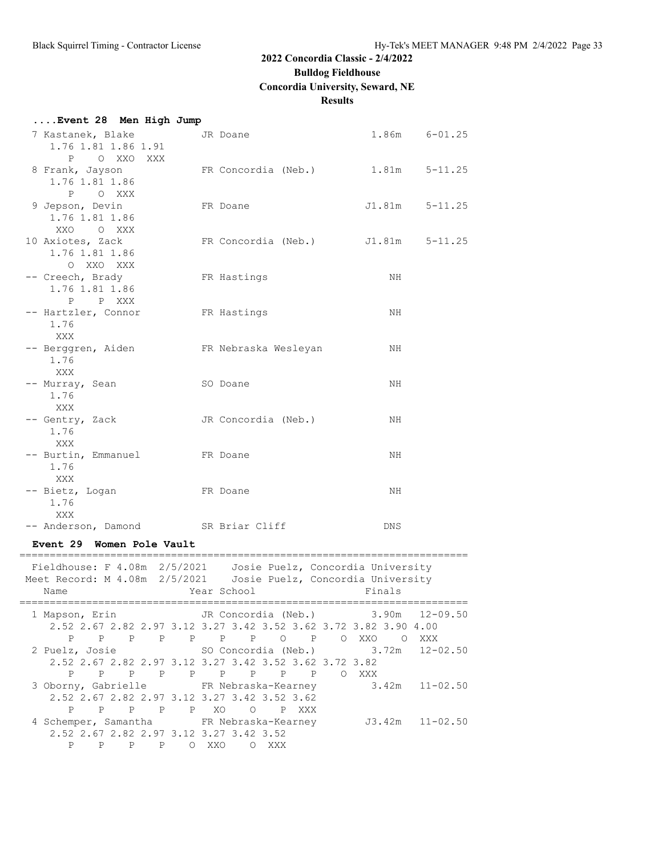**Bulldog Fieldhouse**

**Concordia University, Seward, NE**

#### **Results**

| Event 28 Men High Jump |  |  |
|------------------------|--|--|
|                        |  |  |

| 7 Kastanek, Blake<br>1.76 1.81 1.86 1.91                  | JR Doane                          | 1.86m  | $6 - 01.25$ |
|-----------------------------------------------------------|-----------------------------------|--------|-------------|
| P O XXO XXX<br>8 Frank, Jayson<br>1.76 1.81 1.86          | FR Concordia (Neb.) 1.81m 5-11.25 |        |             |
| P O XXX<br>9 Jepson, Devin<br>1.76 1.81 1.86<br>XXO O XXX | FR Doane                          | J1.81m | $5 - 11.25$ |
| 10 Axiotes, Zack<br>1.76 1.81 1.86<br>O XXO XXX           | FR Concordia (Neb.) J1.81m        |        | $5 - 11.25$ |
| -- Creech, Brady<br>1.76 1.81 1.86<br>P P XXX             | FR Hastings                       | NH     |             |
| -- Hartzler, Connor<br>1.76<br><b>XXX</b>                 | FR Hastings                       | NH     |             |
| -- Berggren, Aiden<br>1.76<br>XXX                         | FR Nebraska Wesleyan              | NH     |             |
| -- Murray, Sean<br>1.76<br>XXX                            | SO Doane                          | NH.    |             |
| -- Gentry, Zack<br>1.76<br>XXX                            | JR Concordia (Neb.)               | NH     |             |
| -- Burtin, Emmanuel<br>1.76<br>XXX                        | FR Doane                          | NH     |             |
| -- Bietz, Logan<br>1.76<br>XXX                            | FR Doane                          | NH     |             |
| -- Anderson, Damond SR Briar Cliff                        |                                   | DNS    |             |

#### **Event 29 Women Pole Vault**

| Fieldhouse: F 4.08m 2/5/2021 Josie Puelz, Concordia University<br>Meet Record: M 4.08m 2/5/2021 Josie Puelz, Concordia University |                |                                                                  |              |         |             |          |                           |  |       |        |                                                        |
|-----------------------------------------------------------------------------------------------------------------------------------|----------------|------------------------------------------------------------------|--------------|---------|-------------|----------|---------------------------|--|-------|--------|--------------------------------------------------------|
| Name                                                                                                                              |                |                                                                  |              |         | Year School |          |                           |  |       | Finals |                                                        |
| 1 Mapson, Erin                                                                                                                    |                |                                                                  |              |         |             |          |                           |  |       |        | JR Concordia (Neb.) 3.90m 12-09.50                     |
|                                                                                                                                   |                | 2.52 2.67 2.82 2.97 3.12 3.27 3.42 3.52 3.62 3.72 3.82 3.90 4.00 |              |         |             |          |                           |  |       |        |                                                        |
| P                                                                                                                                 | P              | $\mathbf{P}$                                                     |              |         |             |          | P P P P O P               |  | O XXO |        | O XXX                                                  |
| 2 Puelz, Josie                                                                                                                    |                |                                                                  |              |         |             |          | SO Concordia (Neb.) 3.72m |  |       |        | $12 - 02.50$                                           |
|                                                                                                                                   |                | 2.52 2.67 2.82 2.97 3.12 3.27 3.42 3.52 3.62 3.72 3.82           |              |         |             |          |                           |  |       |        |                                                        |
| P                                                                                                                                 | $\overline{P}$ |                                                                  |              |         |             |          | PPPPPPPP                  |  | O XXX |        |                                                        |
|                                                                                                                                   |                |                                                                  |              |         |             |          |                           |  |       |        | 3 Oborny, Gabrielle FR Nebraska-Kearney 3.42m 11-02.50 |
|                                                                                                                                   |                | 2.52 2.67 2.82 2.97 3.12 3.27 3.42 3.52 3.62                     |              |         |             |          |                           |  |       |        |                                                        |
| P                                                                                                                                 |                | PPPPPXO OPXXX                                                    |              |         |             |          |                           |  |       |        |                                                        |
| 4 Schemper, Samantha FR Nebraska-Kearney                                                                                          |                |                                                                  |              |         |             |          |                           |  |       |        | $J3.42m$ $11-02.50$                                    |
|                                                                                                                                   |                | 2.52 2.67 2.82 2.97 3.12 3.27 3.42 3.52                          |              |         |             |          |                           |  |       |        |                                                        |
| $\mathbf{P}$                                                                                                                      | P              | $\mathbf{P}$                                                     | $\mathbf{P}$ | $\circ$ | XXO         | $\Omega$ | XXX                       |  |       |        |                                                        |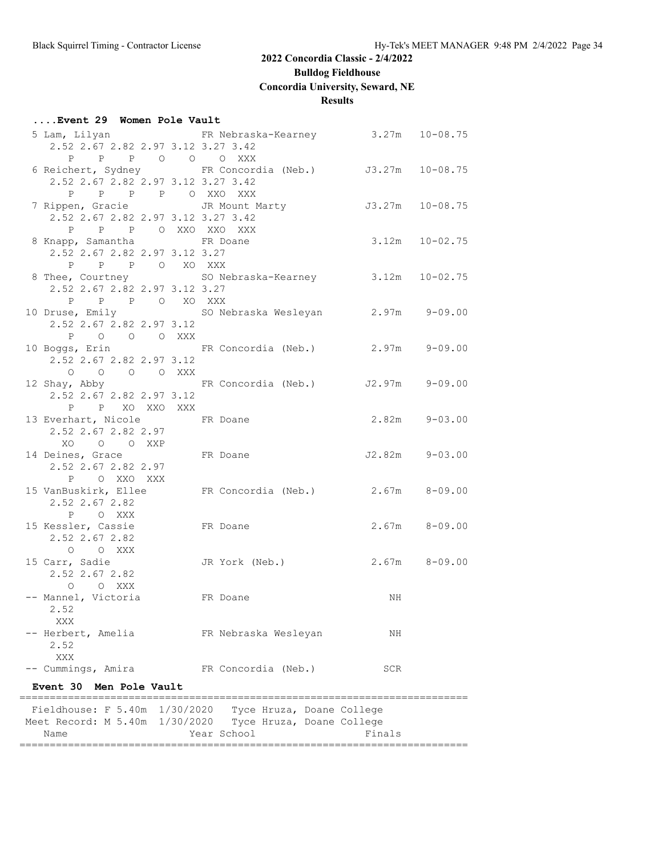**Bulldog Fieldhouse**

**Concordia University, Seward, NE**

#### **Results**

#### **....Event 29 Women Pole Vault**

| 2.52 2.67 2.82 2.97 3.12 3.27 3.42                                            | 5 Lam, Lilyan KR Nebraska-Kearney 3.27m 10-08.75                               |                 |                    |
|-------------------------------------------------------------------------------|--------------------------------------------------------------------------------|-----------------|--------------------|
| P P P O O O XXX                                                               |                                                                                |                 |                    |
|                                                                               | 6 Reichert, Sydney FR Concordia (Neb.) J3.27m 10-08.75                         |                 |                    |
| 2.52 2.67 2.82 2.97 3.12 3.27 3.42                                            |                                                                                |                 |                    |
| P P P P O XXO XXX                                                             |                                                                                |                 |                    |
| 7 Rippen, Gracie Gassell JR Mount Marty<br>2.52 2.67 2.82 2.97 3.12 3.27 3.42 |                                                                                | J3.27m 10-08.75 |                    |
| P P P O XXO XXO XXX                                                           |                                                                                |                 |                    |
| 8 Knapp, Samantha FR Doane                                                    |                                                                                |                 | $3.12m$ $10-02.75$ |
| 2.52 2.67 2.82 2.97 3.12 3.27                                                 |                                                                                |                 |                    |
| P P P O XO XXX                                                                |                                                                                |                 |                    |
| 8 Thee, Courtney                                                              | SO Nebraska-Kearney 3.12m 10-02.75                                             |                 |                    |
| 2.52 2.67 2.82 2.97 3.12 3.27                                                 |                                                                                |                 |                    |
| P P P O XO XXX                                                                |                                                                                |                 |                    |
|                                                                               | 10 Druse, Emily                 SO Nebraska Wesleyan         2.97m     9-09.00 |                 |                    |
| 2.52 2.67 2.82 2.97 3.12                                                      |                                                                                |                 |                    |
| P O O O XXX                                                                   |                                                                                |                 |                    |
|                                                                               | 10 Boggs, Erin Mark FR Concordia (Neb.) 2.97m 9-09.00                          |                 |                    |
| 2.52 2.67 2.82 2.97 3.12                                                      |                                                                                |                 |                    |
| O O O O XXX                                                                   |                                                                                |                 |                    |
|                                                                               | 12 Shay, Abby             FR Concordia (Neb.)       J2.97m     9-09.00         |                 |                    |
| 2.52 2.67 2.82 2.97 3.12                                                      |                                                                                |                 |                    |
| P P XO XXO XXX                                                                |                                                                                |                 |                    |
| 13 Everhart, Nicole FR Doane                                                  |                                                                                |                 | $2.82m$ $9-03.00$  |
| 2.52 2.67 2.82 2.97                                                           |                                                                                |                 |                    |
| XO O O XXP                                                                    |                                                                                |                 |                    |
| 14 Deines, Grace FR Doane                                                     |                                                                                |                 | $J2.82m$ $9-03.00$ |
| 2.52 2.67 2.82 2.97                                                           |                                                                                |                 |                    |
| P OXXOXXX                                                                     |                                                                                |                 |                    |
|                                                                               | 15 VanBuskirk, Ellee FR Concordia (Neb.) 2.67m 8-09.00                         |                 |                    |
| 2.52 2.67 2.82                                                                |                                                                                |                 |                    |
| P OXXX                                                                        |                                                                                |                 |                    |
| 15 Kessler, Cassie                                                            | FR Doane                                                                       |                 | $2.67m$ $8-09.00$  |
| 2.52 2.67 2.82                                                                |                                                                                |                 |                    |
| O O XXX                                                                       |                                                                                |                 |                    |
| 15 Carr, Sadie                                                                | JR York (Neb.)                                                                 |                 | $2.67m$ $8-09.00$  |
| 2.52 2.67 2.82                                                                |                                                                                |                 |                    |
| O O XXX                                                                       |                                                                                |                 |                    |
| -- Mannel, Victoria                                                           | FR Doane                                                                       | NH              |                    |
| 2.52                                                                          |                                                                                |                 |                    |
| XXX                                                                           |                                                                                |                 |                    |
| -- Herbert, Amelia<br>2.52                                                    | FR Nebraska Wesleyan                                                           | ΝH              |                    |
| XXX                                                                           |                                                                                |                 |                    |
| -- Cummings, Amira                                                            | FR Concordia (Neb.)                                                            | SCR             |                    |
|                                                                               |                                                                                |                 |                    |
| Event 30 Men Pole Vault                                                       |                                                                                |                 |                    |
|                                                                               | Fieldhouse: F 5.40m 1/30/2020 Tyce Hruza, Doane College                        |                 |                    |
|                                                                               | Meet Record: M 5.40m 1/30/2020 Tyce Hruza, Doane College                       |                 |                    |
| Name                                                                          | Year School                                                                    | Finals          |                    |

==========================================================================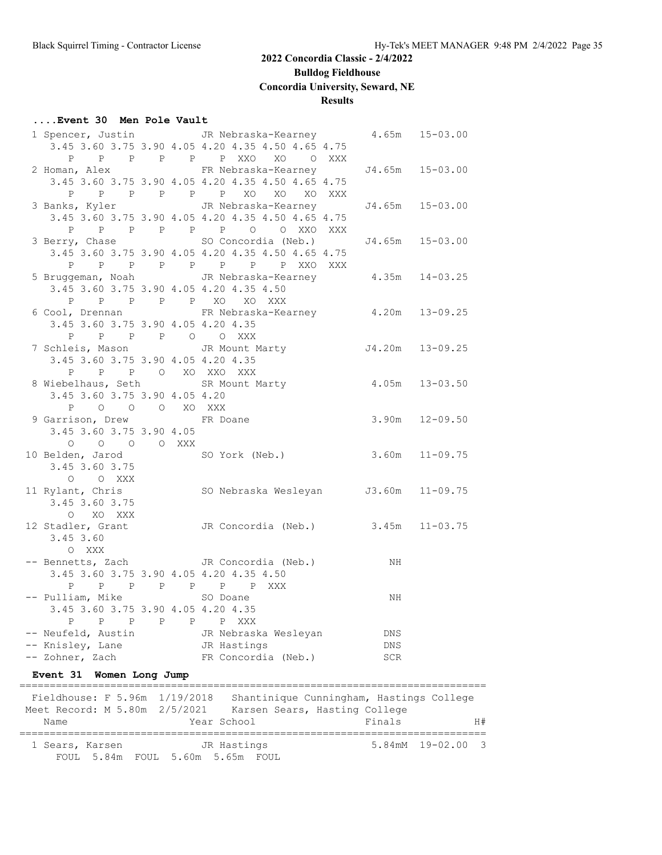**Bulldog Fieldhouse**

#### **Concordia University, Seward, NE**

#### **Results**

#### **....Event 30 Men Pole Vault**

|                                                                                |   | 1 Spencer, Justin JR Nebraska-Kearney 4.65m 15-03.00<br>3.45 3.60 3.75 3.90 4.05 4.20 4.35 4.50 4.65 4.75 |                 |    |
|--------------------------------------------------------------------------------|---|-----------------------------------------------------------------------------------------------------------|-----------------|----|
|                                                                                |   | P P P P P P XXO XO O XXX                                                                                  |                 |    |
|                                                                                |   | 2 Homan, Alex FR Nebraska-Kearney J4.65m 15-03.00                                                         |                 |    |
|                                                                                |   | 3.45 3.60 3.75 3.90 4.05 4.20 4.35 4.50 4.65 4.75                                                         |                 |    |
|                                                                                |   |                                                                                                           |                 |    |
|                                                                                |   | 3 Banks, Kyler JR Nebraska-Kearney                                                                        | J4.65m 15-03.00 |    |
|                                                                                |   | 3.45 3.60 3.75 3.90 4.05 4.20 4.35 4.50 4.65 4.75                                                         |                 |    |
|                                                                                |   | P P P P P P P O O XXO XXX                                                                                 |                 |    |
|                                                                                |   | 3 Berry, Chase SO Concordia (Neb.)                                                                        | J4.65m 15-03.00 |    |
|                                                                                |   | 3.45 3.60 3.75 3.90 4.05 4.20 4.35 4.50 4.65 4.75                                                         |                 |    |
|                                                                                |   |                                                                                                           |                 |    |
|                                                                                |   | P P P P P P P P XXO XXX<br>5 Bruggeman, Noah JR Nebraska-Kearney 4.35m 14-03.25                           |                 |    |
| 3.45 3.60 3.75 3.90 4.05 4.20 4.35 4.50                                        |   |                                                                                                           |                 |    |
|                                                                                |   | P P P P P XO XO XXX                                                                                       |                 |    |
|                                                                                |   | 6 Cool, Drennan FR Nebraska-Kearney 4.20m 13-09.25                                                        |                 |    |
| 3.45 3.60 3.75 3.90 4.05 4.20 4.35                                             |   |                                                                                                           |                 |    |
|                                                                                |   |                                                                                                           |                 |    |
|                                                                                |   | 7 Schleis, Mason TR Mount Marty 54.20m 13-09.25                                                           |                 |    |
| 3.45 3.60 3.75 3.90 4.05 4.20 4.35                                             |   |                                                                                                           |                 |    |
| $\begin{tabular}{lllllllllll} P & P & P & O & XO & XXO & XXX \\ \end{tabular}$ |   |                                                                                                           |                 |    |
|                                                                                |   | 8 Wiebelhaus, Seth SR Mount Marty 4.05m 13-03.50                                                          |                 |    |
| 3.45 3.60 3.75 3.90 4.05 4.20                                                  |   |                                                                                                           |                 |    |
| P O O O XO XXX                                                                 |   |                                                                                                           |                 |    |
|                                                                                |   | 9 Garrison, Drew FR Doane 3.90m 12-09.50                                                                  |                 |    |
| 3.45 3.60 3.75 3.90 4.05                                                       |   |                                                                                                           |                 |    |
| $O$ $O$ $O$ $O$ $XXX$                                                          |   |                                                                                                           |                 |    |
|                                                                                |   | 10 Belden, Jarod SO York (Neb.) 3.60m 11-09.75                                                            |                 |    |
| 3.45 3.60 3.75                                                                 |   |                                                                                                           |                 |    |
|                                                                                |   |                                                                                                           |                 |    |
|                                                                                |   | 0 0 XXX<br>11 Rylant, Chris SO Nebraska Wesleyan J3.60m 11-09.75<br>3 45 3.60 3.75                        |                 |    |
| O XO XXX                                                                       |   |                                                                                                           |                 |    |
|                                                                                |   | 12 Stadler, Grant CDR Concordia (Neb.) 3.45m 11-03.75                                                     |                 |    |
| 3.45 3.60                                                                      |   |                                                                                                           |                 |    |
| O XXX                                                                          |   |                                                                                                           |                 |    |
|                                                                                |   |                                                                                                           |                 |    |
| 3.45 3.60 3.75 3.90 4.05 4.20 4.35 4.50                                        |   |                                                                                                           |                 |    |
|                                                                                |   | P P P P P P P XXX                                                                                         |                 |    |
| -- Pulliam, Mike SO Doane                                                      |   |                                                                                                           | NH              |    |
| 3.45 3.60 3.75 3.90 4.05 4.20 4.35                                             |   |                                                                                                           |                 |    |
| P<br>$P \qquad \qquad$<br>$\mathbb{P}$                                         | Ρ | P XXX<br>P                                                                                                |                 |    |
| -- Neufeld, Austin                                                             |   | JR Nebraska Wesleyan                                                                                      | DNS             |    |
| -- Knisley, Lane                                                               |   | JR Hastings                                                                                               | DNS             |    |
| -- Zohner, Zach                                                                |   | FR Concordia (Neb.)                                                                                       | SCR             |    |
|                                                                                |   |                                                                                                           |                 |    |
| Event 31 Women Long Jump                                                       |   |                                                                                                           |                 |    |
| Fieldhouse: F 5.96m 1/19/2018                                                  |   | Shantinique Cunningham, Hastings College                                                                  |                 |    |
| Meet Record: M 5.80m 2/5/2021                                                  |   | Karsen Sears, Hasting College                                                                             |                 |    |
| Name                                                                           |   | Year School                                                                                               | Finals          | H# |
|                                                                                |   |                                                                                                           |                 |    |

1 Sears, Karsen JR Hastings 5.84mM 19-02.00 3

FOUL 5.84m FOUL 5.60m 5.65m FOUL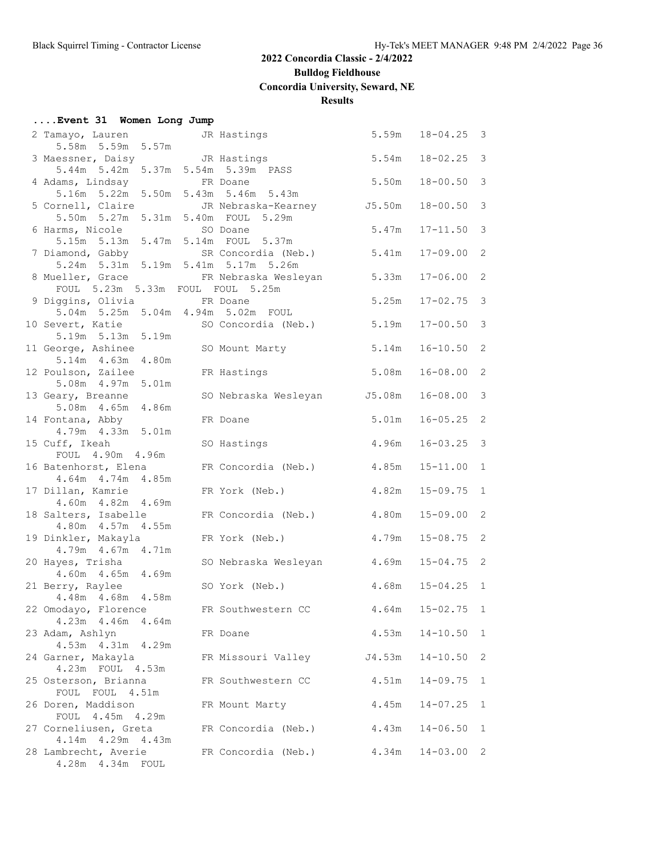## **Bulldog Fieldhouse**

**Concordia University, Seward, NE**

#### **Results**

|  |  |  |  |  | Event 31 Women Long Jump |  |  |
|--|--|--|--|--|--------------------------|--|--|
|--|--|--|--|--|--------------------------|--|--|

| 2 Tamayo, Lauren <a> JR<br/> Hastings</a>                                     |                             | 5.59m  | $18 - 04.25$ 3       |              |
|-------------------------------------------------------------------------------|-----------------------------|--------|----------------------|--------------|
| 5.58m 5.59m 5.57m                                                             |                             |        |                      |              |
| 3 Maessner, Daisy Contract JR Hastings                                        |                             | 5.54m  | $18 - 02.25$ 3       |              |
| 5.44m 5.42m 5.37m 5.54m 5.39m PASS<br>4 Adams, Lindsay                        | FR Doane                    | 5.50m  | $18 - 00.50$         | 3            |
| 5.16m 5.22m 5.50m 5.43m 5.46m 5.43m                                           |                             |        |                      |              |
| 5 Cornell, Claire                                                             | JR Nebraska-Kearney J5.50m  |        | $18 - 00.50$ 3       |              |
| 5.50m 5.27m 5.31m 5.40m FOUL 5.29m                                            |                             |        |                      |              |
| 6 Harms, Nicole                                                               | SO Doane                    | 5.47m  | $17 - 11.50$ 3       |              |
| 5.15m 5.13m 5.47m 5.14m FOUL 5.37m                                            |                             |        |                      |              |
| 7 Diamond, Gabby                                                              | SR Concordia (Neb.)         | 5.41m  | $17 - 09.00$ 2       |              |
| 5.24m 5.31m 5.19m 5.41m 5.17m 5.26m                                           |                             |        |                      |              |
| 8 Mueller, Grace                                                              | FR Nebraska Wesleyan        | 5.33m  | $17 - 06.00$ 2       |              |
| FOUL 5.23m 5.33m FOUL FOUL 5.25m                                              |                             |        |                      |              |
| 9 Diggins, Olivia FR Doane                                                    |                             | 5.25m  | $17 - 02.75$         | 3            |
| 5.04m 5.25m 5.04m 4.94m 5.02m FOUL                                            |                             |        |                      |              |
| 10 Severt, Katie SO Concordia (Neb.)<br>5.19m 5.13m 5.19m                     |                             | 5.19m  | $17 - 00.50$ 3       |              |
| 11 George, Ashinee                                                            | SO Mount Marty              | 5.14m  | $16 - 10.50$ 2       |              |
| 5.14m  4.63m  4.80m                                                           |                             |        |                      |              |
| 12 Poulson, Zailee                                                            | FR Hastings                 | 5.08m  | $16 - 08.00$ 2       |              |
| 5.08m  4.97m  5.01m                                                           |                             |        |                      |              |
| 13 Geary, Breanne                                                             | SO Nebraska Wesleyan J5.08m |        | $16 - 08.00$ 3       |              |
| 5.08m  4.65m  4.86m                                                           |                             |        |                      |              |
| 14 Fontana, Abby                                                              | FR Doane                    | 5.01m  | $16 - 05.25$ 2       |              |
| 4.79m  4.33m  5.01m                                                           |                             |        |                      |              |
| 15 Cuff, Ikeah                                                                | SO Hastings                 | 4.96m  | $16 - 03.25$ 3       |              |
| FOUL 4.90m 4.96m                                                              |                             |        |                      |              |
| 16 Batenhorst, Elena<br>4.64m 4.74m 4.85m                                     | FR Concordia (Neb.) 4.85m   |        | $15 - 11.00$ 1       |              |
| 17 Dillan, Kamrie                                                             | FR York (Neb.)              | 4.82m  | $15 - 09.75$ 1       |              |
| 4.60m  4.82m  4.69m                                                           |                             |        |                      |              |
| 18 Salters, Isabelle                                                          | FR Concordia (Neb.)         | 4.80m  | $15 - 09.00$ 2       |              |
| 4.80m  4.57m  4.55m                                                           |                             |        |                      |              |
| 19 Dinkler, Makayla                                                           | FR York (Neb.)              | 4.79m  | $15 - 08.75$ 2       |              |
| 4.79m  4.67m  4.71m                                                           |                             |        |                      |              |
| 20 Hayes, Trisha                                                              | SO Nebraska Wesleyan        | 4.69m  | $15 - 04.75$ 2       |              |
| 4.60m  4.65m  4.69m                                                           |                             |        |                      |              |
| 21 Berry, Raylee                                                              | SO York (Neb.)              |        | $4.68m$ $15-04.25$ 1 |              |
| 4.48m 4.68m 4.58m<br>22 Omodayo, Florence FR Southwestern CC 4.64m 15-02.75 1 |                             |        |                      |              |
| 4.23m  4.46m  4.64m                                                           |                             |        |                      |              |
| 23 Adam, Ashlyn                                                               | FR Doane                    | 4.53m  | $14 - 10.50$         | $\mathbf{1}$ |
| 4.53m  4.31m  4.29m                                                           |                             |        |                      |              |
| 24 Garner, Makayla                                                            | FR Missouri Valley          | J4.53m | $14 - 10.50$         | 2            |
| 4.23m FOUL 4.53m                                                              |                             |        |                      |              |
| 25 Osterson, Brianna                                                          | FR Southwestern CC          | 4.51m  | $14 - 09.75$         | $\mathbf{1}$ |
| FOUL FOUL 4.51m                                                               |                             |        |                      |              |
| 26 Doren, Maddison                                                            | FR Mount Marty              | 4.45m  | $14 - 07.25$         | 1            |
| FOUL 4.45m 4.29m                                                              |                             |        |                      |              |
| 27 Corneliusen, Greta                                                         | FR Concordia (Neb.)         | 4.43m  | $14 - 06.50$         | $\mathbf{1}$ |
| 4.14m  4.29m  4.43m                                                           |                             |        |                      |              |
| 28 Lambrecht, Averie<br>4.28m  4.34m  FOUL                                    | FR Concordia (Neb.)         | 4.34m  | $14 - 03.00$         | 2            |
|                                                                               |                             |        |                      |              |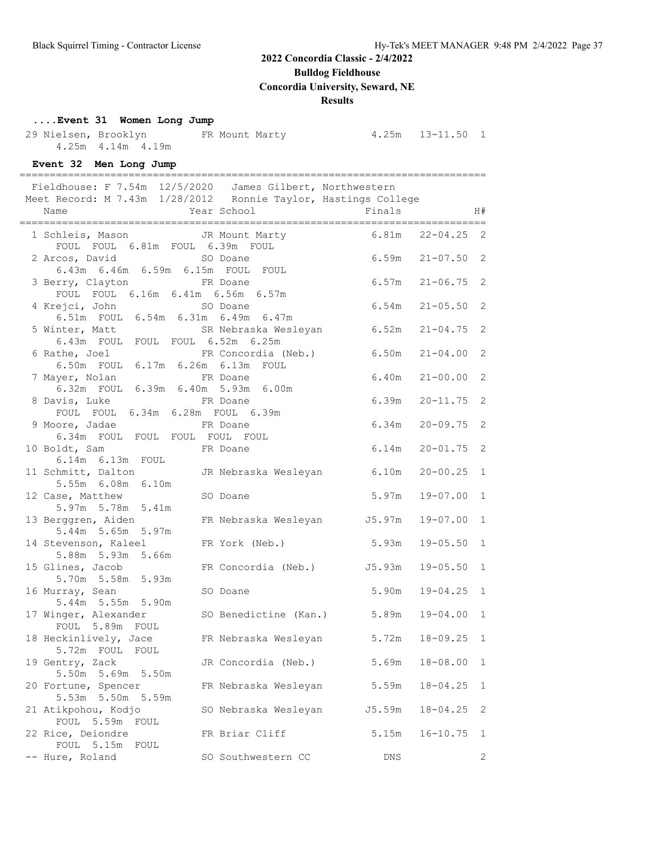**Bulldog Fieldhouse**

**Concordia University, Seward, NE**

#### **Results**

#### **....Event 31 Women Long Jump**

 29 Nielsen, Brooklyn FR Mount Marty 4.25m 13-11.50 1 4.25m 4.14m 4.19m

**Event 32 Men Long Jump**

| vent of men bong camp                                     |                                                                |                         |              |
|-----------------------------------------------------------|----------------------------------------------------------------|-------------------------|--------------|
|                                                           | Fieldhouse: F 7.54m 12/5/2020 James Gilbert, Northwestern      |                         |              |
|                                                           | Meet Record: M 7.43m 1/28/2012 Ronnie Taylor, Hastings College |                         |              |
|                                                           |                                                                |                         | H#           |
|                                                           |                                                                |                         |              |
|                                                           | 1 Schleis, Mason TR Mount Marty 6.81m 22-04.25 2               |                         |              |
| FOUL FOUL 6.81m FOUL 6.39m FOUL                           |                                                                |                         |              |
| 2 Arcos, David SO Doane                                   |                                                                | $6.59m$ $21-07.50$ 2    |              |
| 6.43m 6.46m 6.59m 6.15m FOUL FOUL                         |                                                                |                         |              |
| 3 Berry, Clayton                                          | FR Doane                                                       | $6.57m$ $21-06.75$      | 2            |
| FOUL FOUL 6.16m 6.41m 6.56m 6.57m                         |                                                                |                         |              |
| 4 Krejci, John                                            | SO Doane                                                       | 6.54m<br>$21 - 05.50$   | 2            |
| 6.51m FOUL 6.54m 6.31m 6.49m 6.47m                        |                                                                |                         |              |
| 5 Winter, Matt                                            |                                                                | $21 - 04.75$ 2          |              |
| 6.43m FOUL FOUL FOUL 6.52m 6.25m                          |                                                                |                         |              |
| 6 Rathe, Joel                                             | FR Concordia (Neb.)                                            | 6.50m<br>$21 - 04.00$ 2 |              |
| 6.50m FOUL 6.17m 6.26m 6.13m FOUL                         |                                                                |                         |              |
| 7 Mayer, Nolan                                            | FR Doane                                                       | 6.40m<br>$21 - 00.00$   | 2            |
| 6.32m FOUL 6.39m 6.40m 5.93m 6.00m                        |                                                                |                         |              |
| 8 Davis, Luke                                             | FR Doane                                                       | 6.39m<br>$20 - 11.75$   | 2            |
| FOUL FOUL 6.34m 6.28m FOUL 6.39m                          |                                                                |                         |              |
| 9 Moore, Jadae FR Doane<br>6.34m FOUL FOUL FOUL FOUL FOUL |                                                                | 6.34m<br>$20 - 09.75$   | 2            |
|                                                           |                                                                |                         |              |
| 10 Boldt, Sam                                             | FR Doane                                                       | 6.14m<br>$20 - 01.75$   | 2            |
| $6.14m$ $6.13m$ $FOUL$                                    |                                                                |                         |              |
| 11 Schmitt, Dalton                                        | JR Nebraska Wesleyan 6.10m                                     | $20 - 00.25$ 1          |              |
| 5.55m 6.08m 6.10m                                         |                                                                |                         |              |
| 12 Case, Matthew                                          | SO Doane                                                       | 5.97m<br>19-07.00       | 1            |
| 5.97m 5.78m 5.41m                                         |                                                                |                         |              |
| 13 Berggren, Aiden                                        | FR Nebraska Wesleyan J5.97m                                    | $19 - 07.00$            | $\mathbf{1}$ |
| 5.44m 5.65m 5.97m                                         |                                                                |                         |              |
| 14 Stevenson, Kaleel                                      | FR York (Neb.)                                                 | 5.93m<br>$19 - 05.50$   | $\mathbf{1}$ |
| 5.88m 5.93m 5.66m                                         |                                                                |                         |              |
| 15 Glines, Jacob                                          | FR Concordia (Neb.) J5.93m                                     | $19 - 05.50$            | $\mathbf{1}$ |
| 5.70m 5.58m 5.93m                                         |                                                                |                         |              |
| 16 Murray, Sean                                           | SO Doane                                                       | 5.90m<br>$19 - 04.25$   | $\mathbf{1}$ |
| 5.44m 5.55m 5.90m                                         |                                                                |                         |              |
| 17 Winger, Alexander                                      | SO Benedictine (Kan.) 5.89m                                    | $19 - 04.00$ 1          |              |
| FOUL 5.89m FOUL                                           |                                                                |                         |              |
|                                                           | 18 Heckinlively, Jace 6 FR Nebraska Wesleyan 5.72m 18-09.25 1  |                         |              |
| 5.72m FOUL FOUL                                           |                                                                |                         |              |
| 19 Gentry, Zack                                           | JR Concordia (Neb.)                                            | 5.69m<br>$18 - 08.00$   | $\mathbf{1}$ |
| 5.50m 5.69m 5.50m                                         |                                                                |                         |              |
| 20 Fortune, Spencer                                       | FR Nebraska Wesleyan                                           | 5.59m<br>$18 - 04.25$   | $\mathbf{1}$ |
| 5.53m 5.50m 5.59m                                         |                                                                |                         |              |
| 21 Atikpohou, Kodjo                                       | SO Nebraska Wesleyan                                           | J5.59m<br>$18 - 04.25$  | 2            |
| FOUL 5.59m FOUL                                           |                                                                |                         |              |
| 22 Rice, Deiondre                                         | FR Briar Cliff                                                 | 5.15m<br>$16 - 10.75$   | 1            |
| FOUL 5.15m FOUL                                           |                                                                |                         |              |
| -- Hure, Roland                                           | SO Southwestern CC                                             | <b>DNS</b>              | $\mathbf{2}$ |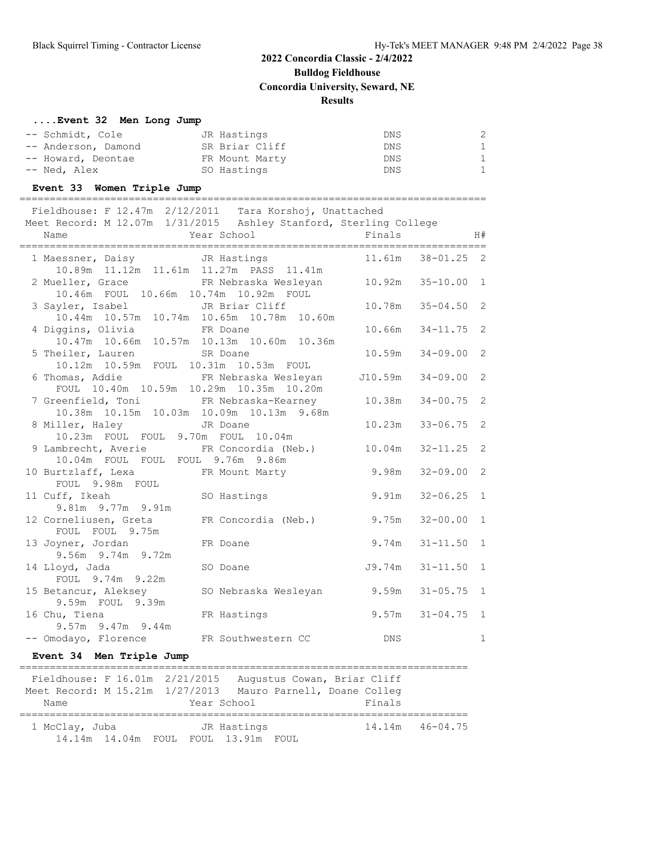## **2022 Concordia Classic - 2/4/2022 Bulldog Fieldhouse Concordia University, Seward, NE**

#### **Results**

#### **....Event 32 Men Long Jump**

| -- Schmidt, Cole    | JR Hastings    | DNS        | 2            |
|---------------------|----------------|------------|--------------|
| -- Anderson, Damond | SR Briar Cliff | DNS.       | 1            |
| -- Howard, Deontae  | FR Mount Marty | <b>DNS</b> | $\mathbf{1}$ |
| -- Ned, Alex        | SO Hastings    | DNS        | $\mathbf{1}$ |

#### **Event 33 Women Triple Jump**

| Fieldhouse: F 12.47m 2/12/2011<br>Meet Record: M 12.07m 1/31/2015<br>Name | Year School | Tara Korshoj, Unattached<br>Ashley Stanford, Sterling College | Finals |                       | H# |
|---------------------------------------------------------------------------|-------------|---------------------------------------------------------------|--------|-----------------------|----|
| 1 Maessner, Daisy                                                         |             | JR Hastings<br>10.89m 11.12m 11.61m 11.27m PASS 11.41m        |        | $11.61m$ $38-01.25$ 2 |    |
| 2 Mueller, Grace                                                          |             | FR Nebraska Weslevan                                          |        | $10.92m$ $35-10.00$ 1 |    |

| 2 Mueller, Grace 6 Mebraska Wesleyan 10.92m 35-10.00 1                                         |                                               |        |                       |   |
|------------------------------------------------------------------------------------------------|-----------------------------------------------|--------|-----------------------|---|
|                                                                                                | 10.46m FOUL 10.66m 10.74m 10.92m FOUL         |        |                       |   |
| 3 Sayler, Isabel JR Briar Cliff 10.78m 35-04.50 2<br>10.44m 10.57m 10.74m 10.65m 10.78m 10.60m |                                               |        |                       |   |
|                                                                                                |                                               |        |                       |   |
| 4 Diggins, Olivia FR Doane<br>10.47m 10.66m 10.57m 10.13m 10.60m 10.36m                        |                                               |        | $10.66m$ $34-11.75$ 2 |   |
|                                                                                                |                                               |        |                       |   |
| 5 Theiler, Lauren SR Doane                                                                     |                                               |        | $10.59m$ $34-09.00$ 2 |   |
| 10.12m  10.59m  FOUL  10.31m  10.53m  FOUL                                                     |                                               |        |                       |   |
| 6 Thomas, Addie KR Nebraska Wesleyan                                                           |                                               |        | J10.59m 34-09.00 2    |   |
| FOUL 10.40m 10.59m 10.29m 10.35m 10.20m                                                        |                                               |        |                       |   |
| 7 Greenfield, Toni 6. FR Nebraska-Kearney 10.38m 34-00.75 2                                    |                                               |        |                       |   |
|                                                                                                | 10.38m  10.15m  10.03m  10.09m  10.13m  9.68m |        |                       |   |
| 8 Miller, Haley GR Doane                                                                       |                                               | 10.23m | $33 - 06.75$ 2        |   |
| 10.23m FOUL FOUL 9.70m FOUL 10.04m                                                             |                                               |        |                       |   |
| 9 Lambrecht, Averie FR Concordia (Neb.) 10.04m 32-11.25 2                                      |                                               |        |                       |   |
| 10.04m FOUL FOUL FOUL 9.76m 9.86m                                                              |                                               |        |                       |   |
| 10 Burtzlaff, Lexa FR Mount Marty 9.98m                                                        |                                               |        | $32 - 09.00$ 2        |   |
| FOUL 9.98m FOUL                                                                                |                                               |        |                       |   |
| 11 Cuff, Ikeah (SO Hastings (1997) 9.91m 32-06.25 1                                            |                                               |        |                       |   |
| 9.81m 9.77m 9.91m                                                                              |                                               |        |                       |   |
| 12 Corneliusen, Greta FR Concordia (Neb.) 9.75m                                                |                                               |        | $32 - 00.00$ 1        |   |
| FOUL FOUL 9.75m                                                                                |                                               |        |                       |   |
| 13 Joyner, Jordan FR Doane                                                                     | 9.74m                                         |        | $31 - 11.50$ 1        |   |
| 9.56m 9.74m 9.72m                                                                              |                                               |        |                       |   |
| 14 Lloyd, Jada                                                                                 | $J9.74m$ $31-11.50$ 1<br>SO Doane             |        |                       |   |
| FOUL 9.74m 9.22m                                                                               |                                               |        |                       |   |
| 15 Betancur, Aleksey 50 Nebraska Wesleyan 9.59m                                                |                                               |        | $31 - 05.75$ 1        |   |
| 9.59m FOUL 9.39m                                                                               |                                               |        |                       |   |
| 16 Chu, Tiena                                                                                  | FR Hastings 9.57m 31-04.75 1                  |        |                       |   |
| $9.57m$ $9.47m$ $9.44m$                                                                        |                                               |        |                       |   |
| -- Omodayo, Florence FR Southwestern CC DNS                                                    |                                               |        |                       | 1 |

#### **Event 34 Men Triple Jump**

| Fieldhouse: F 16.01m 2/21/2015  |                                     | Augustus Cowan, Briar Cliff |                     |
|---------------------------------|-------------------------------------|-----------------------------|---------------------|
| Meet Record: M 15.21m 1/27/2013 |                                     | Mauro Parnell, Doane Colleq |                     |
| Name                            | Year School                         | Finals                      |                     |
|                                 |                                     |                             |                     |
| 1 McClay, Juba                  | JR Hastings                         |                             | $14.14m$ $46-04.75$ |
|                                 | 14.14m 14.04m FOUL FOUL 13.91m FOUL |                             |                     |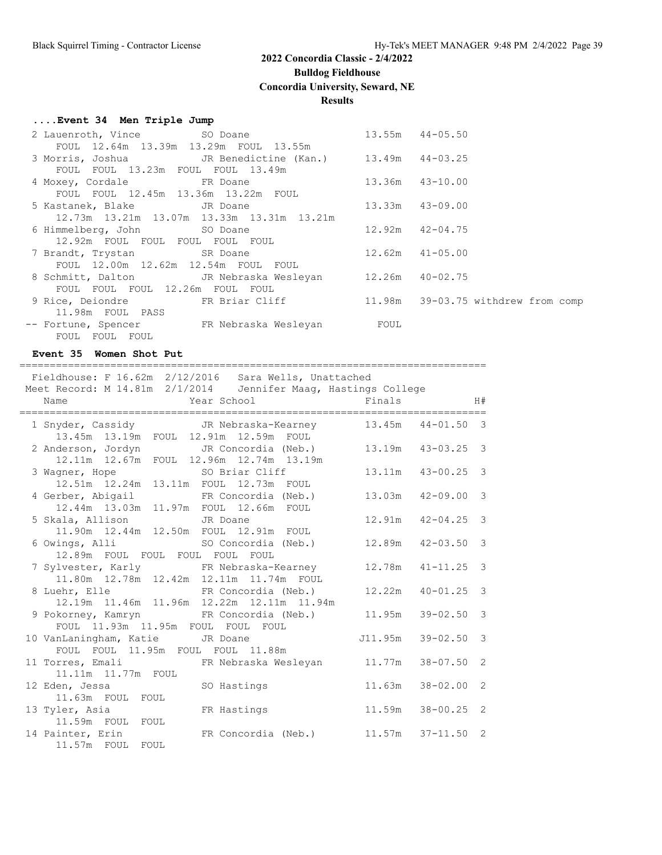## **Bulldog Fieldhouse**

**Concordia University, Seward, NE**

#### **Results**

#### **....Event 34 Men Triple Jump**

| 2 Lauenroth, Vince 50 Doane                      |                                                                        |        | $13.55m$ $44-05.50$                |
|--------------------------------------------------|------------------------------------------------------------------------|--------|------------------------------------|
| FOUL 12.64m 13.39m 13.29m FOUL 13.55m            |                                                                        |        |                                    |
|                                                  | 3 Morris, Joshua           JR Benedictine (Kan.)     13.49m   44-03.25 |        |                                    |
| FOUL FOUL 13.23m FOUL FOUL 13.49m                |                                                                        |        |                                    |
| 4 Moxey, Cordale FR Doane                        |                                                                        |        | $13.36m$ $43-10.00$                |
| FOUL FOUL 12.45m 13.36m 13.22m FOUL              |                                                                        |        |                                    |
| 5 Kastanek, Blake JR Doane                       |                                                                        |        | $13.33m$ $43-09.00$                |
|                                                  | 12.73m 13.21m 13.07m 13.33m 13.31m 13.21m                              |        |                                    |
| 6 Himmelberg, John SO Doane                      |                                                                        | 12.92m | 42-04.75                           |
| 12.92m FOUL FOUL FOUL FOUL FOUL                  |                                                                        |        |                                    |
| 7 Brandt, Trystan SR Doane                       |                                                                        | 12.62m | $41 - 05.00$                       |
| FOUL 12.00m 12.62m 12.54m FOUL FOUL              |                                                                        |        |                                    |
|                                                  | 8 Schmitt, Dalton JR Nebraska Wesleyan 12.26m 40-02.75                 |        |                                    |
| FOUL FOUL FOUL 12.26m FOUL FOUL                  |                                                                        |        |                                    |
| 9 Rice, Deiondre FR Briar Cliff                  |                                                                        |        | 11.98m 39-03.75 withdrew from comp |
| 11.98m FOUL PASS                                 |                                                                        |        |                                    |
| -- Fortune, Spencer         FR Nebraska Wesleyan |                                                                        | FOUL   |                                    |
| FOUL FOUL FOUL                                   |                                                                        |        |                                    |

#### **Event 35 Women Shot Put**

=============================================================================

|                                                                                                                        | Fieldhouse: F 16.62m 2/12/2016 Sara Wells, Unattached          |         |                |               |
|------------------------------------------------------------------------------------------------------------------------|----------------------------------------------------------------|---------|----------------|---------------|
|                                                                                                                        | Meet Record: M 14.81m 2/1/2014 Jennifer Maag, Hastings College |         |                |               |
|                                                                                                                        |                                                                |         |                |               |
| 13.45m 13.19m FOUL 12.91m 12.59m FOUL                                                                                  | 1 Snyder, Cassidy GR Nebraska-Kearney 13.45m 44-01.50 3        |         |                |               |
|                                                                                                                        | 2 Anderson, Jordyn JR Concordia (Neb.) 13.19m 43-03.25 3       |         |                |               |
| 12.11m  12.67m  FOUL  12.96m  12.74m  13.19m<br>3 Wagner, Hope 50 Briar Cliff<br>12.51m 12.24m 13.11m FOUL 12.73m FOUL |                                                                | 13.11m  | $43 - 00.25$ 3 |               |
| 12.44m  13.03m  11.97m  FOUL  12.66m  FOUL                                                                             | 4 Gerber, Abigail 6 FR Concordia (Neb.)                        | 13.03m  | $42 - 09.00$   | $\mathbf{3}$  |
| 5 Skala, Allison JR Doane<br>11.90m  12.44m  12.50m  FOUL  12.91m  FOUL                                                |                                                                | 12.91m  | $42 - 04.25$ 3 |               |
| 6 Owings, Alli                 SO Concordia (Neb.)<br>12.89m FOUL FOUL FOUL FOUL FOUL                                  |                                                                | 12.89m  | $42 - 03.50$ 3 |               |
| 7 Sylvester, Karly TR Nebraska-Kearney<br>11.80m  12.78m  12.42m  12.11m  11.74m  FOUL                                 |                                                                | 12.78m  | $41 - 11.25$   | $\mathcal{S}$ |
| 8 Luehr, Elle FR Concordia (Neb.)                                                                                      | 12.19m  11.46m  11.96m  12.22m  12.11m  11.94m                 | 12.22m  | $40 - 01.25$ 3 |               |
| FOUL 11.93m 11.95m FOUL FOUL FOUL                                                                                      | 9 Pokorney, Kamryn       FR Concordia (Neb.)       11.95m      |         | $39 - 02.50$   | $\mathbf{3}$  |
| 10 VanLaningham, Katie JR Doane<br>FOUL FOUL 11.95m FOUL FOUL 11.88m                                                   |                                                                | J11.95m | $39 - 02.50$   | $\mathbf{3}$  |
| 11.11m  11.77m  FOUL                                                                                                   | 11 Torres, Emali 6. FR Nebraska Wesleyan 11.77m                |         | $38 - 07.50$ 2 |               |
| 12 Eden, Jessa SO Hastings<br>11.63m FOUL FOUL                                                                         |                                                                | 11.63m  | $38 - 02.00$ 2 |               |
| 13 Tyler, Asia<br>11.59m FOUL FOUL                                                                                     | FR Hastings                                                    | 11.59m  | $38 - 00.25$ 2 |               |
| 11.57m FOUL FOUL                                                                                                       | 14 Painter, Erin FR Concordia (Neb.) 11.57m                    |         | $37 - 11.50$ 2 |               |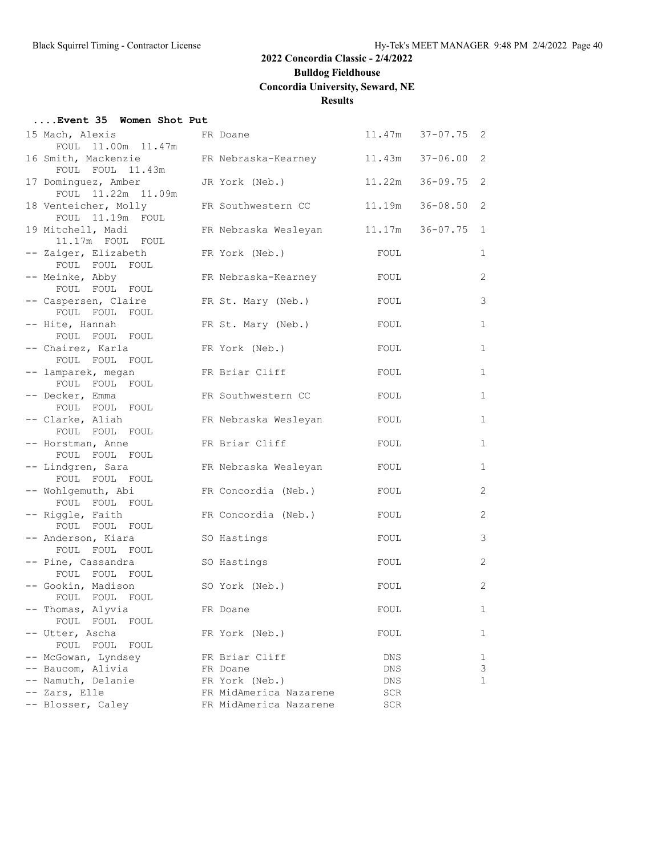**Bulldog Fieldhouse**

**Concordia University, Seward, NE**

#### **Results**

#### **....Event 35 Women Shot Put**

| 15 Mach, Alexis<br>FOUL 11.00m 11.47m    | FR Doane       |                        |      | $11.47m$ $37-07.75$ 2 |              |
|------------------------------------------|----------------|------------------------|------|-----------------------|--------------|
| 16 Smith, Mackenzie                      |                | FR Nebraska-Kearney    |      | $11.43m$ $37-06.00$   | 2            |
| FOUL FOUL 11.43m<br>17 Dominguez, Amber  |                | JR York (Neb.)         |      | 11.22m 36-09.75       | 2            |
| FOUL 11.22m 11.09m                       |                |                        |      |                       |              |
| 18 Venteicher, Molly<br>FOUL 11.19m FOUL |                | FR Southwestern CC     |      | 11.19m 36-08.50       | 2            |
| 19 Mitchell, Madi<br>11.17m FOUL FOUL    |                | FR Nebraska Wesleyan   |      | 11.17m 36-07.75       | 1            |
| -- Zaiger, Elizabeth<br>FOUL FOUL FOUL   | FR York (Neb.) |                        | FOUL |                       | 1            |
| -- Meinke, Abby                          |                | FR Nebraska-Kearney    | FOUL |                       | 2            |
| FOUL FOUL FOUL                           |                |                        |      |                       |              |
| -- Caspersen, Claire                     |                | FR St. Mary (Neb.)     | FOUL |                       | 3            |
| FOUL FOUL FOUL                           |                |                        |      |                       |              |
| -- Hite, Hannah                          |                | FR St. Mary (Neb.)     | FOUL |                       | 1            |
| FOUL FOUL FOUL                           |                |                        |      |                       |              |
| -- Chairez, Karla<br>FOUL FOUL FOUL      | FR York (Neb.) |                        | FOUL |                       | $\mathbf{1}$ |
|                                          |                | FR Briar Cliff         | FOUL |                       | 1            |
| -- lamparek, megan<br>FOUL FOUL FOUL     |                |                        |      |                       |              |
| -- Decker, Emma                          |                | FR Southwestern CC     | FOUL |                       | 1            |
| FOUL FOUL FOUL                           |                |                        |      |                       |              |
| -- Clarke, Aliah                         |                | FR Nebraska Wesleyan   | FOUL |                       | $\mathbf{1}$ |
| FOUL FOUL FOUL                           |                |                        |      |                       |              |
| -- Horstman, Anne                        |                | FR Briar Cliff         | FOUL |                       | 1            |
| FOUL FOUL FOUL                           |                |                        |      |                       |              |
| -- Lindgren, Sara                        |                | FR Nebraska Wesleyan   | FOUL |                       | 1            |
| FOUL FOUL FOUL                           |                |                        |      |                       |              |
| -- Wohlgemuth, Abi                       |                | FR Concordia (Neb.)    | FOUL |                       | 2            |
| FOUL FOUL FOUL                           |                |                        |      |                       |              |
| -- Riggle, Faith<br>FOUL FOUL FOUL       |                | FR Concordia (Neb.)    | FOUL |                       | 2            |
| -- Anderson, Kiara                       | SO Hastings    |                        | FOUL |                       | 3            |
| FOUL FOUL FOUL                           |                |                        |      |                       |              |
| -- Pine, Cassandra                       | SO Hastings    |                        | FOUL |                       | 2            |
| FOUL FOUL FOUL                           |                |                        |      |                       |              |
| -- Gookin, Madison                       | SO York (Neb.) |                        | FOUL |                       | 2            |
| FOUL FOUL FOUL                           |                |                        |      |                       |              |
| -- Thomas, Alyvia                        | FR Doane       |                        | FOUL |                       | 1            |
| FOUL FOUL<br>FOUL                        |                |                        |      |                       |              |
| -- Utter, Ascha                          | FR York (Neb.) |                        | FOUL |                       | 1            |
| FOUL FOUL<br>FOUL                        |                |                        |      |                       |              |
| -- McGowan, Lyndsey                      |                | FR Briar Cliff         | DNS  |                       | ı.           |
| -- Baucom, Alivia                        | FR Doane       |                        | DNS  |                       | 3            |
| -- Namuth, Delanie                       | FR York (Neb.) |                        | DNS  |                       | 1            |
| -- Zars, Elle                            |                | FR MidAmerica Nazarene | SCR  |                       |              |
| -- Blosser, Caley                        |                | FR MidAmerica Nazarene | SCR  |                       |              |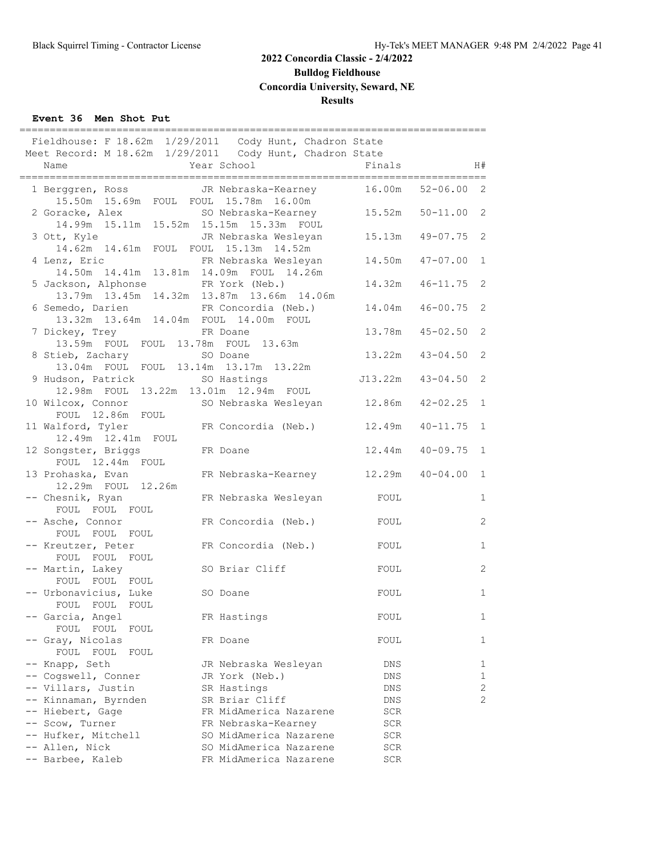**Bulldog Fieldhouse**

**Concordia University, Seward, NE**

#### **Results**

#### **Event 36 Men Shot Put**

|                 |                                                            | Fieldhouse: F 18.62m 1/29/2011 Cody Hunt, Chadron State                                              |            |                |              |
|-----------------|------------------------------------------------------------|------------------------------------------------------------------------------------------------------|------------|----------------|--------------|
|                 |                                                            | Meet Record: M 18.62m 1/29/2011 Cody Hunt, Chadron State                                             |            |                |              |
| Name            |                                                            | Year School                                                                                          | Finals     |                | H#           |
|                 |                                                            | 1 Berggren, Ross JR Nebraska-Kearney<br>15.50m 15.69m FOUL FOUL 15.78m 16.00m<br>JR Nebraska-Kearney | 16.00m     | $52 - 06.00$ 2 |              |
|                 | 2 Goracke, Alex                                            | SO Nebraska-Kearney<br>14.99m  15.11m  15.52m  15.15m  15.33m  FOUL                                  | 15.52m     | $50 - 11.00$ 2 |              |
| 3 Ott, Kyle     | 14.62m  14.61m  FOUL  FOUL  15.13m  14.52m                 | JR Nebraska Wesleyan                                                                                 | 15.13m     | $49 - 07.75$ 2 |              |
|                 | 4 Lenz, Eric                                               | FR Nebraska Wesleyan<br>14.50m  14.41m  13.81m  14.09m  FOUL  14.26m                                 | 14.50m     | $47 - 07.00$   | $\mathbf{1}$ |
|                 | 5 Jackson, Alphonse                                        | FR York (Neb.)<br>13.79m  13.45m  14.32m  13.87m  13.66m  14.06m                                     | 14.32m     | $46 - 11.75$   | 2            |
|                 | 6 Semedo, Darien                                           | FR Concordia (Neb.)<br>13.32m 13.64m 14.04m FOUL 14.00m FOUL                                         | 14.04m     | $46 - 00.75$   | 2            |
|                 | 7 Dickey, Trey<br>13.59m FOUL FOUL 13.78m FOUL 13.63m      | FR Doane                                                                                             | 13.78m     | $45 - 02.50$   | 2            |
|                 | 8 Stieb, Zachary                                           | SO Doane<br>13.04m FOUL FOUL 13.14m 13.17m 13.22m                                                    | 13.22m     | $43 - 04.50$   | 2            |
|                 | 9 Hudson, Patrick<br>12.98m FOUL 13.22m 13.01m 12.94m FOUL | SO Hastings                                                                                          | J13.22m    | $43 - 04.50$ 2 |              |
|                 | 10 Wilcox, Connor<br>FOUL 12.86m FOUL                      | SO Nebraska Wesleyan 12.86m                                                                          |            | $42 - 02.25$   | $\mathbf{1}$ |
|                 | 11 Walford, Tyler<br>12.49m  12.41m  FOUL                  | FR Concordia (Neb.) 12.49m                                                                           |            | $40 - 11.75$   | $\mathbf{1}$ |
|                 | 12 Songster, Briggs<br>FOUL 12.44m FOUL                    | FR Doane                                                                                             | 12.44m     | $40 - 09.75$   | $\mathbf{1}$ |
|                 | 13 Prohaska, Evan<br>12.29m FOUL 12.26m                    | FR Nebraska-Kearney 12.29m                                                                           |            | $40 - 04.00$   | $\mathbf{1}$ |
|                 | -- Chesnik, Ryan                                           | FR Nebraska Wesleyan                                                                                 | FOUL       |                | $\mathbf{1}$ |
|                 | FOUL FOUL FOUL<br>-- Asche, Connor                         | FR Concordia (Neb.)                                                                                  | FOUL       |                | 2            |
|                 | FOUL FOUL FOUL<br>-- Kreutzer, Peter                       | FR Concordia (Neb.)                                                                                  | FOUL       |                | $\mathbf{1}$ |
|                 | FOUL FOUL FOUL<br>-- Martin, Lakey                         | SO Briar Cliff                                                                                       | FOUL       |                | 2            |
|                 | FOUL FOUL FOUL<br>-- Urbonavicius, Luke                    | SO Doane                                                                                             | FOUL       |                | $\mathbf{1}$ |
|                 | FOUL FOUL FOUL<br>-- Garcia, Angel                         | FR Hastings                                                                                          | FOUL       |                | $\mathbf{1}$ |
|                 | FOUL FOUL FOUL<br>-- Gray, Nicolas                         | FR Doane                                                                                             | FOUL       |                | 1            |
| -- Knapp, Seth  | FOUL FOUL<br>FOUL                                          | JR Nebraska Wesleyan                                                                                 | DNS        |                | 1            |
|                 | -- Cogswell, Conner                                        | JR York (Neb.)                                                                                       | DNS        |                | $\mathbf{1}$ |
|                 | -- Villars, Justin                                         | SR Hastings                                                                                          | DNS        |                | 2            |
|                 | -- Kinnaman, Byrnden                                       | SR Briar Cliff                                                                                       | <b>DNS</b> |                | 2            |
|                 | -- Hiebert, Gage                                           | FR MidAmerica Nazarene                                                                               | SCR        |                |              |
| -- Scow, Turner |                                                            | FR Nebraska-Kearney                                                                                  | SCR        |                |              |
|                 | -- Hufker, Mitchell                                        | SO MidAmerica Nazarene                                                                               | SCR        |                |              |
| -- Allen, Nick  |                                                            | SO MidAmerica Nazarene                                                                               | SCR        |                |              |
|                 | -- Barbee, Kaleb                                           | FR MidAmerica Nazarene                                                                               | SCR        |                |              |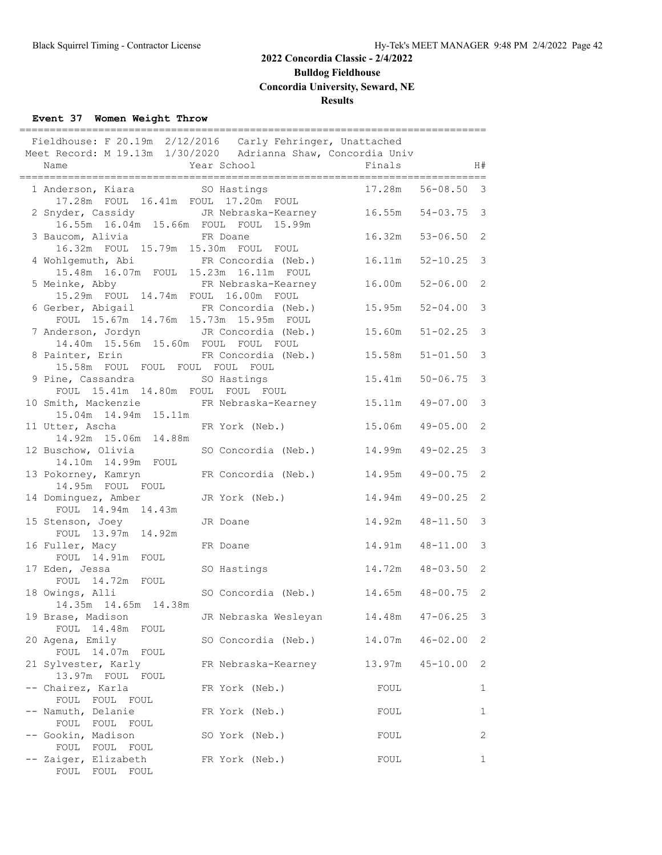**Bulldog Fieldhouse**

**Concordia University, Seward, NE**

#### **Results**

## **Event 37 Women Weight Throw**

|                                                                                     | Fieldhouse: F 20.19m 2/12/2016 Carly Fehringer, Unattached                        |                     |                     |                |
|-------------------------------------------------------------------------------------|-----------------------------------------------------------------------------------|---------------------|---------------------|----------------|
|                                                                                     | Meet Record: M 19.13m 1/30/2020 Adrianna Shaw, Concordia Univ                     |                     |                     |                |
| Name                                                                                | Year School                                                                       | Finals              |                     | H#             |
| 1 Anderson, Kiara 60 SO Hastings                                                    | 17.28m  FOUL  16.41m  FOUL  17.20m  FOUL                                          |                     | 17.28m  56-08.50  3 |                |
| 2 Snyder, Cassidy<br>16.55m  16.04m  15.66m  FOUL  FOUL                             | JR Nebraska-Kearney 16.55m 54-03.75 3<br>15.99m                                   |                     |                     |                |
| 3 Baucom, Alivia<br>16.32m FOUL 15.79m 15.30m FOUL FOUL                             | FR Doane                                                                          | 16.32m              | $53 - 06.50$ 2      |                |
| 4 Wohlgemuth, Abi FR Concordia (Neb.)<br>15.48m  16.07m  FOUL  15.23m  16.11m  FOUL |                                                                                   | $16.11m$ $52-10.25$ |                     | 3              |
| 15.29m FOUL 14.74m FOUL 16.00m FOUL                                                 | 5 Meinke, Abby           FR Nebraska-Kearney         16.00m                       |                     | $52 - 06.00$        | 2              |
| 6 Gerber, Abigail FR Concordia (Neb.)<br>FOUL 15.67m 14.76m 15.73m 15.95m FOUL      |                                                                                   | 15.95m              | $52 - 04.00$        | 3              |
| 7 Anderson, Jordyn JR Concordia (Neb.)<br>14.40m  15.56m  15.60m  FOUL  FOUL  FOUL  |                                                                                   | 15.60m              | $51 - 02.25$        | 3              |
| 15.58m FOUL FOUL FOUL FOUL FOUL                                                     | 8 Painter, Erin           FR Concordia (Neb.)         15.58m                      |                     | $51 - 01.50$        | 3              |
| 9 Pine, Cassandra<br>FOUL 15.41m 14.80m FOUL FOUL FOUL                              | SO Hastings                                                                       | 15.41m              | $50 - 06.75$ 3      |                |
| 15.04m  14.94m  15.11m                                                              | 10 Smith, Mackenzie FR Nebraska-Kearney 15.11m 49-07.00                           |                     |                     | 3              |
| 11 Utter, Ascha                       FR York (Neb.)<br>14.92m 15.06m 14.88m        |                                                                                   | 15.06m              | $49 - 05.00$        | 2              |
| 14.10m  14.99m  FOUL                                                                | 12 Buschow, Olivia SO Concordia (Neb.) 14.99m 49-02.25                            |                     |                     | 3              |
| 13 Pokorney, Kamryn<br>14.95m FOUL FOUL                                             | FR Concordia (Neb.)                                                               | $14.95m$ $49-00.75$ |                     | 2              |
| 14 Dominguez, Amber<br>FOUL 14.94m 14.43m                                           | JR York (Neb.)                                                                    | 14.94m              | $49 - 00.25$        | 2              |
| 15 Stenson, Joey<br>FOUL 13.97m 14.92m                                              | JR Doane                                                                          |                     | 14.92m  48-11.50  3 |                |
| 16 Fuller, Macy<br>FOUL 14.91m FOUL                                                 | FR Doane                                                                          |                     | 14.91m 48-11.00     | 3              |
| 17 Eden, Jessa<br>FOUL 14.72m FOUL                                                  | SO Hastings                                                                       | 14.72m 48-03.50     |                     | 2              |
| 14.35m 14.65m 14.38m                                                                | 18 Owings, Alli                 SO Concordia (Neb.)         14.65m   48-00.75   2 |                     |                     |                |
| 19 Brase, Madison<br>FOUL 14.48m<br>FOUL                                            | JR Nebraska Wesleyan                                                              | 14.48m              | $47 - 06.25$        | 3              |
| 20 Agena, Emily<br>FOUL 14.07m FOUL                                                 | SO Concordia (Neb.)                                                               | 14.07m              | $46 - 02.00$        | 2              |
| 21 Sylvester, Karly<br>13.97m FOUL FOUL                                             | FR Nebraska-Kearney                                                               | 13.97m              | $45 - 10.00$        | 2              |
| -- Chairez, Karla<br>FOUL FOUL FOUL                                                 | FR York (Neb.)                                                                    | FOUL                |                     | 1              |
| -- Namuth, Delanie<br>FOUL FOUL FOUL                                                | FR York (Neb.)                                                                    | FOUL                |                     | 1              |
| -- Gookin, Madison<br>FOUL FOUL<br>FOUL                                             | SO York (Neb.)                                                                    | FOUL                |                     | $\overline{2}$ |
| -- Zaiger, Elizabeth<br>FOUL FOUL<br>FOUL                                           | FR York (Neb.)                                                                    | FOUL                |                     | 1              |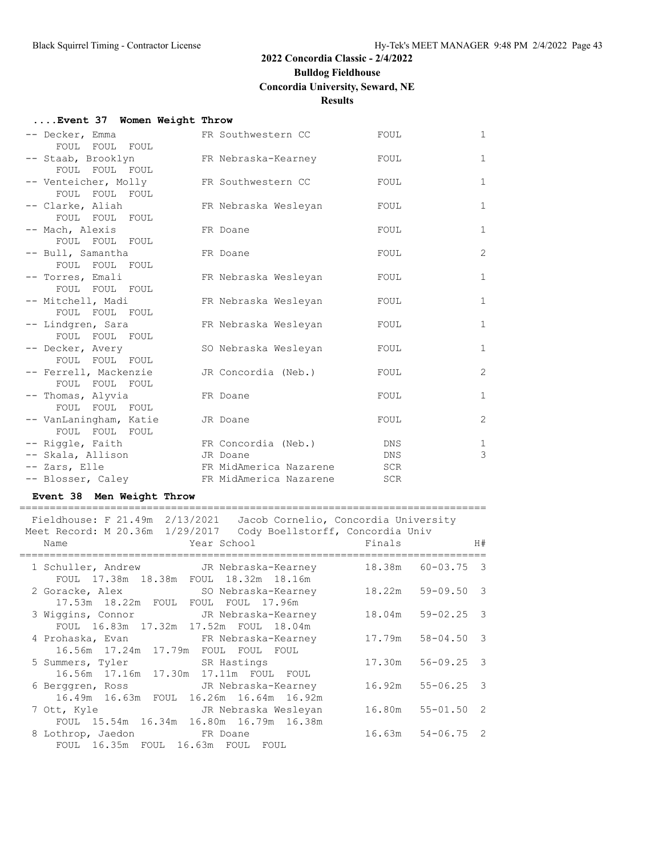## **2022 Concordia Classic - 2/4/2022 Bulldog Fieldhouse Concordia University, Seward, NE**

## **Results**

#### **....Event 37 Women Weight Throw**

| -- Decker, Emma        | FR Southwestern CC     | FOUL       | $\mathbf{1}$ |
|------------------------|------------------------|------------|--------------|
| FOUL FOUL FOUL         |                        |            |              |
| -- Staab, Brooklyn     | FR Nebraska-Kearney    | FOUL       | $\mathbf{1}$ |
| FOUL FOUL FOUL         |                        |            |              |
| -- Venteicher, Molly   | FR Southwestern CC     | FOUL       | $\mathbf{1}$ |
| FOUL FOUL FOUL         |                        |            |              |
| -- Clarke, Aliah       | FR Nebraska Wesleyan   | FOUL       | $\mathbf{1}$ |
| FOUL FOUL FOUL         |                        |            |              |
| -- Mach, Alexis        | FR Doane               | FOUL       | $\mathbf{1}$ |
| FOUL FOUL FOUL         |                        |            |              |
| -- Bull, Samantha      | FR Doane               | FOUL       | 2            |
| FOUL FOUL FOUL         |                        |            |              |
| -- Torres, Emali       | FR Nebraska Wesleyan   | FOUL       | $\mathbf{1}$ |
| FOUL FOUL FOUL         |                        |            |              |
| -- Mitchell, Madi      | FR Nebraska Wesleyan   | FOUL       | $\mathbf{1}$ |
| FOUL FOUL FOUL         |                        |            |              |
| -- Lindgren, Sara      | FR Nebraska Wesleyan   | FOUL       | $\mathbf{1}$ |
| FOUL FOUL FOUL         |                        |            |              |
| -- Decker, Avery       | SO Nebraska Wesleyan   | FOUL       | $\mathbf{1}$ |
| FOUL FOUL FOUL         |                        |            |              |
| -- Ferrell, Mackenzie  | JR Concordia (Neb.)    | FOUL       | 2            |
| FOUL FOUL FOUL         |                        |            |              |
| -- Thomas, Alyvia      | FR Doane               | FOUL       | $\mathbf{1}$ |
| FOUL FOUL FOUL         |                        |            |              |
| -- VanLaningham, Katie | JR Doane               | FOUL       | 2            |
| FOUL FOUL FOUL         |                        |            |              |
| -- Riggle, Faith       | FR Concordia (Neb.)    | DNS        | 1            |
| -- Skala, Allison      | JR Doane               | DNS        | 3            |
| -- Zars, Elle          | FR MidAmerica Nazarene | <b>SCR</b> |              |
| -- Blosser, Caley      | FR MidAmerica Nazarene | <b>SCR</b> |              |

#### **Event 38 Men Weight Throw**

| Fieldhouse: F 21.49m 2/13/2021 Jacob Cornelio, Concordia University<br>Meet Record: M 20.36m 1/29/2017 Cody Boellstorff, Concordia Univ<br><b>Example 2</b> Year School <b>Example 2</b> Finals<br>Name |                       | H# |
|---------------------------------------------------------------------------------------------------------------------------------------------------------------------------------------------------------|-----------------------|----|
| 1 Schuller, Andrew       JR Nebraska-Kearney<br>FOUL 17.38m 18.38m FOUL 18.32m 18.16m                                                                                                                   | 18.38m 60-03.75 3     |    |
| 2 Goracke, Alex 59 SO Nebraska-Kearney 18.22m 59-09.50 3<br>17.53m 18.22m FOUL FOUL FOUL 17.96m                                                                                                         |                       |    |
| 3 Wiggins, Connor TR Nebraska-Kearney<br>FOUL 16.83m 17.32m 17.52m FOUL 18.04m                                                                                                                          | 18.04m 59-02.25 3     |    |
| 4 Prohaska, Evan FR Nebraska-Kearney 17.79m 58-04.50 3<br>16.56m 17.24m 17.79m FOUL FOUL FOUL                                                                                                           |                       |    |
| 5 Summers, Tyler SR Hastings<br>16.56m  17.16m  17.30m  17.11m  FOUL  FOUL                                                                                                                              | 17.30m 56-09.25 3     |    |
| 6 Berggren, Ross GR Nebraska-Kearney<br>16.49m 16.63m FOUL 16.26m 16.64m 16.92m                                                                                                                         | $16.92m$ $55-06.25$ 3 |    |
| JR Nebraska Wesleyan<br>7 Ott, Kyle<br>FOUL 15.54m 16.34m 16.80m 16.79m 16.38m                                                                                                                          | 16.80m 55-01.50 2     |    |
| 8 Lothrop, Jaedon FR Doane<br>FOUL 16.35m FOUL 16.63m FOUL FOUL                                                                                                                                         | $16.63m$ $54-06.75$ 2 |    |